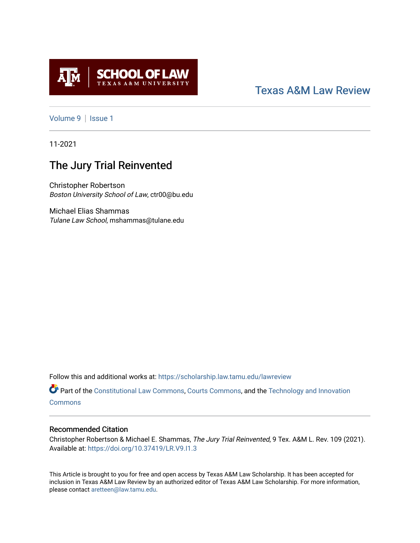

# [Texas A&M Law Review](https://scholarship.law.tamu.edu/lawreview)

[Volume 9](https://scholarship.law.tamu.edu/lawreview/vol9) | Issue 1

11-2021

# The Jury Trial Reinvented

Christopher Robertson Boston University School of Law, ctr00@bu.edu

Michael Elias Shammas Tulane Law School, mshammas@tulane.edu

Follow this and additional works at: [https://scholarship.law.tamu.edu/lawreview](https://scholarship.law.tamu.edu/lawreview?utm_source=scholarship.law.tamu.edu%2Flawreview%2Fvol9%2Fiss1%2F6&utm_medium=PDF&utm_campaign=PDFCoverPages)

Part of the [Constitutional Law Commons,](http://network.bepress.com/hgg/discipline/589?utm_source=scholarship.law.tamu.edu%2Flawreview%2Fvol9%2Fiss1%2F6&utm_medium=PDF&utm_campaign=PDFCoverPages) [Courts Commons,](http://network.bepress.com/hgg/discipline/839?utm_source=scholarship.law.tamu.edu%2Flawreview%2Fvol9%2Fiss1%2F6&utm_medium=PDF&utm_campaign=PDFCoverPages) and the Technology and Innovation **[Commons](http://network.bepress.com/hgg/discipline/644?utm_source=scholarship.law.tamu.edu%2Flawreview%2Fvol9%2Fiss1%2F6&utm_medium=PDF&utm_campaign=PDFCoverPages)** 

### Recommended Citation

Christopher Robertson & Michael E. Shammas, The Jury Trial Reinvented, 9 Tex. A&M L. Rev. 109 (2021). Available at:<https://doi.org/10.37419/LR.V9.I1.3>

This Article is brought to you for free and open access by Texas A&M Law Scholarship. It has been accepted for inclusion in Texas A&M Law Review by an authorized editor of Texas A&M Law Scholarship. For more information, please contact [aretteen@law.tamu.edu.](mailto:aretteen@law.tamu.edu)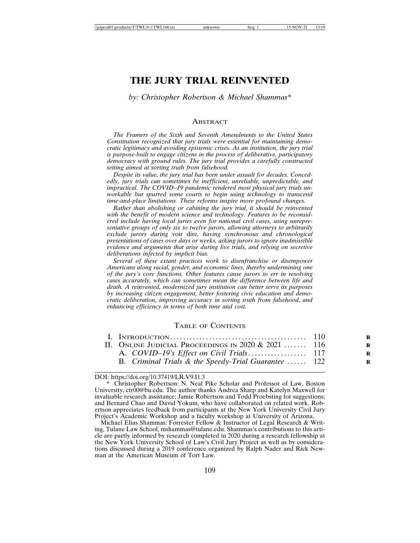## **THE JURY TRIAL REINVENTED**

*by: Christopher Robertson & Michael Shammas\**

#### **ABSTRACT**

*The Framers of the Sixth and Seventh Amendments to the United States Constitution recognized that jury trials were essential for maintaining democratic legitimacy and avoiding epistemic crises. As an institution, the jury trial is purpose-built to engage citizens in the process of deliberative, participatory democracy with ground rules. The jury trial provides a carefully constructed setting aimed at sorting truth from falsehood.*

*Despite its value, the jury trial has been under assault for decades. Concededly, jury trials can sometimes be inefficient, unreliable, unpredictable, and impractical. The COVID–19 pandemic rendered most physical jury trials unworkable but spurred some courts to begin using technology to transcend time-and-place limitations. These reforms inspire more profound changes.*

*Rather than abolishing or cabining the jury trial, it should be reinvented with the benefit of modern science and technology. Features to be reconsidered include having local juries even for national civil cases, using unrepresentative groups of only six to twelve jurors, allowing attorneys to arbitrarily exclude jurors during* voir dire*, having synchronous and chronological presentations of cases over days or weeks, asking jurors to ignore inadmissible evidence and arguments that arise during live trials, and relying on secretive deliberations infected by implicit bias.*

*Several of these extant practices work to disenfranchise or disempower Americans along racial, gender, and economic lines, thereby undermining one of the jury's core functions. Other features cause jurors to err in resolving cases accurately, which can sometimes mean the difference between life and death. A reinvented, modernized jury institution can better serve its purposes by increasing citizen engagement, better fostering civic education and democratic deliberation, improving accuracy in sorting truth from falsehood, and enhancing efficiency in terms of both time and cost.*

#### TABLE OF CONTENTS

| II. Online Judicial Proceedings in 2020 & 2021  116  |  |
|------------------------------------------------------|--|
|                                                      |  |
| B. Criminal Trials & the Speedy-Trial Guarantee  122 |  |

DOI: https://doi.org/10.37419/LR.V9.I1.3

Michael Elias Shammas: Forrester Fellow & Instructor of Legal Research & Writing, Tulane Law School, mshammas@tulane.edu. Shammas's contributions to this article are partly informed by research completed in 2020 during a research fellowship at the New York University School of Law's Civil Jury Project as well as by considerations discussed during a 2019 conference organized by Ralph Nader and Rick Newman at the American Museum of Tort Law.

<sup>\*</sup> Christopher Robertson: N. Neal Pike Scholar and Professor of Law, Boston University, ctr00@bu.edu. The author thanks Andrea Sharp and Katelyn Maxwell for invaluable research assistance; Jamie Robertson and Todd Proebsting for suggestions; and Bernard Chao and David Yokum, who have collaborated on related work. Robertson appreciates feedback from participants at the New York University Civil Jury Project's Academic Workshop and a faculty workshop at University of Arizona.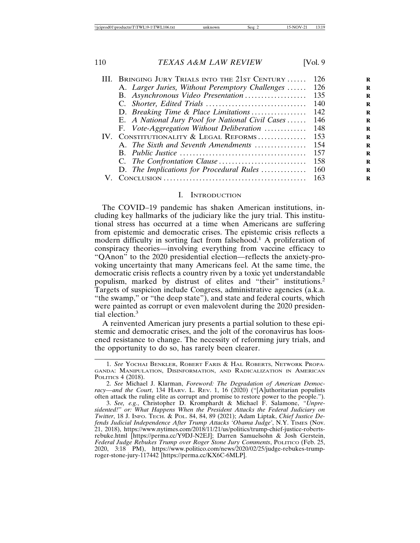|                   | III. BRINGING JURY TRIALS INTO THE 21ST CENTURY  | -126 |
|-------------------|--------------------------------------------------|------|
|                   | A. Larger Juries, Without Peremptory Challenges  | 126  |
|                   | B. Asynchronous Video Presentation               | 135  |
|                   |                                                  | 140  |
|                   | D. Breaking Time & Place Limitations             | 142  |
|                   | E. A National Jury Pool for National Civil Cases | 146  |
|                   | F. Vote-Aggregation Without Deliberation         | 148  |
| $\mathbf{IV}_{-}$ | CONSTITUTIONALITY & LEGAL REFORMS                | 153  |
|                   | A. The Sixth and Seventh Amendments              | 154  |
|                   |                                                  | 157  |
|                   |                                                  | 158  |
|                   | D. The Implications for Procedural Rules         | 160  |
|                   | ONCLUSION                                        |      |
|                   |                                                  |      |

#### I. INTRODUCTION

The COVID–19 pandemic has shaken American institutions, including key hallmarks of the judiciary like the jury trial. This institutional stress has occurred at a time when Americans are suffering from epistemic and democratic crises. The epistemic crisis reflects a modern difficulty in sorting fact from falsehood.<sup>1</sup> A proliferation of conspiracy theories—involving everything from vaccine efficacy to "QAnon" to the 2020 presidential election—reflects the anxiety-provoking uncertainty that many Americans feel. At the same time, the democratic crisis reflects a country riven by a toxic yet understandable populism, marked by distrust of elites and "their" institutions.<sup>2</sup> Targets of suspicion include Congress, administrative agencies (a.k.a. "the swamp," or "the deep state"), and state and federal courts, which were painted as corrupt or even malevolent during the 2020 presidential election.<sup>3</sup>

A reinvented American jury presents a partial solution to these epistemic and democratic crises, and the jolt of the coronavirus has loosened resistance to change. The necessity of reforming jury trials, and the opportunity to do so, has rarely been clearer.

<sup>1.</sup> *See* YOCHAI BENKLER, ROBERT FARIS & HAL ROBERTS, NETWORK PROPA-GANDA: MANIPULATION, DISINFORMATION, AND RADICALIZATION IN AMERICAN POLITICS 4 (2018).

<sup>2.</sup> *See* Michael J. Klarman, *Foreword: The Degradation of American Democracy—and the Court*, 134 HARV. L. REV. 1, 16 (2020) ("[A]uthoritarian populists often attack the ruling elite as corrupt and promise to restore power to the people.").

<sup>3.</sup> *See, e.g.*, Christopher D. Kromphardt & Michael F. Salamone, *"Unpresidented!" or: What Happens When the President Attacks the Federal Judiciary on Twitter*, 18 J. INFO. TECH. & POL. 84, 84, 89 (2021); Adam Liptak, *Chief Justice Defends Judicial Independence After Trump Attacks 'Obama Judge'*, N.Y. TIMES (Nov. 21, 2018), https://www.nytimes.com/2018/11/21/us/politics/trump-chief-justice-robertsrebuke.html [https://perma.cc/Y9DJ-N2EJ]; Darren Samuelsohn & Josh Gerstein, *Federal Judge Rebukes Trump over Roger Stone Jury Comments*, POLITICO (Feb. 25, 2020, 3:18 PM), https://www.politico.com/news/2020/02/25/judge-rebukes-trumproger-stone-jury-117442 [https://perma.cc/KX6C-6MLP].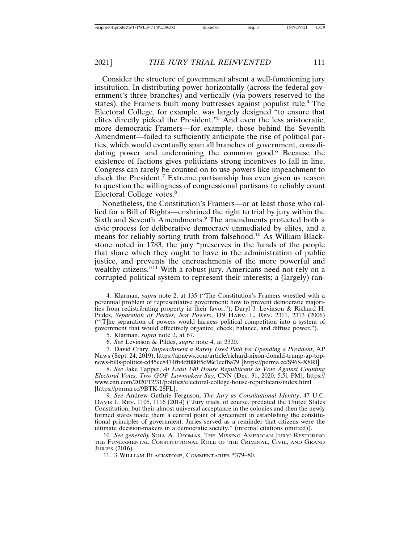Consider the structure of government absent a well-functioning jury institution. In distributing power horizontally (across the federal government's three branches) and vertically (via powers reserved to the states), the Framers built many buttresses against populist rule.<sup>4</sup> The Electoral College, for example, was largely designed "to ensure that elites directly picked the President."<sup>5</sup> And even the less aristocratic, more democratic Framers—for example, those behind the Seventh Amendment—failed to sufficiently anticipate the rise of political parties, which would eventually span all branches of government, consolidating power and undermining the common good.<sup>6</sup> Because the existence of factions gives politicians strong incentives to fall in line, Congress can rarely be counted on to use powers like impeachment to check the President.<sup>7</sup> Extreme partisanship has even given us reason to question the willingness of congressional partisans to reliably count Electoral College votes.<sup>8</sup>

Nonetheless, the Constitution's Framers—or at least those who rallied for a Bill of Rights—enshrined the right to trial by jury within the Sixth and Seventh Amendments.<sup>9</sup> The amendments protected both a civic process for deliberative democracy unmediated by elites, and a means for reliably sorting truth from falsehood.10 As William Blackstone noted in 1783, the jury "preserves in the hands of the people that share which they ought to have in the administration of public justice, and prevents the encroachments of the more powerful and wealthy citizens."<sup>11</sup> With a robust jury, Americans need not rely on a corrupted political system to represent their interests; a (largely) ran-

4. Klarman, *supra* note 2, at 135 ("The Constitution's Framers wrestled with a perennial problem of representative government: how to prevent democratic majorities from redistributing property in their favor."); Daryl J. Levinson & Richard H. Pildes, *Separation of Parties, Not Powers*, 119 HARV. L. REV. 2311, 2313 (2006) ("[T]he separation of powers would harness political competition into a system of government that would effectively organize, check, balance, and diffuse power.").

5. Klarman*, supra* note 2, at 67.

6. *See* Levinson & Pildes, *supra* note 4, at 2320.

7. David Crary, *Impeachment a Rarely Used Path for Upending a President*, AP NEWS (Sept. 24, 2019), https://apnews.com/article/richard-nixon-donald-trump-ap-topnews-bills-politics-cd45ec8474fb4df080f5d98c1ecfba79 [https://perma.cc/S96S-X8Rl].

8. *See* Jake Tapper, *At Least 140 House Republicans to Vote Against Counting Electoral Votes, Two GOP Lawmakers Say*, CNN (Dec. 31, 2020, 5:51 PM), https:// www.cnn.com/2020/12/31/politics/electoral-college-house-republicans/index.html [https://perma.cc/9BTK-28FL].

9. *See* Andrew Guthrie Ferguson, *The Jury as Constitutional Identity*, 47 U.C. DAVIS L. REV. 1105, 1116 (2014) ("Jury trials, of course, predated the United States Constitution, but their almost universal acceptance in the colonies and then the newly formed states made them a central point of agreement in establishing the constitutional principles of government. Juries served as a reminder that citizens were the ultimate decision-makers in a democratic society." (internal citations omitted)).

10. *See generally* SUJA A. THOMAS, THE MISSING AMERICAN JURY: RESTORING THE FUNDAMENTAL CONSTITUTIONAL ROLE OF THE CRIMINAL, CIVIL, AND GRAND JURIES (2016).

11. 3 WILLIAM BLACKSTONE, COMMENTARIES \*379–80.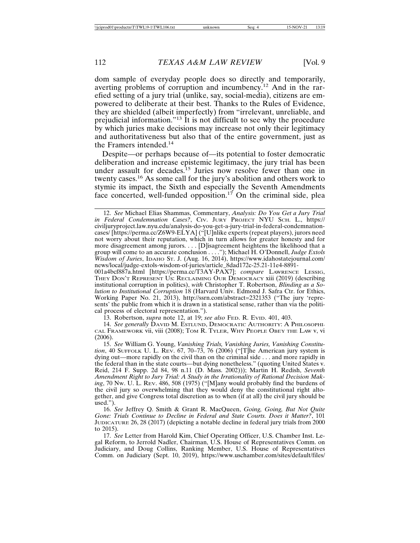dom sample of everyday people does so directly and temporarily, averting problems of corruption and incumbency.12 And in the rarefied setting of a jury trial (unlike, say, social-media), citizens are empowered to deliberate at their best. Thanks to the Rules of Evidence, they are shielded (albeit imperfectly) from "irrelevant, unreliable, and prejudicial information."13 It is not difficult to see why the procedure by which juries make decisions may increase not only their legitimacy and authoritativeness but also that of the entire government, just as the Framers intended.<sup>14</sup>

Despite—or perhaps because of—its potential to foster democratic deliberation and increase epistemic legitimacy, the jury trial has been under assault for decades.<sup>15</sup> Juries now resolve fewer than one in twenty cases.16 As some call for the jury's abolition and others work to stymie its impact, the Sixth and especially the Seventh Amendments face concerted, well-funded opposition.<sup>17</sup> On the criminal side, plea

001a4bcf887a.html [https://perma.cc/T3AY-PAX7]; *compare* LAWRENCE LESSIG, THEY DON'T REPRESENT US: RECLAIMING OUR DEMOCRACY xiii (2019) (describing institutional corruption in politics), *with* Christopher T. Robertson, *Blinding as a Solution to Institutional Corruption* 18 (Harvard Univ. Edmond J. Safra Ctr. for Ethics, Working Paper No. 21, 2013), http://ssrn.com/abstract=2321353 ("The jury 'represents' the public from which it is drawn in a statistical sense, rather than via the political process of electoral representation.").

13. Robertson, *supra* note 12, at 19; *see also* FED. R. EVID. 401, 403.

14. *See generally* DAVID M. ESTLUND, DEMOCRATIC AUTHORITY: A PHILOSOPHI-CAL FRAMEWORK vii, viii (2008); TOM R. TYLER, WHY PEOPLE OBEY THE LAW v, vi (2006).

15. *See* William G. Young, *Vanishing Trials, Vanishing Juries, Vanishing Constitution*, 40 SUFFOLK U. L. REV. 67, 70–73, 76 (2006) ("[T]he American jury system is dying out—more rapidly on the civil than on the criminal side . . . and more rapidly in the federal than in the state courts—but dying nonetheless." (quoting United States v. Reid, 214 F. Supp. 2d 84, 98 n.11 (D. Mass. 2002))); Martin H. Redish, *Seventh Amendment Right to Jury Trial: A Study in the Irrationality of Rational Decision Making*, 70 NW. U. L. REV. 486, 508 (1975) ("[M]any would probably find the burdens of the civil jury so overwhelming that they would deny the constitutional right altogether, and give Congress total discretion as to when (if at all) the civil jury should be used.").

16. *See* Jeffrey Q. Smith & Grant R. MacQueen, *Going, Going, But Not Quite Gone: Trials Continue to Decline in Federal and State Courts. Does it Matter?*, 101 JUDICATURE 26, 28 (2017) (depicting a notable decline in federal jury trials from 2000 to 2015).

17. *See* Letter from Harold Kim, Chief Operating Officer, U.S. Chamber Inst. Legal Reform, to Jerrold Nadler, Chairman, U.S. House of Representatives Comm. on Judiciary, and Doug Collins, Ranking Member, U.S. House of Representatives Comm. on Judiciary (Sept. 10, 2019), https://www.uschamber.com/sites/default/files/

<sup>12.</sup> *See* Michael Elias Shammas, Commentary, *Analysis: Do You Get a Jury Trial in Federal Condemnation Cases?*, CIV. JURY PROJECT NYU SCH. L., https:// civiljuryproject.law.nyu.edu/analysis-do-you-get-a-jury-trial-in-federal-condemnationcases/ [https://perma.cc/Z6W9-ELYA] ("[U]nlike experts (repeat players), jurors need not worry about their reputation, which in turn allows for greater honesty and for more disagreement among jurors. . . . [D]isagreement heightens the likelihood that a group will come to an accurate conclusion . . . ."); Michael H. O'Donnell, *Judge Extols Wisdom of Juries*, IDAHO ST. J. (Aug. 16, 2014), https://www.idahostatejournal.com/ news/local/judge-extols-wisdom-of-juries/article\_8dad172c-25.21-11e4-8891-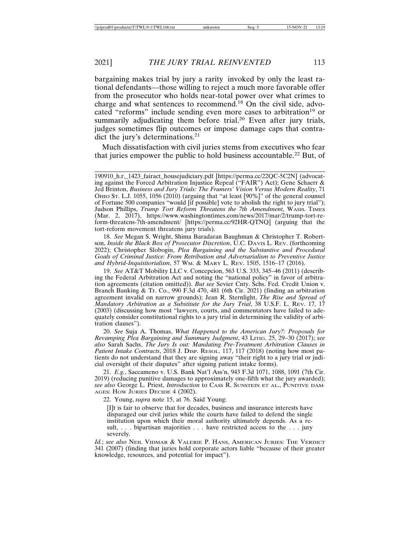bargaining makes trial by jury a rarity invoked by only the least rational defendants—those willing to reject a much more favorable offer from the prosecutor who holds near-total power over what crimes to charge and what sentences to recommend.18 On the civil side, advocated "reforms" include sending even more cases to arbitration<sup>19</sup> or summarily adjudicating them before trial.<sup>20</sup> Even after jury trials, judges sometimes flip outcomes or impose damage caps that contradict the jury's determinations.<sup>21</sup>

Much dissatisfaction with civil juries stems from executives who fear that juries empower the public to hold business accountable.<sup>22</sup> But, of

18. *See* Megan S. Wright, Shima Baradaran Baughman & Christopher T. Robertson, *Inside the Black Box of Prosecutor Discretion*, U.C. DAVIS L. REV. (forthcoming 2022); Christopher Slobogin, *Plea Bargaining and the Substantive and Procedural Goals of Criminal Justice: From Retribution and Adversarialism to Preventive Justice and Hybrid-Inquisitorialism*, 57 WM. & MARY L. REV. 1505, 1516–17 (2016).

19. *See* AT&T Mobility LLC v. Concepcion, 563 U.S. 333, 345–46 (2011) (describing the Federal Arbitration Act and noting the "national policy" in favor of arbitration agreements (citation omitted)). *But see* Sevier Cnty. Schs. Fed. Credit Union v. Branch Banking & Tr. Co., 990 F.3d 470, 481 (6th Cir. 2021) (finding an arbitration agreement invalid on narrow grounds); Jean R. Sternlight, *The Rise and Spread of Mandatory Arbitration as a Substitute for the Jury Trial*, 38 U.S.F. L. REV. 17, 17 (2003) (discussing how most "lawyers, courts, and commentators have failed to adequately consider constitutional rights to a jury trial in determining the validity of arbitration clauses").

20. *See* Suja A. Thomas, *What Happened to the American Jury?: Proposals for Revamping Plea Bargaining and Summary Judgment*, 43 LITIG. 25, 29–30 (2017); *see also* Sarah Sachs, *The Jury Is out: Mandating Pre-Treatment Arbitration Clauses in Patient Intake Contracts*, 2018 J. DISP. RESOL. 117, 117 (2018) (noting how most patients do not understand that they are signing away "their right to a jury trial or judicial oversight of their disputes" after signing patient intake forms).

21. *E.g.*, Saccameno v. U.S. Bank Nat'l Ass'n, 943 F.3d 1071, 1088, 1091 (7th Cir. 2019) (reducing punitive damages to approximately one-fifth what the jury awarded); *see also* George L. Priest, *Introduction* to CASS R. SUNSTEIN ET AL., PUNITIVE DAM-AGES: HOW JURIES DECIDE 4 (2002).

22. Young, *supra* note 15, at 76. Said Young:

[I]t is fair to observe that for decades, business and insurance interests have disparaged our civil juries while the courts have failed to defend the single institution upon which their moral authority ultimately depends. As a result, ... bipartisan majorities ... have restricted access to the ... jury severely.

*Id.*; *see also* NEIL VIDMAR & VALERIE P. HANS, AMERICAN JURIES: THE VERDICT 341 (2007) (finding that juries hold corporate actors liable "because of their greater knowledge, resources, and potential for impact").

<sup>190910</sup>\_h.r.\_1423\_fairact\_housejudiciary.pdf [https://perma.cc/22QC-5C2N] (advocating against the Forced Arbitration Injustice Repeal ("FAIR") Act); Gene Schaerr & Jed Brinton, *Business and Jury Trials: The Framers' Vision Versus Modern Reality*, 71 OHIO ST. L.J. 1055, 1056 (2010) (arguing that "at least [90%]" of the general counsel of Fortune 500 companies "would [if possible] vote to abolish the right to jury trial"); Judson Phillips, *Trump Tort Reform Threatens the 7th Amendment*, WASH. TIMES (Mar. 2, 2017), https://www.washingtontimes.com/news/2017/mar/2/trump-tort-reform-threatens-7th-amendment/ [https://perma.cc/92HR-QTNQ] (arguing that the tort-reform movement threatens jury trials).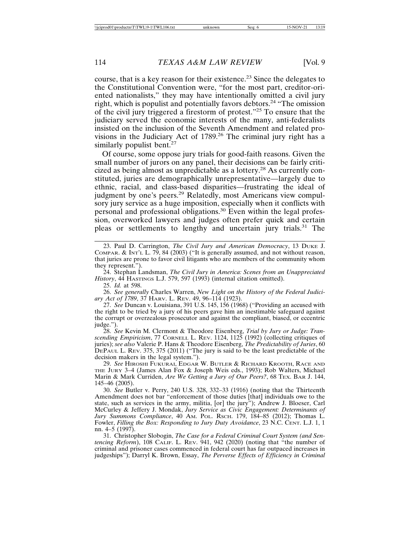course, that is a key reason for their existence.23 Since the delegates to the Constitutional Convention were, "for the most part, creditor-oriented nationalists," they may have intentionally omitted a civil jury right, which is populist and potentially favors debtors.24 "The omission of the civil jury triggered a firestorm of protest."25 To ensure that the judiciary served the economic interests of the many, anti-federalists insisted on the inclusion of the Seventh Amendment and related provisions in the Judiciary Act of 1789.<sup>26</sup> The criminal jury right has a similarly populist bent.<sup>27</sup>

Of course, some oppose jury trials for good-faith reasons. Given the small number of jurors on any panel, their decisions can be fairly criticized as being almost as unpredictable as a lottery.28 As currently constituted, juries are demographically unrepresentative—largely due to ethnic, racial, and class-based disparities—frustrating the ideal of judgment by one's peers.<sup>29</sup> Relatedly, most Americans view compulsory jury service as a huge imposition, especially when it conflicts with personal and professional obligations.30 Even within the legal profession, overworked lawyers and judges often prefer quick and certain pleas or settlements to lengthy and uncertain jury trials.31 The

24. Stephan Landsman, *The Civil Jury in America: Scenes from an Unappreciated History*, 44 HASTINGS L.J. 579, 597 (1993) (internal citation omitted).

25. *Id.* at 598.

26. *See generally* Charles Warren, *New Light on the History of the Federal Judiciary Act of 1789*, 37 HARV. L. REV. 49, 96–114 (1923).

27. *See* Duncan v. Louisiana, 391 U.S. 145, 156 (1968) ("Providing an accused with the right to be tried by a jury of his peers gave him an inestimable safeguard against the corrupt or overzealous prosecutor and against the compliant, biased, or eccentric judge.").

28. *See* Kevin M. Clermont & Theodore Eisenberg, *Trial by Jury or Judge: Transcending Empiricism*, 77 CORNELL L. REV. 1124, 1125 (1992) (collecting critiques of juries); *see also* Valerie P. Hans & Theodore Eisenberg, *The Predictability of Juries*, 60 DEPAUL L. REV. 375, 375 (2011) ("The jury is said to be the least predictable of the decision makers in the legal system.").

29. *See* HIROSHI FUKURAI, EDGAR W. BUTLER & RICHARD KROOTH, RACE AND THE JURY 3–4 (James Alan Fox & Joseph Weis eds., 1993); Rob Walters, Michael Marin & Mark Curriden, *Are We Getting a Jury of Our Peers?*, 68 TEX. BAR J. 144, 145–46 (2005).

30. *See* Butler v. Perry, 240 U.S. 328, 332–33 (1916) (noting that the Thirteenth Amendment does not bar "enforcement of those duties [that] individuals owe to the state, such as services in the army, militia, [or] the jury"); Andrew J. Bloeser, Carl McCurley & Jeffery J. Mondak, *Jury Service as Civic Engagement: Determinants of Jury Summons Compliance*, 40 AM. POL. RSCH. 179, 184–85 (2012); Thomas L. Fowler, *Filling the Box: Responding to Jury Duty Avoidance*, 23 N.C. CENT. L.J. 1, 1 nn. 4–5 (1997).

31. Christopher Slobogin, *The Case for a Federal Criminal Court System (and Sentencing Reform*), 108 CALIF. L. REV. 941, 942 (2020) (noting that "the number of criminal and prisoner cases commenced in federal court has far outpaced increases in judgeships"); Darryl K. Brown, Essay, *The Perverse Effects of Efficiency in Criminal*

<sup>23.</sup> Paul D. Carrington, *The Civil Jury and American Democracy*, 13 DUKE J. COMPAR. & INT'L L. 79, 84 (2003) ("It is generally assumed, and not without reason, that juries are prone to favor civil litigants who are members of the community whom they represent.").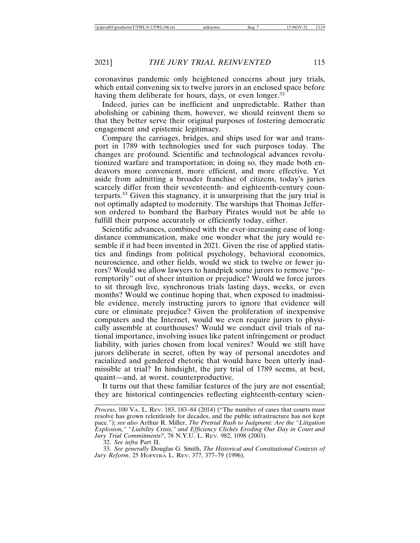coronavirus pandemic only heightened concerns about jury trials, which entail convening six to twelve jurors in an enclosed space before having them deliberate for hours, days, or even longer.<sup>32</sup>

Indeed, juries can be inefficient and unpredictable. Rather than abolishing or cabining them, however, we should reinvent them so that they better serve their original purposes of fostering democratic engagement and epistemic legitimacy.

Compare the carriages, bridges, and ships used for war and transport in 1789 with technologies used for such purposes today. The changes are profound. Scientific and technological advances revolutionized warfare and transportation; in doing so, they made both endeavors more convenient, more efficient, and more effective. Yet aside from admitting a broader franchise of citizens, today's juries scarcely differ from their seventeenth- and eighteenth-century counterparts.33 Given this stagnancy, it is unsurprising that the jury trial is not optimally adapted to modernity. The warships that Thomas Jefferson ordered to bombard the Barbary Pirates would not be able to fulfill their purpose accurately or efficiently today, either.

Scientific advances, combined with the ever-increasing ease of longdistance communication, make one wonder what the jury would resemble if it had been invented in 2021. Given the rise of applied statistics and findings from political psychology, behavioral economics, neuroscience, and other fields, would we stick to twelve or fewer jurors? Would we allow lawyers to handpick some jurors to remove "peremptorily" out of sheer intuition or prejudice? Would we force jurors to sit through live, synchronous trials lasting days, weeks, or even months? Would we continue hoping that, when exposed to inadmissible evidence, merely instructing jurors to ignore that evidence will cure or eliminate prejudice? Given the proliferation of inexpensive computers and the Internet, would we even require jurors to physically assemble at courthouses? Would we conduct civil trials of national importance, involving issues like patent infringement or product liability, with juries chosen from local venires? Would we still have jurors deliberate in secret, often by way of personal anecdotes and racialized and gendered rhetoric that would have been utterly inadmissible at trial? In hindsight, the jury trial of 1789 seems, at best, quaint—and, at worst, counterproductive.

It turns out that these familiar features of the jury are not essential; they are historical contingencies reflecting eighteenth-century scien-

*Process*, 100 VA. L. REV. 183, 183–84 (2014) ("The number of cases that courts must resolve has grown relentlessly for decades, and the public infrastructure has not kept pace."); *see also* Arthur R. Miller, *The Pretrial Rush to Judgment: Are the "Litigation Explosion," "Liability Crisis," and Efficiency Clich´es Eroding Our Day in Court and Jury Trial Commitments?*, 78 N.Y.U. L. REV. 982, 1098 (2003).

<sup>32.</sup> *See infra* Part II.

<sup>33.</sup> *See generally* Douglas G. Smith, *The Historical and Constitutional Contexts of Jury Reform*, 25 HOFSTRA L. REV. 377, 377–79 (1996).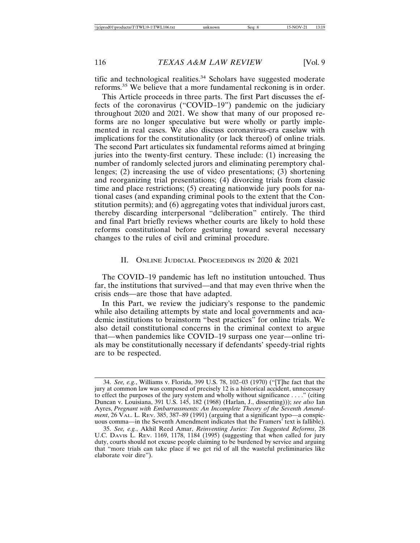tific and technological realities.<sup>34</sup> Scholars have suggested moderate reforms.35 We believe that a more fundamental reckoning is in order.

This Article proceeds in three parts. The first Part discusses the effects of the coronavirus ("COVID–19") pandemic on the judiciary throughout 2020 and 2021. We show that many of our proposed reforms are no longer speculative but were wholly or partly implemented in real cases. We also discuss coronavirus-era caselaw with implications for the constitutionality (or lack thereof) of online trials. The second Part articulates six fundamental reforms aimed at bringing juries into the twenty-first century. These include: (1) increasing the number of randomly selected jurors and eliminating peremptory challenges; (2) increasing the use of video presentations; (3) shortening and reorganizing trial presentations; (4) divorcing trials from classic time and place restrictions; (5) creating nationwide jury pools for national cases (and expanding criminal pools to the extent that the Constitution permits); and (6) aggregating votes that individual jurors cast, thereby discarding interpersonal "deliberation" entirely. The third and final Part briefly reviews whether courts are likely to hold these reforms constitutional before gesturing toward several necessary changes to the rules of civil and criminal procedure.

### II. ONLINE JUDICIAL PROCEEDINGS IN 2020 & 2021

The COVID–19 pandemic has left no institution untouched. Thus far, the institutions that survived—and that may even thrive when the crisis ends—are those that have adapted.

In this Part, we review the judiciary's response to the pandemic while also detailing attempts by state and local governments and academic institutions to brainstorm "best practices" for online trials. We also detail constitutional concerns in the criminal context to argue that—when pandemics like COVID–19 surpass one year—online trials may be constitutionally necessary if defendants' speedy-trial rights are to be respected.

<sup>34.</sup> *See, e.g.*, Williams v. Florida, 399 U.S. 78, 102–03 (1970) ("[T]he fact that the jury at common law was composed of precisely 12 is a historical accident, unnecessary to effect the purposes of the jury system and wholly without significance . . . ." (citing Duncan v. Louisiana, 391 U.S. 145, 182 (1968) (Harlan, J., dissenting))); *see also* Ian Ayres, *Pregnant with Embarrassments: An Incomplete Theory of the Seventh Amendment*, 26 VAL. L. REV. 385, 387–89 (1991) (arguing that a significant typo—a conspicuous comma—in the Seventh Amendment indicates that the Framers' text is fallible).

<sup>35.</sup> *See, e.g.*, Akhil Reed Amar, *Reinventing Juries: Ten Suggested Reforms*, 28 U.C. DAVIS L. REV. 1169, 1178, 1184 (1995) (suggesting that when called for jury duty, courts should not excuse people claiming to be burdened by service and arguing that "more trials can take place if we get rid of all the wasteful preliminaries like elaborate voir dire").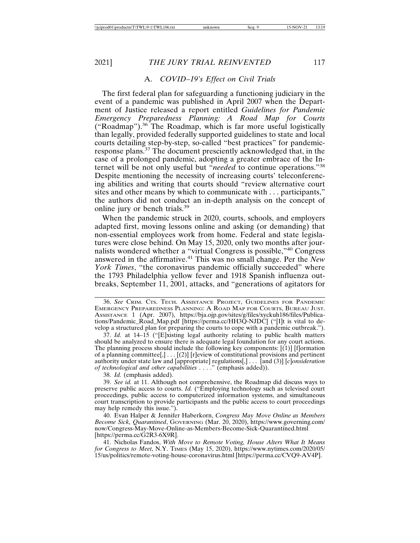#### A. *COVID–19's Effect on Civil Trials*

The first federal plan for safeguarding a functioning judiciary in the event of a pandemic was published in April 2007 when the Department of Justice released a report entitled *Guidelines for Pandemic Emergency Preparedness Planning: A Road Map for Courts* ("Roadmap").36 The Roadmap, which is far more useful logistically than legally, provided federally supported guidelines to state and local courts detailing step-by-step, so-called "best practices" for pandemicresponse plans.37 The document presciently acknowledged that, in the case of a prolonged pandemic, adopting a greater embrace of the Internet will be not only useful but "*needed* to continue operations."<sup>38</sup> Despite mentioning the necessity of increasing courts' teleconferencing abilities and writing that courts should "review alternative court sites and other means by which to communicate with . . . participants," the authors did not conduct an in-depth analysis on the concept of online jury or bench trials.<sup>39</sup>

When the pandemic struck in 2020, courts, schools, and employers adapted first, moving lessons online and asking (or demanding) that non-essential employees work from home. Federal and state legislatures were close behind. On May 15, 2020, only two months after journalists wondered whether a "virtual Congress is possible,"40 Congress answered in the affirmative.41 This was no small change. Per the *New York Times*, "the coronavirus pandemic officially succeeded" where the 1793 Philadelphia yellow fever and 1918 Spanish influenza outbreaks, September 11, 2001, attacks, and "generations of agitators for

36. *See* CRIM. CTS. TECH. ASSISTANCE PROJECT, GUIDELINES FOR PANDEMIC EMERGENCY PREPAREDNESS PLANNING: A ROAD MAP FOR COURTS, BUREAU JUST. ASSISTANCE 1 (Apr. 2007), https://bja.ojp.gov/sites/g/files/xyckuh186/files/Publications/Pandemic\_Road\_Map.pdf [https://perma.cc/HH3Q-NJDC] ("[I]t is vital to develop a structured plan for preparing the courts to cope with a pandemic outbreak.").

37. *Id.* at 14–15 ("[E]xisting legal authority relating to public health matters should be analyzed to ensure there is adequate legal foundation for any court actions. The planning process should include the following key components:  $[(1)]$  [f]ormation of a planning committee[,] . . . [(2)] [r]eview of constitutional provisions and pertinent authority under state law and [appropriate] regulations[,] . . . [and (3)] [*c*]*onsideration of technological and other capabilities* . . . ." (emphasis added)).

38. *Id.* (emphasis added).

39. *See id.* at 11. Although not comprehensive, the Roadmap did discuss ways to preserve public access to courts. *Id.* ("Employing technology such as televised court proceedings, public access to computerized information systems, and simultaneous court transcription to provide participants and the public access to court proceedings may help remedy this issue.").

40. Evan Halper & Jennifer Haberkorn, *Congress May Move Online as Members Become Sick, Quarantined*, GOVERNING (Mar. 20, 2020), https://www.governing.com/ now/Congress-May-Move-Online-as-Members-Become-Sick-Quarantined.html [https://perma.cc/G2R3-6X9R].

41. Nicholas Fandos, *With Move to Remote Voting, House Alters What It Means for Congress to Meet*, N.Y. TIMES (May 15, 2020), https://www.nytimes.com/2020/05/ 15/us/politics/remote-voting-house-coronavirus.html [https://perma.cc/CVQ9-AV4P].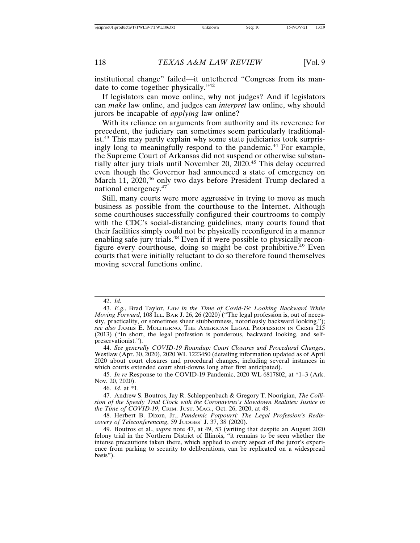institutional change" failed—it untethered "Congress from its mandate to come together physically."<sup>42</sup>

If legislators can move online, why not judges? And if legislators can *make* law online, and judges can *interpret* law online, why should jurors be incapable of *applying* law online?

With its reliance on arguments from authority and its reverence for precedent, the judiciary can sometimes seem particularly traditionalist.43 This may partly explain why some state judiciaries took surprisingly long to meaningfully respond to the pandemic.44 For example, the Supreme Court of Arkansas did not suspend or otherwise substantially alter jury trials until November 20, 2020.45 This delay occurred even though the Governor had announced a state of emergency on March 11, 2020,<sup>46</sup> only two days before President Trump declared a national emergency.<sup>47</sup>

Still, many courts were more aggressive in trying to move as much business as possible from the courthouse to the Internet. Although some courthouses successfully configured their courtrooms to comply with the CDC's social-distancing guidelines, many courts found that their facilities simply could not be physically reconfigured in a manner enabling safe jury trials.<sup>48</sup> Even if it were possible to physically reconfigure every courthouse, doing so might be cost prohibitive.<sup>49</sup> Even courts that were initially reluctant to do so therefore found themselves moving several functions online.

<sup>42.</sup> *Id.*

<sup>43.</sup> *E.g.*, Brad Taylor, *Law in the Time of Covid-19: Looking Backward While Moving Forward*, 108 ILL. BAR J. 26, 26 (2020) ("The legal profession is, out of necessity, practicality, or sometimes sheer stubbornness, notoriously backward looking."); *see also* JAMES E. MOLITERNO, THE AMERICAN LEGAL PROFESSION IN CRISIS 215 (2013) ("In short, the legal profession is ponderous, backward looking, and selfpreservationist.").

<sup>44.</sup> *See generally COVID-19 Roundup: Court Closures and Procedural Changes*, Westlaw (Apr. 30, 2020), 2020 WL 1223450 (detailing information updated as of April 2020 about court closures and procedural changes, including several instances in which courts extended court shut-downs long after first anticipated).

<sup>45.</sup> *In re* Response to the COVID-19 Pandemic, 2020 WL 6817802, at \*1–3 (Ark. Nov. 20, 2020).

<sup>46.</sup> *Id.* at \*1.

<sup>47.</sup> Andrew S. Boutros, Jay R. Schleppenbach & Gregory T. Noorigian, *The Collision of the Speedy Trial Clock with the Coronavirus's Slowdown Realities: Justice in the Time of COVID-19*, CRIM. JUST. MAG., Oct. 26, 2020, at 49.

<sup>48.</sup> Herbert B. Dixon, Jr., *Pandemic Potpourri: The Legal Profession's Rediscovery of Teleconferencing*, 59 JUDGES' J. 37, 38 (2020).

<sup>49.</sup> Boutros et al., *supra* note 47, at 49, 53 (writing that despite an August 2020 felony trial in the Northern District of Illinois, "it remains to be seen whether the intense precautions taken there, which applied to every aspect of the juror's experience from parking to security to deliberations, can be replicated on a widespread basis").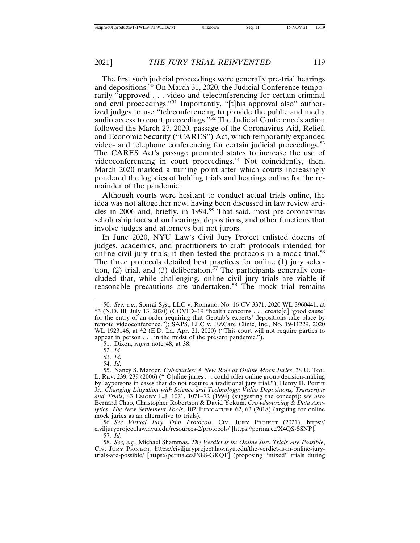The first such judicial proceedings were generally pre-trial hearings and depositions.50 On March 31, 2020, the Judicial Conference temporarily "approved . . . video and teleconferencing for certain criminal and civil proceedings."51 Importantly, "[t]his approval also" authorized judges to use "teleconferencing to provide the public and media audio access to court proceedings."52 The Judicial Conference's action followed the March 27, 2020, passage of the Coronavirus Aid, Relief, and Economic Security ("CARES") Act, which temporarily expanded video- and telephone conferencing for certain judicial proceedings.<sup>53</sup> The CARES Act's passage prompted states to increase the use of videoconferencing in court proceedings.<sup>54</sup> Not coincidently, then, March 2020 marked a turning point after which courts increasingly pondered the logistics of holding trials and hearings online for the remainder of the pandemic.

Although courts were hesitant to conduct actual trials online, the idea was not altogether new, having been discussed in law review articles in 2006 and, briefly, in 1994.<sup>55</sup> That said, most pre-coronavirus scholarship focused on hearings, depositions, and other functions that involve judges and attorneys but not jurors.

In June 2020, NYU Law's Civil Jury Project enlisted dozens of judges, academics, and practitioners to craft protocols intended for online civil jury trials; it then tested the protocols in a mock trial.<sup>56</sup> The three protocols detailed best practices for online (1) jury selection, (2) trial, and (3) deliberation.<sup>57</sup> The participants generally concluded that, while challenging, online civil jury trials are viable if reasonable precautions are undertaken.58 The mock trial remains

51. Dixon, *supra* note 48, at 38.

54. *Id.*

55. Nancy S. Marder, *Cyberjuries: A New Role as Online Mock Juries*, 38 U. TOL. L. REV. 239, 239 (2006) ("[O]nline juries . . . could offer online group decision-making by laypersons in cases that do not require a traditional jury trial."); Henry H. Perritt Jr., *Changing Litigation with Science and Technology: Video Depositions, Transcripts and Trials*, 43 EMORY L.J. 1071, 1071–72 (1994) (suggesting the concept); *see also* Bernard Chao, Christopher Robertson & David Yokum, *Crowdsourcing & Data Analytics: The New Settlement Tools*, 102 JUDICATURE 62, 63 (2018) (arguing for online mock juries as an alternative to trials).

56. *See Virtual Jury Trial Protocols*, CIV. JURY PROJECT (2021), https:// civiljuryproject.law.nyu.edu/resources-2/protocols/ [https://perma.cc/X4QS-SSNP]. 57. *Id*.

58. *See, e.g.*, Michael Shammas, *The Verdict Is in: Online Jury Trials Are Possible*, CIV. JURY PROJECT, https://civiljuryproject.law.nyu.edu/the-verdict-is-in-online-jurytrials-are-possible/ [https://perma.cc/JN88-GKQF] (proposing "mixed" trials during

<sup>50.</sup> *See, e.g.*, Sonrai Sys., LLC v. Romano, No. 16 CV 3371, 2020 WL 3960441, at \*3 (N.D. Ill. July 13, 2020) (COVID–19 "health concerns . . . create[d] 'good cause' for the entry of an order requiring that Geotab's experts' depositions take place by remote videoconference."); SAPS, LLC v. EZCare Clinic, Inc., No. 19-11229, 2020 WL 1923146, at \*2 (E.D. La. Apr. 21, 2020) ("This court will not require parties to appear in person . . . in the midst of the present pandemic.").

<sup>52.</sup> *Id.*

<sup>53.</sup> *Id.*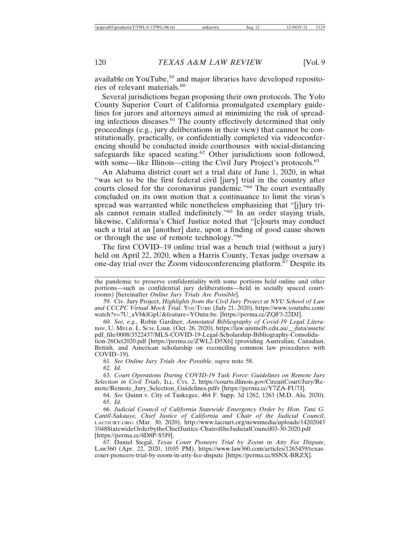available on YouTube,<sup>59</sup> and major libraries have developed repositories of relevant materials.<sup>60</sup>

Several jurisdictions began proposing their own protocols. The Yolo County Superior Court of California promulgated exemplary guidelines for jurors and attorneys aimed at minimizing the risk of spreading infectious diseases.61 The county effectively determined that only proceedings (e.g., jury deliberations in their view) that cannot be constitutionally, practically, or confidentially completed via videoconferencing should be conducted inside courthouses with social-distancing safeguards like spaced seating.<sup>62</sup> Other jurisdictions soon followed, with some—like Illinois—citing the Civil Jury Project's protocols.<sup>63</sup>

An Alabama district court set a trial date of June 1, 2020, in what "was set to be the first federal civil [jury] trial in the country after courts closed for the coronavirus pandemic."64 The court eventually concluded on its own motion that a continuance to limit the virus's spread was warranted while nonetheless emphasizing that "[j]ury trials cannot remain stalled indefinitely."65 In an order staying trials, likewise, California's Chief Justice noted that "[c]ourts may conduct such a trial at an [another] date, upon a finding of good cause shown or through the use of remote technology."<sup>66</sup>

The first COVID–19 online trial was a bench trial (without a jury) held on April 22, 2020, when a Harris County, Texas judge oversaw a one-day trial over the Zoom videoconferencing platform.<sup>67</sup> Despite its

59. Civ. Jury Project, *Highlights from the Civil Jury Project at NYU School of Law and CCCPC Virtual Mock Trial*, YOUTUBE (July 21, 2020), https://www.youtube.com/ watch?v=7U\_aVbklGpU&feature=YOutu.be. [https://perma.cc/ZQF3-22DJ].

60. *See, e.g.*, Robin Gardner, *Annotated Bibliography of Covid-19 Legal Literature*, U. MELB. L. SCH. LIBR. (Oct. 26, 2020), https://law.unimelb.edu.au/\_\_data/assets/ pdf\_file/0008/3522437/MLS-COVID-19-Legal-Scholarship-Bibliography-Consolidation-26Oct2020.pdf [https://perma.cc/ZWL2-D5X6] (providing Australian, Canadian, British, and American scholarship on reconciling common law procedures with COVID–19).

61. *See Online Jury Trials Are Possible*, *supra* note 58.

62. *Id.*

63. *Court Operations During COVID-19 Task Force*: *Guidelines on Remote Jury Selection in Civil Trials*, ILL. CTS. 2, https://courts.illinois.gov/CircuitCourt/Jury/Remote/Remote\_Jury\_Selection\_Guidelines.pdfv [https://perma.cc/Y7ZA-FU7J].

64. *See* Quinn v. City of Tuskegee, 464 F. Supp. 3d 1262, 1263 (M.D. Ala. 2020). 65. *Id.*

66. *Judicial Council of California Statewide Emergency Order by Hon. Tani G. Cantil-Sakauye, Chief Justice of California and Chair of the Judicial Council*, LACOURT.ORG (Mar. 30, 2020), http://www.lacourt.org/newsmedia/uploads/14202043 1048StatewideOrderbytheChiefJustice-ChairoftheJudicialCouncil03-30-2020.pdf [https://perma.cc/4D8P-S5J9].

67. Daniel Siegal, *Texas Court Pioneers Trial by Zoom in Atty Fee Dispute*, LAW360 (Apr. 22, 2020, 10:05 PM), https://www.law360.com/articles/1265459/texascourt-pioneers-trial-by-zoom-in-atty-fee-dispute [https://perma.cc/8SNX-BRZX].

the pandemic to preserve confidentiality with some portions held online and other portions—such as confidential jury deliberations—held in socially spaced courtrooms) [hereinafter *Online Jury Trials Are Possible*].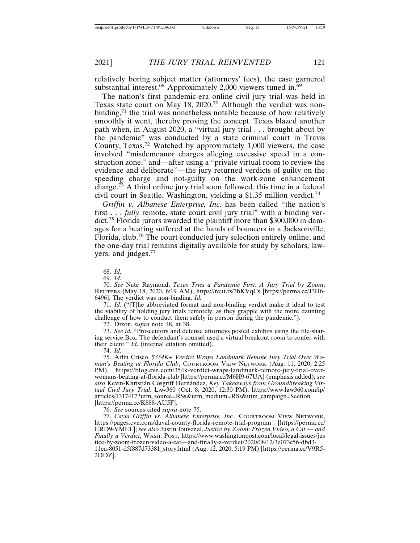relatively boring subject matter (attorneys' fees), the case garnered substantial interest. $68$  Approximately 2,000 viewers tuned in. $69$ 

The nation's first pandemic-era online civil jury trial was held in Texas state court on May 18, 2020.70 Although the verdict was nonbinding, $71$  the trial was nonetheless notable because of how relatively smoothly it went, thereby proving the concept. Texas blazed another path when, in August 2020, a "virtual jury trial . . . brought about by the pandemic" was conducted by a state criminal court in Travis County, Texas.72 Watched by approximately 1,000 viewers, the case involved "misdemeanor charges alleging excessive speed in a construction zone," and—after using a "private virtual room to review the evidence and deliberate"—the jury returned verdicts of guilty on the speeding charge and not-guilty on the work-zone enhancement charge.<sup>73</sup> A third online jury trial soon followed, this time in a federal civil court in Seattle, Washington, yielding a \$1.35 million verdict.<sup>74</sup>

*Griffin v. Albanese Enterprise, Inc*. has been called "the nation's first . . . *fully* remote, state court civil jury trial" with a binding verdict.75 Florida jurors awarded the plaintiff more than \$300,000 in damages for a beating suffered at the hands of bouncers in a Jacksonville, Florida, club.76 The court conducted jury selection entirely online, and the one-day trial remains digitally available for study by scholars, lawyers, and judges.<sup>77</sup>

70. *See* Nate Raymond, *Texas Tries a Pandemic First: A Jury Trial by Zoom*, REUTERS (May 18, 2020, 6:19 AM), https://reut.rs/3hKVqCs [https://perma.cc/J3H6- 6496]. The verdict was non-binding. *Id.*

71. *Id*. ("[T]he abbreviated format and non-binding verdict make it ideal to test the viability of holding jury trials remotely, as they grapple with the more daunting challenge of how to conduct them safely in person during the pandemic.").

72. Dixon, *supra* note 48, at 38.

73. *See id.* "Prosecutors and defense attorneys posted exhibits using the file-sharing service Box. The defendant's counsel used a virtual breakout room to confer with their client." *Id*. (internal citation omitted).

74. *Id.*

75. Arlin Crisco, *\$354K+ Verdict Wraps Landmark Remote Jury Trial Over Woman's Beating at Florida Club*, COURTROOM VIEW NETWORK (Aug. 11, 2020, 2:25 PM), https://blog.cvn.com/354k-verdict-wraps-landmark-remote-jury-trial-overwomans-beating-at-florida-club [https://perma.cc/M6H9-67UA] (emphasis added); *see* also Kevin-Khristián Cosgriff Hernández, *Key Takeaways from Groundbreaking Virtual Civil Jury Trial*, LAW360 (Oct. 8, 2020, 12:30 PM), https://www.law360.com/ip/ articles/1317417?utm\_source=RSs&utm\_medium=RSs&utm\_campaign=Section [https://perma.cc/K888-AU5F].

76. *See* sources cited *supra* note 75.

77. *Cayla Griffin vs. Albanese Enterprise, Inc.*, COURTROOM VIEW NETWORK, https://pages.cvn.com/duval-county-florida-remote-trial-program [https://perma.cc/ ERD9-VMEL]; *see also* Justin Jouvenal, *Justice by Zoom: Frozen Video, a Cat — and Finally a Verdict*, WASH. POST, https://www.washingtonpost.com/local/legal-issues/jus tice-by-zoom-frozen-video-a-cat—and-finally-a-verdict/2020/08/12/3e073c56-dbd3- 11ea-8051-d5f887d73381\_story.html (Aug. 12, 2020, 5:19 PM) [https://perma.cc/V9R5- 2DDZ].

<sup>68.</sup> *Id.*

<sup>69.</sup> *Id.*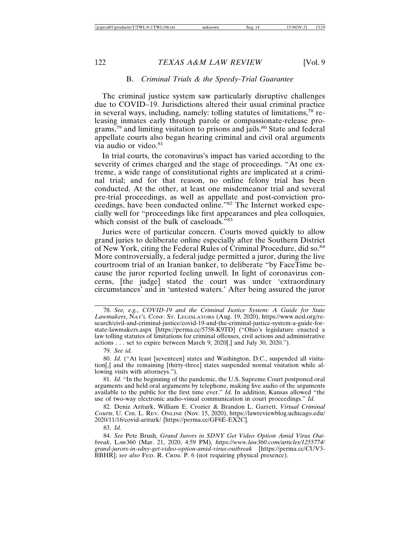#### B. *Criminal Trials & the Speedy-Trial Guarantee*

The criminal justice system saw particularly disruptive challenges due to COVID–19. Jurisdictions altered their usual criminal practice in several ways, including, namely: tolling statutes of limitations,78 releasing inmates early through parole or compassionate-release programs,<sup>79</sup> and limiting visitation to prisons and jails.<sup>80</sup> State and federal appellate courts also began hearing criminal and civil oral arguments via audio or video.<sup>81</sup>

In trial courts, the coronavirus's impact has varied according to the severity of crimes charged and the stage of proceedings. "At one extreme, a wide range of constitutional rights are implicated at a criminal trial; and for that reason, no online felony trial has been conducted. At the other, at least one misdemeanor trial and several pre-trial proceedings, as well as appellate and post-conviction proceedings, have been conducted online."82 The Internet worked especially well for "proceedings like first appearances and plea colloquies, which consist of the bulk of caseloads."<sup>83</sup>

Juries were of particular concern. Courts moved quickly to allow grand juries to deliberate online especially after the Southern District of New York, citing the Federal Rules of Criminal Procedure, did so.<sup>84</sup> More controversially, a federal judge permitted a juror, during the live courtroom trial of an Iranian banker, to deliberate "by FaceTime because the juror reported feeling unwell. In light of coronavirus concerns, [the judge] stated the court was under 'extraordinary circumstances' and in 'untested waters.' After being assured the juror

79. *See id.*

80. *Id.* ("At least [seventeen] states and Washington, D.C., suspended all visitation[,] and the remaining [thirty-three] states suspended normal visitation while allowing visits with attorneys.").

81. *Id.* "In the beginning of the pandemic, the U.S. Supreme Court postponed oral arguments and held oral arguments by telephone, making live audio of the arguments available to the public for the first time ever." *Id*. In addition, Kansas allowed "the use of two-way electronic audio-visual communication in court proceedings." *Id.*

82. Deniz Ariturk, William E. Crozier & Brandon L. Garrett, *Virtual Criminal Courts*, U. CHI. L. REV. ONLINE (Nov. 15, 2020), https://lawreviewblog.uchicago.edu/ 2020/11/16/covid-ariturk/ [https://perma.cc/GF6E-EX2C].

83. *Id.*

84. *See* Pete Brush*, Grand Jurors in SDNY Get Video Option Amid Virus Outbreak*, LAW360 (Mar. 21, 2020, 4:59 PM)*, https://www.law360.com/articles/1255774/ grand-jurors-in-sdny-get-video-option-amid-virus-outbreak* [https://perma.cc/CUV3- BBHR]; see also FED. R. CRIM. P. 6 (not requiring physical presence).

<sup>78.</sup> *See, e.g.*, *COVID-19 and the Criminal Justice System: A Guide for State Lawmakers*, NAT'L CONF. ST. LEGISLATORS (Aug. 19, 2020), https://www.ncsl.org/research/civil-and-criminal-justice/covid-19-and-the-criminal-justice-system-a-guide-forstate-lawmakers.aspx [https://perma.cc/5758-K9TD] ("Ohio's legislature enacted a law tolling statutes of limitations for criminal offenses, civil actions and administrative actions . . . set to expire between March 9, 2020[,] and July 30, 2020.").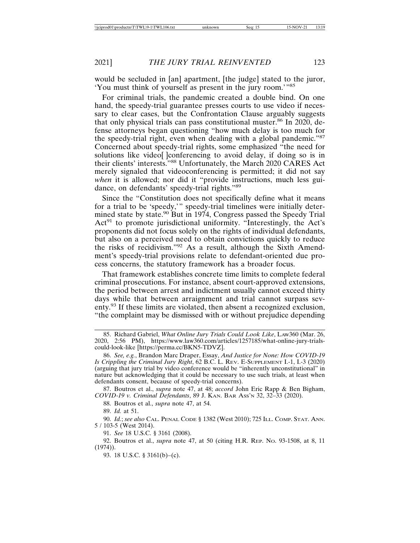would be secluded in [an] apartment, [the judge] stated to the juror, 'You must think of yourself as present in the jury room.'"<sup>85</sup>

For criminal trials, the pandemic created a double bind. On one hand, the speedy-trial guarantee presses courts to use video if necessary to clear cases, but the Confrontation Clause arguably suggests that only physical trials can pass constitutional muster.<sup>86</sup> In 2020, defense attorneys began questioning "how much delay is too much for the speedy-trial right, even when dealing with a global pandemic."<sup>87</sup> Concerned about speedy-trial rights, some emphasized "the need for solutions like video[ ]conferencing to avoid delay, if doing so is in their clients' interests."88 Unfortunately, the March 2020 CARES Act merely signaled that videoconferencing is permitted; it did not say *when* it is allowed; nor did it "provide instructions, much less guidance, on defendants' speedy-trial rights."<sup>89</sup>

Since the "Constitution does not specifically define what it means for a trial to be 'speedy,'" speedy-trial timelines were initially determined state by state.<sup>90</sup> But in 1974, Congress passed the Speedy Trial Act<sup>91</sup> to promote jurisdictional uniformity. "Interestingly, the Act's proponents did not focus solely on the rights of individual defendants, but also on a perceived need to obtain convictions quickly to reduce the risks of recidivism."92 As a result, although the Sixth Amendment's speedy-trial provisions relate to defendant-oriented due process concerns, the statutory framework has a broader focus.

That framework establishes concrete time limits to complete federal criminal prosecutions. For instance, absent court-approved extensions, the period between arrest and indictment usually cannot exceed thirty days while that between arraignment and trial cannot surpass seventy.93 If these limits are violated, then absent a recognized exclusion, "the complaint may be dismissed with or without prejudice depending

88. Boutros et al., *supra* note 47, at 54.

89. *Id.* at 51.

90. *Id.*; *see also* CAL. PENAL CODE § 1382 (West 2010); 725 ILL. COMP. STAT. ANN. 5 / 103-5 (West 2014).

91. *See* 18 U.S.C. § 3161 (2008).

93. 18 U.S.C. § 3161(b)–(c).

<sup>85.</sup> Richard Gabriel, *What Online Jury Trials Could Look Like*, LAW360 (Mar. 26, 2020, 2:56 PM), https://www.law360.com/articles/1257185/what-online-jury-trialscould-look-like [https://perma.cc/BKN5-TDVZ].

<sup>86.</sup> *See, e.g.*, Brandon Marc Draper, Essay, *And Justice for None: How COVID-19 Is Crippling the Criminal Jury Right*, 62 B.C. L. REV. E-SUPPLEMENT I.-1, I.-3 (2020) (arguing that jury trial by video conference would be "inherently unconstitutional" in nature but acknowledging that it could be necessary to use such trials, at least when defendants consent, because of speedy-trial concerns).

<sup>87.</sup> Boutros et al., *supra* note 47, at 48; *accord* John Eric Rapp & Ben Bigham, *COVID-19 v. Criminal Defendants*, 89 J. KAN. BAR ASS'N 32, 32–33 (2020).

<sup>92.</sup> Boutros et al., *supra* note 47, at 50 (citing H.R. REP. NO. 93-1508, at 8, 11  $(1974)$ ).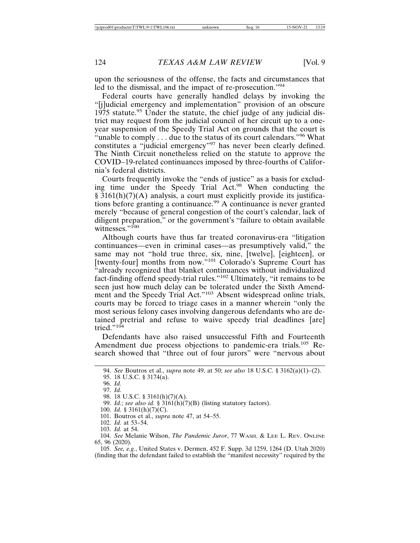upon the seriousness of the offense, the facts and circumstances that led to the dismissal, and the impact of re-prosecution."<sup>94</sup>

Federal courts have generally handled delays by invoking the "[j]udicial emergency and implementation" provision of an obscure  $1975$  statute.<sup>95</sup> Under the statute, the chief judge of any judicial district may request from the judicial council of her circuit up to a oneyear suspension of the Speedy Trial Act on grounds that the court is "unable to comply . . . due to the status of its court calendars."<sup>96</sup> What constitutes a "judicial emergency"97 has never been clearly defined. The Ninth Circuit nonetheless relied on the statute to approve the COVID–19-related continuances imposed by three-fourths of California's federal districts.

Courts frequently invoke the "ends of justice" as a basis for excluding time under the Speedy Trial Act.98 When conducting the § 3161(h)(7)(A) analysis, a court must explicitly provide its justifications before granting a continuance.<sup>99</sup> A continuance is never granted merely "because of general congestion of the court's calendar, lack of diligent preparation," or the government's "failure to obtain available witnesses."100

Although courts have thus far treated coronavirus-era "litigation continuances—even in criminal cases—as presumptively valid," the same may not "hold true three, six, nine, [twelve], [eighteen], or [twenty-four] months from now."<sup>101</sup> Colorado's Supreme Court has "already recognized that blanket continuances without individualized fact-finding offend speedy-trial rules."102 Ultimately, "it remains to be seen just how much delay can be tolerated under the Sixth Amendment and the Speedy Trial Act."103 Absent widespread online trials, courts may be forced to triage cases in a manner wherein "only the most serious felony cases involving dangerous defendants who are detained pretrial and refuse to waive speedy trial deadlines [are] tried."<sup>104</sup>

Defendants have also raised unsuccessful Fifth and Fourteenth Amendment due process objections to pandemic-era trials.<sup>105</sup> Research showed that "three out of four jurors" were "nervous about

102. *Id.* at 53–54.

105. *See, e.g.*, United States v. Dermen, 452 F. Supp. 3d 1259, 1264 (D. Utah 2020) (finding that the defendant failed to establish the "manifest necessity" required by the

<sup>94.</sup> *See* Boutros et al., *supra* note 49, at 50; *see also* 18 U.S.C. § 3162(a)(1)–(2).

<sup>95. 18</sup> U.S.C. § 3174(a).

<sup>96.</sup> *Id.* 97. *Id.*

<sup>98. 18</sup> U.S.C. § 3161(h)(7)(A).

<sup>99.</sup> *Id.*; *see also id.* § 3161(h)(7)(B) (listing statutory factors).

<sup>100.</sup> *Id.* § 3161(h)(7)(C).

<sup>101.</sup> Boutros et al., *supra* note 47, at 54–55.

<sup>103.</sup> *Id.* at 54.

<sup>104.</sup> *See* Melanie Wilson, *The Pandemic Juror*, 77 WASH. & LEE L. REV. ONLINE 65, 96 (2020).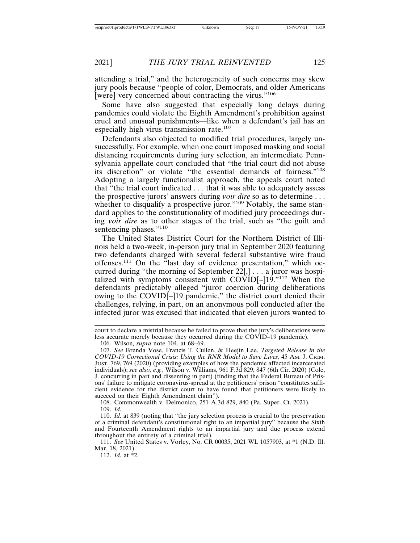attending a trial," and the heterogeneity of such concerns may skew jury pools because "people of color, Democrats, and older Americans [were] very concerned about contracting the virus."<sup>106</sup>

Some have also suggested that especially long delays during pandemics could violate the Eighth Amendment's prohibition against cruel and unusual punishments—like when a defendant's jail has an especially high virus transmission rate.<sup>107</sup>

Defendants also objected to modified trial procedures, largely unsuccessfully. For example, when one court imposed masking and social distancing requirements during jury selection, an intermediate Pennsylvania appellate court concluded that "the trial court did not abuse its discretion" or violate "the essential demands of fairness."<sup>108</sup> Adopting a largely functionalist approach, the appeals court noted that "the trial court indicated . . . that it was able to adequately assess the prospective jurors' answers during *voir dire* so as to determine . . . whether to disqualify a prospective juror."<sup>109</sup> Notably, the same standard applies to the constitutionality of modified jury proceedings during *voir dire* as to other stages of the trial, such as "the guilt and sentencing phases."110

The United States District Court for the Northern District of Illinois held a two-week, in-person jury trial in September 2020 featuring two defendants charged with several federal substantive wire fraud offenses.111 On the "last day of evidence presentation," which occurred during "the morning of September  $22$ [,] . . . a juror was hospitalized with symptoms consistent with COVID[–]19."112 When the defendants predictably alleged "juror coercion during deliberations owing to the COVID[–]19 pandemic," the district court denied their challenges, relying, in part, on an anonymous poll conducted after the infected juror was excused that indicated that eleven jurors wanted to

108. Commonwealth v. Delmonico, 251 A.3d 829, 840 (Pa. Super. Ct. 2021). 109. *Id.*

112. *Id.* at \*2.

court to declare a mistrial because he failed to prove that the jury's deliberations were less accurate merely because they occurred during the COVID–19 pandemic).

<sup>106.</sup> Wilson*, supra* note 104, at 68–69.

<sup>107.</sup> *See* Brenda Vose, Francis T. Cullen, & Heejin Lee, *Targeted Release in the COVID-19 Correctional Crisis: Using the RNR Model to Save Lives,* 45 AM. J. CRIM. JUST. 769, 769 (2020) (providing examples of how the pandemic affected incarcerated individuals); *see also, e.g.*, Wilson v. Williams, 961 F.3d 829, 847 (6th Cir. 2020) (Cole, J. concurring in part and dissenting in part) (finding that the Federal Bureau of Prisons' failure to mitigate coronavirus-spread at the petitioners' prison "constitutes sufficient evidence for the district court to have found that petitioners were likely to succeed on their Eighth Amendment claim").

<sup>110.</sup> *Id.* at 839 (noting that "the jury selection process is crucial to the preservation of a criminal defendant's constitutional right to an impartial jury" because the Sixth and Fourteenth Amendment rights to an impartial jury and due process extend throughout the entirety of a criminal trial).

<sup>111.</sup> *See* United States v. Vorley, No. CR 00035, 2021 WL 1057903, at \*1 (N.D. Ill. Mar. 18, 2021).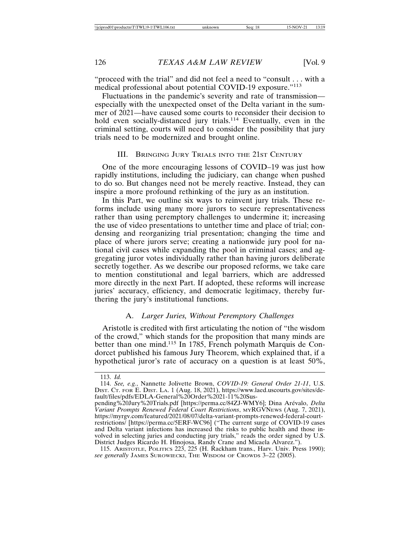"proceed with the trial" and did not feel a need to "consult . . . with a medical professional about potential COVID-19 exposure."<sup>113</sup>

Fluctuations in the pandemic's severity and rate of transmission especially with the unexpected onset of the Delta variant in the summer of 2021—have caused some courts to reconsider their decision to hold even socially-distanced jury trials.<sup>114</sup> Eventually, even in the criminal setting, courts will need to consider the possibility that jury trials need to be modernized and brought online.

#### III. BRINGING JURY TRIALS INTO THE 21ST CENTURY

One of the more encouraging lessons of COVID–19 was just how rapidly institutions, including the judiciary, can change when pushed to do so. But changes need not be merely reactive. Instead, they can inspire a more profound rethinking of the jury as an institution.

In this Part, we outline six ways to reinvent jury trials. These reforms include using many more jurors to secure representativeness rather than using peremptory challenges to undermine it; increasing the use of video presentations to untether time and place of trial; condensing and reorganizing trial presentation; changing the time and place of where jurors serve; creating a nationwide jury pool for national civil cases while expanding the pool in criminal cases; and aggregating juror votes individually rather than having jurors deliberate secretly together. As we describe our proposed reforms, we take care to mention constitutional and legal barriers, which are addressed more directly in the next Part. If adopted, these reforms will increase juries' accuracy, efficiency, and democratic legitimacy, thereby furthering the jury's institutional functions.

#### A. *Larger Juries, Without Peremptory Challenges*

Aristotle is credited with first articulating the notion of "the wisdom of the crowd," which stands for the proposition that many minds are better than one mind.115 In 1785, French polymath Marquis de Condorcet published his famous Jury Theorem, which explained that, if a hypothetical juror's rate of accuracy on a question is at least 50%,

<sup>113.</sup> *Id.*

<sup>114.</sup> *See, e.g.*, Nannette Jolivette Brown, *COVID-19: General Order 21-11*, U.S. DIST. CT. FOR E. DIST. LA. 1 (Aug. 18, 2021), https://www.laed.uscourts.gov/sites/default/files/pdfs/EDLA-General%20Order%2021-11%20Sus-

pending%20Jury%20Trials.pdf [https://perma.cc/84ZJ-WMY6]; Dina Arévalo, *Delta Variant Prompts Renewed Federal Court Restrictions*, MYRGVNEWS (Aug. 7, 2021), https://myrgv.com/featured/2021/08/07/delta-variant-prompts-renewed-federal-courtrestrictions/ [https://perma.cc/5ERF-WC96] ("The current surge of COVID-19 cases and Delta variant infections has increased the risks to public health and those involved in selecting juries and conducting jury trials," reads the order signed by U.S. District Judges Ricardo H. Hinojosa, Randy Crane and Micaela Alvarez.").

<sup>115.</sup> ARISTOTLE, POLITICS 223, 225 (H. Rackham trans., Harv. Univ. Press 1990); *see generally* JAMES SUROWIECKI, THE WISDOM OF CROWDS 3–22 (2005).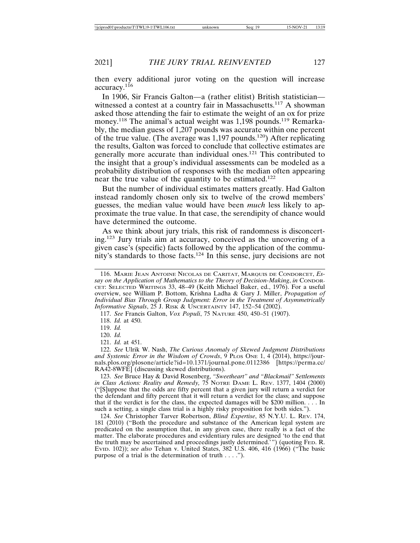then every additional juror voting on the question will increase accuracy.<sup>116</sup>

In 1906, Sir Francis Galton—a (rather elitist) British statistician witnessed a contest at a country fair in Massachusetts.<sup>117</sup> A showman asked those attending the fair to estimate the weight of an ox for prize money.<sup>118</sup> The animal's actual weight was  $1.198$  pounds.<sup>119</sup> Remarkably, the median guess of 1,207 pounds was accurate within one percent of the true value. (The average was  $1.197$  pounds.<sup>120</sup>) After replicating the results, Galton was forced to conclude that collective estimates are generally more accurate than individual ones.121 This contributed to the insight that a group's individual assessments can be modeled as a probability distribution of responses with the median often appearing near the true value of the quantity to be estimated.<sup>122</sup>

But the number of individual estimates matters greatly. Had Galton instead randomly chosen only six to twelve of the crowd members' guesses, the median value would have been *much* less likely to approximate the true value. In that case, the serendipity of chance would have determined the outcome.

As we think about jury trials, this risk of randomness is disconcerting.123 Jury trials aim at accuracy, conceived as the uncovering of a given case's (specific) facts followed by the application of the community's standards to those facts.124 In this sense, jury decisions are not

117. *See* Francis Galton, *Vox Populi*, 75 NATURE 450, 450–51 (1907).

118. *Id.* at 450.

119. *Id.*

120. *Id.*

<sup>116.</sup> MARIE JEAN ANTOINE NICOLAS DE CARITAT, MARQUIS DE CONDORCET, *Essay on the Application of Mathematics to the Theory of Decision-Making*, *in* CONDOR-CET: SELECTED WRITINGS 33, 48–49 (Keith Michael Baker, ed., 1976). For a useful overview, see William P. Bottom, Krishna Ladha & Gary J. Miller, *Propagation of Individual Bias Through Group Judgment: Error in the Treatment of Asymmetrically Informative Signals*, 25 J. RISK & UNCERTAINTY 147, 152–54 (2002).

<sup>121.</sup> *Id.* at 451.

<sup>122.</sup> *See* Ulrik W. Nash, *The Curious Anomaly of Skewed Judgment Distributions and Systemic Error in the Wisdom of Crowds*, 9 PLOS ONE 1, 4 (2014), https://journals.plos.org/plosone/article?id=10.1371/journal.pone.0112386 [https://perma.cc/ RA42-8WFE] (discussing skewed distributions).

<sup>123.</sup> *See* Bruce Hay & David Rosenberg, *"Sweetheart" and "Blackmail" Settlements in Class Actions: Reality and Remedy,* 75 NOTRE DAME L. REV. 1377, 1404 (2000) ("[S]uppose that the odds are fifty percent that a given jury will return a verdict for the defendant and fifty percent that it will return a verdict for the class; and suppose that if the verdict is for the class, the expected damages will be \$200 million.  $\ldots$  In such a setting, a single class trial is a highly risky proposition for both sides.").

<sup>124.</sup> *See* Christopher Tarver Robertson, *Blind Expertise*, 85 N.Y.U. L. REV. 174, 181 (2010) ("Both the procedure and substance of the American legal system are predicated on the assumption that, in any given case, there really is a fact of the matter. The elaborate procedures and evidentiary rules are designed 'to the end that the truth may be ascertained and proceedings justly determined.'") (quoting FED. R. EVID. 102)); *see also* Tehan v. United States, 382 U.S. 406, 416 (1966) ("The basic purpose of a trial is the determination of truth . . . .").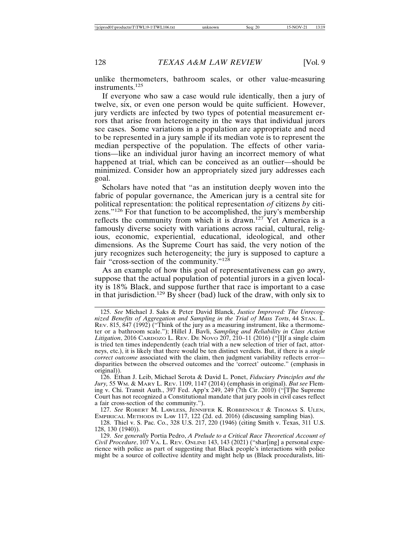unlike thermometers, bathroom scales, or other value-measuring instruments.<sup>125</sup>

If everyone who saw a case would rule identically, then a jury of twelve, six, or even one person would be quite sufficient. However, jury verdicts are infected by two types of potential measurement errors that arise from heterogeneity in the ways that individual jurors see cases. Some variations in a population are appropriate and need to be represented in a jury sample if its median vote is to represent the median perspective of the population. The effects of other variations—like an individual juror having an incorrect memory of what happened at trial, which can be conceived as an outlier—should be minimized. Consider how an appropriately sized jury addresses each goal.

Scholars have noted that "as an institution deeply woven into the fabric of popular governance, the American jury is a central site for political representation: the political representation *of* citizens *by* citizens."126 For that function to be accomplished, the jury's membership reflects the community from which it is drawn.127 Yet America is a famously diverse society with variations across racial, cultural, religious, economic, experiential, educational, ideological, and other dimensions. As the Supreme Court has said, the very notion of the jury recognizes such heterogeneity; the jury is supposed to capture a fair "cross-section of the community."<sup>128</sup>

As an example of how this goal of representativeness can go awry, suppose that the actual population of potential jurors in a given locality is 18% Black, and suppose further that race is important to a case in that jurisdiction.<sup>129</sup> By sheer (bad) luck of the draw, with only six to

127. *See* ROBERT M. LAWLESS, JENNIFER K. ROBBENNOLT & THOMAS S. ULEN, EMPIRICAL METHODS IN LAW 117, 122 (2d. ed. 2016) (discussing sampling bias).

<sup>125.</sup> *See* Michael J. Saks & Peter David Blanck, *Justice Improved: The Unrecognized Benefits of Aggregation and Sampling in the Trial of Mass Torts*, 44 STAN. L. REV. 815, 847 (1992) ("Think of the jury as a measuring instrument, like a thermometer or a bathroom scale."); Hillel J. Bavli, *Sampling and Reliability in Class Action Litigation*, 2016 CARDOZO L. REV. DE NOVO 207, 210–11 (2016) ("[I]f a single claim is tried ten times independently (each trial with a new selection of trier of fact, attorneys, etc.), it is likely that there would be ten distinct verdicts. But, if there is a *single correct outcome* associated with the claim, then judgment variability reflects error disparities between the observed outcomes and the 'correct' outcome." (emphasis in original)).

<sup>126.</sup> Ethan J. Leib, Michael Serota & David L. Ponet, *Fiduciary Principles and the Jury,* 55 WM. & MARY L. REV. 1109, 1147 (2014) (emphasis in original). *But see* Fleming v. Chi. Transit Auth., 397 Fed. App'x 249, 249 (7th Cir. 2010) ("[T]he Supreme Court has not recognized a Constitutional mandate that jury pools in civil cases reflect a fair cross-section of the community.").

<sup>128.</sup> Thiel v. S. Pac. Co., 328 U.S. 217, 220 (1946) (citing Smith v. Texas, 311 U.S. 128, 130 (1940)).

<sup>129.</sup> *See generally* Portia Pedro, *A Prelude to a Critical Race Theoretical Account of Civil Procedure*, 107 VA. L. REV. ONLINE 143, 143 (2021) ("shar[ing] a personal experience with police as part of suggesting that Black people's interactions with police might be a source of collective identity and might help us (Black proceduralists, liti-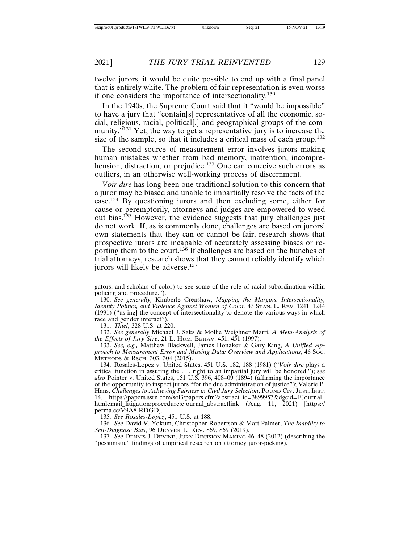twelve jurors, it would be quite possible to end up with a final panel that is entirely white. The problem of fair representation is even worse if one considers the importance of intersectionality.<sup>130</sup>

In the 1940s, the Supreme Court said that it "would be impossible" to have a jury that "contain[s] representatives of all the economic, social, religious, racial, political[,] and geographical groups of the community.<sup>"131</sup> Yet, the way to get a representative jury is to increase the size of the sample, so that it includes a critical mass of each group.<sup>132</sup>

The second source of measurement error involves jurors making human mistakes whether from bad memory, inattention, incomprehension, distraction, or prejudice.<sup>133</sup> One can conceive such errors as outliers, in an otherwise well-working process of discernment.

*Voir dire* has long been one traditional solution to this concern that a juror may be biased and unable to impartially resolve the facts of the case.134 By questioning jurors and then excluding some, either for cause or peremptorily, attorneys and judges are empowered to weed out bias.135 However, the evidence suggests that jury challenges just do not work. If, as is commonly done, challenges are based on jurors' own statements that they can or cannot be fair, research shows that prospective jurors are incapable of accurately assessing biases or reporting them to the court.<sup>136</sup> If challenges are based on the hunches of trial attorneys, research shows that they cannot reliably identify which jurors will likely be adverse.<sup>137</sup>

131. *Thiel*, 328 U.S. at 220.

132. *See generally* Michael J. Saks & Mollie Weighner Marti, *A Meta-Analysis of the Effects of Jury Size*, 21 L. HUM. BEHAV. 451, 451 (1997).

133. *See, e.g.,* Matthew Blackwell, James Honaker & Gary King, *A Unified Approach to Measurement Error and Missing Data: Overview and Applications*, 46 SOC. METHODS & RSCH. 303, 304 (2015).

134. Rosales-Lopez v. United States, 451 U.S. 182, 188 (1981) ("*Voir dire* plays a critical function in assuring the . . . right to an impartial jury will be honored."); s*ee also* Pointer v. United States, 151 U.S. 396, 408–09 (1894) (affirming the importance of the opportunity to inspect jurors "for the due administration of justice"); Valerie P. Hans, *Challenges to Achieving Fairness in Civil Jury Selection*, POUND CIV. JUST. INST. 14, https://papers.ssrn.com/sol3/papers.cfm?abstract\_id=3899957&dgcid=EJournal\_ htmlemail\_litigation:procedure:ejournal\_abstractlink (Aug. 11, 2021) [https:// perma.cc/V9A8-RDGD].

135. *See Rosales-Lopez*, 451 U.S. at 188.

136. *See* David V. Yokum, Christopher Robertson & Matt Palmer, *The Inability to Self-Diagnose Bias*, 96 DENVER L. REV. 869, 869 (2019).

137. *See* DENNIS J. DEVINE, JURY DECISION MAKING 46–48 (2012) (describing the "pessimistic" findings of empirical research on attorney juror-picking).

gators, and scholars of color) to see some of the role of racial subordination within policing and procedure.").

<sup>130.</sup> *See generally,* Kimberle Crenshaw, *Mapping the Margins: Intersectionality, Identity Politics, and Violence Against Women of Color*, 43 STAN. L. REV. 1241, 1244 (1991) ("us[ing] the concept of intersectionality to denote the various ways in which race and gender interact").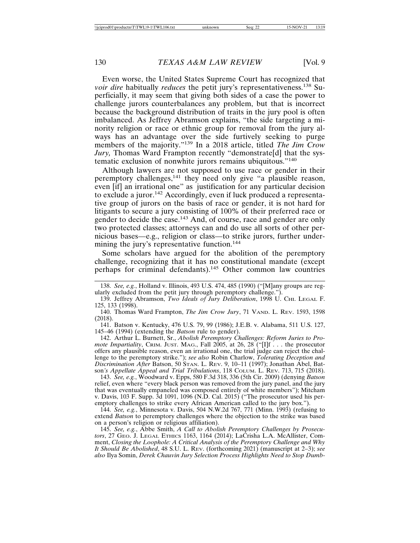Even worse, the United States Supreme Court has recognized that *voir dire* habitually *reduces* the petit jury's representativeness.<sup>138</sup> Superficially, it may seem that giving both sides of a case the power to challenge jurors counterbalances any problem, but that is incorrect because the background distribution of traits in the jury pool is often imbalanced. As Jeffrey Abramson explains, "the side targeting a minority religion or race or ethnic group for removal from the jury always has an advantage over the side furtively seeking to purge members of the majority."139 In a 2018 article, titled *The Jim Crow Jury,* Thomas Ward Frampton recently "demonstrate[d] that the systematic exclusion of nonwhite jurors remains ubiquitous."<sup>140</sup>

Although lawyers are not supposed to use race or gender in their peremptory challenges,<sup>141</sup> they need only give "a plausible reason, even [if] an irrational one" as justification for any particular decision to exclude a juror.<sup>142</sup> Accordingly, even if luck produced a representative group of jurors on the basis of race or gender, it is not hard for litigants to secure a jury consisting of 100% of their preferred race or gender to decide the case.<sup>143</sup> And, of course, race and gender are only two protected classes; attorneys can and do use all sorts of other pernicious bases—e.g., religion or class—to strike jurors, further undermining the jury's representative function.<sup>144</sup>

Some scholars have argued for the abolition of the peremptory challenge, recognizing that it has no constitutional mandate (except perhaps for criminal defendants).145 Other common law countries

140. Thomas Ward Frampton, *The Jim Crow Jury*, 71 VAND. L. REV. 1593, 1598 (2018).

141. Batson v. Kentucky, 476 U.S. 79, 99 (1986); J.E.B. v. Alabama, 511 U.S. 127, 145–46 (1994) (extending the *Batson* rule to gender).

142. Arthur L. Burnett, Sr., *Abolish Peremptory Challenges: Reform Juries to Promote Impartiality*, CRIM. JUST. MAG., Fall 2005, at 26, 28 ("[I]f . . . the prosecutor offers any plausible reason, even an irrational one, the trial judge can reject the challenge to the peremptory strike."); *see also* Robin Charlow, *Tolerating Deception and Discrimination After* Batson, 50 STAN. L. REV. 9, 10–11 (1997); Jonathan Abel, Batson*'s Appellate Appeal and Trial Tribulations*, 118 COLUM. L. REV. 713, 715 (2018).

143. *See, e.g.*, Woodward v. Epps, 580 F.3d 318, 336 (5th Cir. 2009) (denying *Batson* relief, even where "every black person was removed from the jury panel, and the jury that was eventually empaneled was composed entirely of white members"); Mitcham v. Davis, 103 F. Supp. 3d 1091, 1096 (N.D. Cal. 2015) ("The prosecutor used his peremptory challenges to strike every African American called to the jury box.").

144. *See, e.g.*, Minnesota v. Davis, 504 N.W.2d 767, 771 (Minn. 1993) (refusing to extend *Batson* to peremptory challenges where the objection to the strike was based on a person's religion or religious affiliation).

145. *See, e.g.*, Abbe Smith, *A Call to Abolish Peremptory Challenges by Prosecutors*, 27 GEO. J. LEGAL ETHICS 1163, 1164 (2014); LaCrisha L.A. McAllister, Comment, *Closing the Loophole: A Critical Analysis of the Peremptory Challenge and Why It Should Be Abolished*, 48 S.U. L. REV. (forthcoming 2021) (manuscript at 2–3); *see also* Ilya Somin, *Derek Chauvin Jury Selection Process Highlights Need to Stop Dumb-*

<sup>138.</sup> *See, e.g.*, Holland v. Illinois, 493 U.S. 474, 485 (1990) ("[M]any groups are regularly excluded from the petit jury through peremptory challenge.").

<sup>139.</sup> Jeffrey Abramson, *Two Ideals of Jury Deliberation*, 1998 U. CHI. LEGAL F. 125, 133 (1998).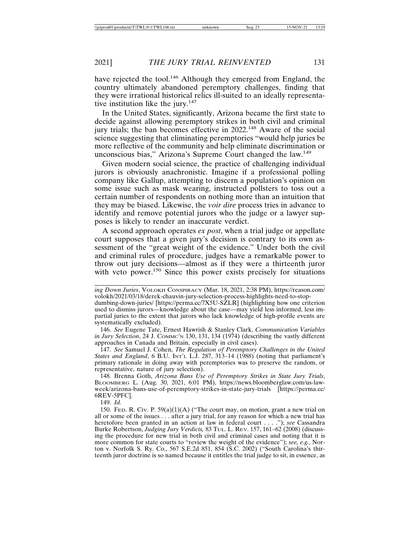have rejected the tool.<sup>146</sup> Although they emerged from England, the country ultimately abandoned peremptory challenges, finding that they were irrational historical relics ill-suited to an ideally representative institution like the jury.<sup>147</sup>

In the United States, significantly, Arizona became the first state to decide against allowing peremptory strikes in both civil and criminal jury trials; the ban becomes effective in 2022.148 Aware of the social science suggesting that eliminating peremptories "would help juries be more reflective of the community and help eliminate discrimination or unconscious bias," Arizona's Supreme Court changed the law.<sup>149</sup>

Given modern social science, the practice of challenging individual jurors is obviously anachronistic. Imagine if a professional polling company like Gallup, attempting to discern a population's opinion on some issue such as mask wearing, instructed pollsters to toss out a certain number of respondents on nothing more than an intuition that they may be biased. Likewise, the *voir dire* process tries in advance to identify and remove potential jurors who the judge or a lawyer supposes is likely to render an inaccurate verdict.

A second approach operates *ex post*, when a trial judge or appellate court supposes that a given jury's decision is contrary to its own assessment of the "great weight of the evidence." Under both the civil and criminal rules of procedure, judges have a remarkable power to throw out jury decisions—almost as if they were a thirteenth juror with veto power.<sup>150</sup> Since this power exists precisely for situations

*ing Down Juries*, VOLOKH CONSPIRACY (Mar. 18, 2021, 2:38 PM), https://reason.com/ volokh/2021/03/18/derek-chauvin-jury-selection-process-highlights-need-to-stopdumbing-down-juries/ [https://perma.cc/7X5U-SZLR] (highlighting how one criterion

used to dismiss jurors—knowledge about the case—may yield less informed, less impartial juries to the extent that jurors who lack knowledge of high-profile events are systematically excluded).

146. *See* Eugene Tate, Ernest Hawrish & Stanley Clark, *Communication Variables in Jury Selection*, 24 J. COMMC'N 130, 131, 134 (1974) (describing the vastly different approaches in Canada and Britain, especially in civil cases).

147. *See* Samuel J. Cohen, *The Regulation of Peremptory Challenges in the United States and England*, 6 B.U. INT'L L.J. 287, 313–14 (1988) (noting that parliament's primary rationale in doing away with peremptories was to preserve the random, or representative, nature of jury selection).

148. Brenna Goth, *Arizona Bans Use of Peremptory Strikes in State Jury Trials*, BLOOMBERG L. (Aug. 30, 2021, 6:01 PM), https://news.bloomberglaw.com/us-lawweek/arizona-bans-use-of-peremptory-strikes-in-state-jury-trials [https://perma.cc/ 6REV-5PFC].

149. *Id.*

150. Fed. R. Civ. P.  $59(a)(1)(A)$  ("The court may, on motion, grant a new trial on all or some of the issues . . . after a jury trial, for any reason for which a new trial has heretofore been granted in an action at law in federal court . . . ."); *see* Cassandra Burke Robertson, *Judging Jury Verdicts,* 83 TUL. L. REV. 157, 161–62 (2008) (discussing the procedure for new trial in both civil and criminal cases and noting that it is more common for state courts to "review the weight of the evidence"); *see, e.g.*, Norton v. Norfolk S. Ry. Co., 567 S.E.2d 851, 854 (S.C. 2002) ("South Carolina's thirteenth juror doctrine is so named because it entitles the trial judge to sit, in essence, as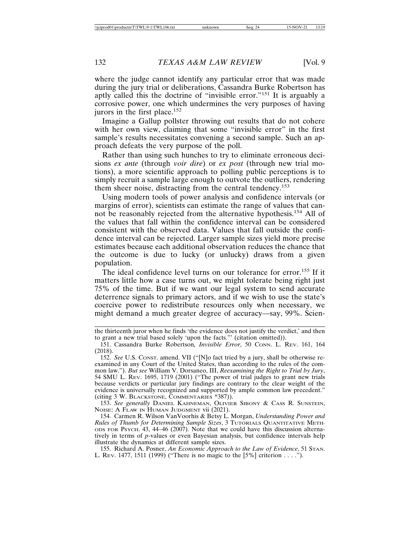where the judge cannot identify any particular error that was made during the jury trial or deliberations, Cassandra Burke Robertson has aptly called this the doctrine of "invisible error."151 It is arguably a corrosive power, one which undermines the very purposes of having jurors in the first place.<sup>152</sup>

Imagine a Gallup pollster throwing out results that do not cohere with her own view, claiming that some "invisible error" in the first sample's results necessitates convening a second sample. Such an approach defeats the very purpose of the poll.

Rather than using such hunches to try to eliminate erroneous decisions *ex ante* (through *voir dire*) or *ex post* (through new trial motions), a more scientific approach to polling public perceptions is to simply recruit a sample large enough to outvote the outliers, rendering them sheer noise, distracting from the central tendency.<sup>153</sup>

Using modern tools of power analysis and confidence intervals (or margins of error), scientists can estimate the range of values that cannot be reasonably rejected from the alternative hypothesis.154 All of the values that fall within the confidence interval can be considered consistent with the observed data. Values that fall outside the confidence interval can be rejected. Larger sample sizes yield more precise estimates because each additional observation reduces the chance that the outcome is due to lucky (or unlucky) draws from a given population.

The ideal confidence level turns on our tolerance for error.<sup>155</sup> If it matters little how a case turns out, we might tolerate being right just 75% of the time. But if we want our legal system to send accurate deterrence signals to primary actors, and if we wish to use the state's coercive power to redistribute resources only when necessary, we might demand a much greater degree of accuracy—say, 99%. Scien-

153. *See generally* DANIEL KAHNEMAN, OLIVIER SIBONY & CASS R. SUNSTEIN, NOISE: A FLAW IN HUMAN JUDGMENT vii (2021).

154. Carmen R. Wilson VanVoorhis & Betsy L. Morgan, *Understanding Power and Rules of Thumb for Determining Sample Sizes*, 3 TUTORIALS QUANTITATIVE METH-ODS FOR PSYCH. 43, 44–46 (2007). Note that we could have this discussion alternatively in terms of *p*-values or even Bayesian analysis, but confidence intervals help illustrate the dynamics at different sample sizes.

155. Richard A. Posner, *An Economic Approach to the Law of Evidence*, 51 STAN. L. REV. 1477, 1511 (1999) ("There is no magic to the [5%] criterion . . . .").

the thirteenth juror when he finds 'the evidence does not justify the verdict,' and then to grant a new trial based solely 'upon the facts."' (citation omitted)).

<sup>151.</sup> Cassandra Burke Robertson*, Invisible Error*, 50 CONN. L. REV. 161, 164 (2018).

<sup>152.</sup> *See* U.S. CONST. amend. VII ("[N]o fact tried by a jury, shall be otherwise reexamined in any Court of the United States, than according to the rules of the common law."). *But see* William V. Dorsaneo, III, *Reexamining the Right to Trial by Jury*, 54 SMU L. REV. 1695, 1719 (2001) ("The power of trial judges to grant new trials because verdicts or particular jury findings are contrary to the clear weight of the evidence is universally recognized and supported by ample common law precedent." (citing 3 W. BLACKSTONE, COMMENTARIES \*387)).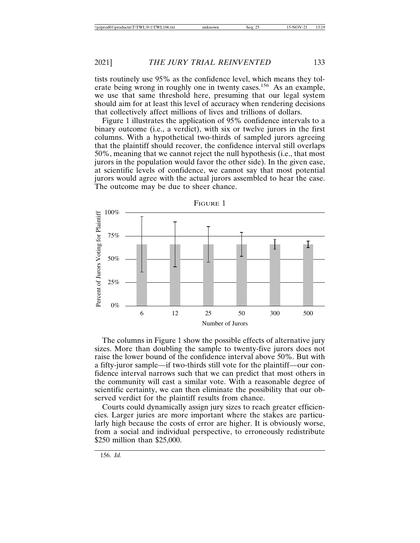tists routinely use 95% as the confidence level, which means they tolerate being wrong in roughly one in twenty cases.<sup>156</sup> As an example, we use that same threshold here, presuming that our legal system should aim for at least this level of accuracy when rendering decisions that collectively affect millions of lives and trillions of dollars.

Figure 1 illustrates the application of 95% confidence intervals to a binary outcome (i.e., a verdict), with six or twelve jurors in the first columns. With a hypothetical two-thirds of sampled jurors agreeing that the plaintiff should recover, the confidence interval still overlaps 50%, meaning that we cannot reject the null hypothesis (i.e., that most jurors in the population would favor the other side). In the given case, at scientific levels of confidence, we cannot say that most potential jurors would agree with the actual jurors assembled to hear the case. The outcome may be due to sheer chance.



The columns in Figure 1 show the possible effects of alternative jury sizes. More than doubling the sample to twenty-five jurors does not raise the lower bound of the confidence interval above 50%. But with a fifty-juror sample—if two-thirds still vote for the plaintiff—our confidence interval narrows such that we can predict that most others in the community will cast a similar vote. With a reasonable degree of scientific certainty, we can then eliminate the possibility that our observed verdict for the plaintiff results from chance.

Courts could dynamically assign jury sizes to reach greater efficiencies. Larger juries are more important where the stakes are particularly high because the costs of error are higher. It is obviously worse, from a social and individual perspective, to erroneously redistribute \$250 million than \$25,000.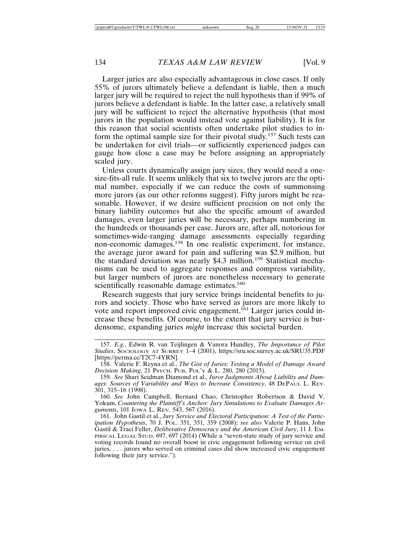Larger juries are also especially advantageous in close cases. If only 55% of jurors ultimately believe a defendant is liable, then a much larger jury will be required to reject the null hypothesis than if 99% of jurors believe a defendant is liable. In the latter case, a relatively small jury will be sufficient to reject the alternative hypothesis (that most jurors in the population would instead vote against liability). It is for this reason that social scientists often undertake pilot studies to inform the optimal sample size for their pivotal study.<sup>157</sup> Such tests can be undertaken for civil trials—or sufficiently experienced judges can gauge how close a case may be before assigning an appropriately scaled jury.

Unless courts dynamically assign jury sizes, they would need a onesize-fits-all rule. It seems unlikely that six to twelve jurors are the optimal number, especially if we can reduce the costs of summonsing more jurors (as our other reforms suggest). Fifty jurors might be reasonable. However, if we desire sufficient precision on not only the binary liability outcomes but also the specific amount of awarded damages, even larger juries will be necessary, perhaps numbering in the hundreds or thousands per case. Jurors are, after all, notorious for sometimes-wide-ranging damage assessments especially regarding non-economic damages.158 In one realistic experiment, for instance, the average juror award for pain and suffering was \$2.9 million, but the standard deviation was nearly \$4.3 million.<sup>159</sup> Statistical mechanisms can be used to aggregate responses and compress variability, but larger numbers of jurors are nonetheless necessary to generate scientifically reasonable damage estimates.<sup>160</sup>

Research suggests that jury service brings incidental benefits to jurors and society. Those who have served as jurors are more likely to vote and report improved civic engagement.<sup>161</sup> Larger juries could increase these benefits. Of course, to the extent that jury service is burdensome, expanding juries *might* increase this societal burden.

<sup>157.</sup> *E.g.*, Edwin R. van Teijlingen & Vanora Hundley, *The Importance of Pilot Studies*, SOCIOLOGY AT SURREY 1–4 (2001), https://sru.soc.surrey.ac.uk/SRU35.PDF [https://perma.cc/T2C7-4YRN].

<sup>158.</sup> Valerie F. Reyna et al., *The Gist of Juries: Testing a Model of Damage Award Decision Making*, 21 PSYCH. PUB. POL'Y & L. 280, 280 (2015).

<sup>159.</sup> *See* Shari Seidman Diamond et al., *Juror Judgments About Liability and Damages: Sources of Variability and Ways to Increase Consistency*, 48 DEPAUL L. REV. 301, 315–16 (1998).

<sup>160.</sup> *See* John Campbell, Bernard Chao, Christopher Robertson & David V. Yokum, *Countering the Plaintiff's Anchor: Jury Simulations to Evaluate Damages Arguments*, 101 IOWA L. REV. 543, 567 (2016).

<sup>161.</sup> John Gastil et al., *Jury Service and Electoral Participation: A Test of the Participation Hypothesis*, 70 J. POL. 351, 351, 359 (2008); *see also* Valerie P. Hans, John Gastil & Traci Feller, *Deliberative Democracy and the American Civil Jury*, 11 J. EM-PIRICAL LEGAL STUD. 697, 697 (2014) (While a "seven-state study of jury service and voting records found no overall boost in civic engagement following service on civil juries, . . . jurors who served on criminal cases did show increased civic engagement following their jury service.").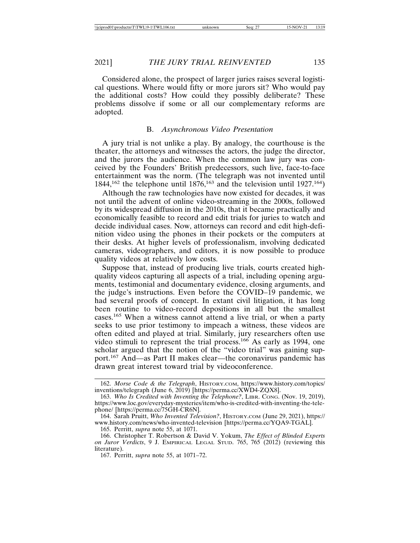Considered alone, the prospect of larger juries raises several logistical questions. Where would fifty or more jurors sit? Who would pay the additional costs? How could they possibly deliberate? These problems dissolve if some or all our complementary reforms are adopted.

#### B. *Asynchronous Video Presentation*

A jury trial is not unlike a play. By analogy, the courthouse is the theater, the attorneys and witnesses the actors, the judge the director, and the jurors the audience. When the common law jury was conceived by the Founders' British predecessors, such live, face-to-face entertainment was the norm. (The telegraph was not invented until  $1844$ ,<sup>162</sup> the telephone until  $1876$ ,<sup>163</sup> and the television until  $1927$ .<sup>164</sup>)

Although the raw technologies have now existed for decades, it was not until the advent of online video-streaming in the 2000s, followed by its widespread diffusion in the 2010s, that it became practically and economically feasible to record and edit trials for juries to watch and decide individual cases. Now, attorneys can record and edit high-definition video using the phones in their pockets or the computers at their desks. At higher levels of professionalism, involving dedicated cameras, videographers, and editors, it is now possible to produce quality videos at relatively low costs.

Suppose that, instead of producing live trials, courts created highquality videos capturing all aspects of a trial, including opening arguments, testimonial and documentary evidence, closing arguments, and the judge's instructions. Even before the COVID–19 pandemic, we had several proofs of concept. In extant civil litigation, it has long been routine to video-record depositions in all but the smallest cases.165 When a witness cannot attend a live trial, or when a party seeks to use prior testimony to impeach a witness, these videos are often edited and played at trial. Similarly, jury researchers often use video stimuli to represent the trial process.166 As early as 1994, one scholar argued that the notion of the "video trial" was gaining support.167 And—as Part II makes clear—the coronavirus pandemic has drawn great interest toward trial by videoconference.

<sup>162.</sup> *Morse Code & the Telegraph*, HISTORY.COM, https://www.history.com/topics/ inventions/telegraph (June 6, 2019) [https://perma.cc/XWD4-ZQX8].

<sup>163.</sup> *Who Is Credited with Inventing the Telephone?*, LIBR. CONG. (Nov. 19, 2019), https://www.loc.gov/everyday-mysteries/item/who-is-credited-with-inventing-the-telephone/ [https://perma.cc/75GH-CR6N].

<sup>164.</sup> Sarah Pruitt, *Who Invented Television?*, HISTORY.COM (June 29, 2021), https:// www.history.com/news/who-invented-television [https://perma.cc/YQA9-TGAL].

<sup>165.</sup> Perritt, *supra* note 55, at 1071.

<sup>166.</sup> Christopher T. Robertson & David V. Yokum, *The Effect of Blinded Experts on Juror Verdicts*, 9 J. EMPIRICAL LEGAL STUD. 765, 765 (2012) (reviewing this literature).

<sup>167.</sup> Perritt, *supra* note 55, at 1071–72.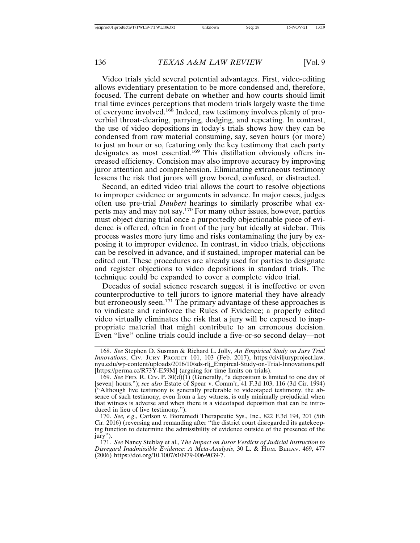Video trials yield several potential advantages. First, video-editing allows evidentiary presentation to be more condensed and, therefore, focused. The current debate on whether and how courts should limit trial time evinces perceptions that modern trials largely waste the time of everyone involved.168 Indeed, raw testimony involves plenty of proverbial throat-clearing, parrying, dodging, and repeating. In contrast, the use of video depositions in today's trials shows how they can be condensed from raw material consuming, say, seven hours (or more) to just an hour or so, featuring only the key testimony that each party designates as most essential.<sup>169</sup> This distillation obviously offers increased efficiency. Concision may also improve accuracy by improving juror attention and comprehension. Eliminating extraneous testimony lessens the risk that jurors will grow bored, confused, or distracted.

Second, an edited video trial allows the court to resolve objections to improper evidence or arguments in advance. In major cases, judges often use pre-trial *Daubert* hearings to similarly proscribe what experts may and may not say.170 For many other issues, however, parties must object during trial once a purportedly objectionable piece of evidence is offered, often in front of the jury but ideally at sidebar. This process wastes more jury time and risks contaminating the jury by exposing it to improper evidence. In contrast, in video trials, objections can be resolved in advance, and if sustained, improper material can be edited out. These procedures are already used for parties to designate and register objections to video depositions in standard trials. The technique could be expanded to cover a complete video trial.

Decades of social science research suggest it is ineffective or even counterproductive to tell jurors to ignore material they have already but erroneously seen.<sup>171</sup> The primary advantage of these approaches is to vindicate and reinforce the Rules of Evidence; a properly edited video virtually eliminates the risk that a jury will be exposed to inappropriate material that might contribute to an erroneous decision. Even "live" online trials could include a five-or-so second delay—not

<sup>168.</sup> *See* Stephen D. Susman & Richard L. Jolly, *An Empirical Study on Jury Trial Innovations*, CIV. JURY PROJECT 101, 103 (Feb. 2017), https://civiljuryproject.law. nyu.edu/wp-content/uploads/2016/10/sds-rlj\_Empircal-Study-on-Trial-Innovations.pdf [https://perma.cc/R73Y-E59M] (arguing for time limits on trials).

<sup>169.</sup> *See* FED. R. CIV. P.  $30(d)(1)$  (Generally, "a deposition is limited to one day of [seven] hours."); *see also* Estate of Spear v. Comm'r, 41 F.3d 103, 116 (3d Cir. 1994) ("Although live testimony is generally preferable to videotaped testimony, the absence of such testimony, even from a key witness, is only minimally prejudicial when that witness is adverse and when there is a videotaped deposition that can be introduced in lieu of live testimony.").

<sup>170.</sup> *See, e.g*., Carlson v. Bioremedi Therapeutic Sys., Inc., 822 F.3d 194, 201 (5th Cir. 2016) (reversing and remanding after "the district court disregarded its gatekeeping function to determine the admissibility of evidence outside of the presence of the jury").

<sup>171.</sup> *See* Nancy Steblay et al., *The Impact on Juror Verdicts of Judicial Instruction to Disregard Inadmissible Evidence: A Meta-Analysis*, 30 L. & HUM. BEHAV. 469, 477 (2006) https://doi.org/10.1007/s10979-006-9039-7.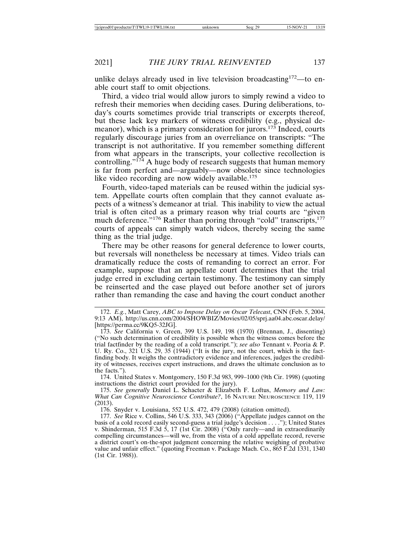unlike delays already used in live television broadcasting<sup>172</sup>—to enable court staff to omit objections.

Third, a video trial would allow jurors to simply rewind a video to refresh their memories when deciding cases. During deliberations, today's courts sometimes provide trial transcripts or excerpts thereof, but these lack key markers of witness credibility (e.g., physical demeanor), which is a primary consideration for jurors.<sup>173</sup> Indeed, courts regularly discourage juries from an overreliance on transcripts: "The transcript is not authoritative. If you remember something different from what appears in the transcripts, your collective recollection is controlling." $174$  A huge body of research suggests that human memory is far from perfect and—arguably—now obsolete since technologies like video recording are now widely available. $175$ 

Fourth, video-taped materials can be reused within the judicial system. Appellate courts often complain that they cannot evaluate aspects of a witness's demeanor at trial. This inability to view the actual trial is often cited as a primary reason why trial courts are "given much deference."<sup>176</sup> Rather than poring through "cold" transcripts,<sup>177</sup> courts of appeals can simply watch videos, thereby seeing the same thing as the trial judge.

There may be other reasons for general deference to lower courts, but reversals will nonetheless be necessary at times. Video trials can dramatically reduce the costs of remanding to correct an error. For example, suppose that an appellate court determines that the trial judge erred in excluding certain testimony. The testimony can simply be reinserted and the case played out before another set of jurors rather than remanding the case and having the court conduct another

174. United States v. Montgomery, 150 F.3d 983, 999–1000 (9th Cir. 1998) (quoting instructions the district court provided for the jury).

175. *See generally* Daniel L. Schacter & Elizabeth F. Loftus, *Memory and Law: What Can Cognitive Neuroscience Contribute?*, 16 NATURE NEUROSCIENCE 119, 119 (2013).

176. Snyder v. Louisiana, 552 U.S. 472, 479 (2008) (citation omitted).

<sup>172.</sup> *E.g.*, Matt Carey, *ABC to Impose Delay on Oscar Telecast*, CNN (Feb. 5, 2004, 9:13 AM), http://us.cnn.com/2004/SHOWBIZ/Movies/02/05/sprj.aa04.abc.oscar.delay/ [https://perma.cc/9KQ5-32JG].

<sup>173.</sup> *See* California v. Green, 399 U.S. 149, 198 (1970) (Brennan, J., dissenting) ("No such determination of credibility is possible when the witness comes before the trial factfinder by the reading of a cold transcript."); *see also* Tennant v. Peoria & P. U. Ry. Co., 321 U.S. 29, 35 (1944) ("It is the jury, not the court, which is the factfinding body. It weighs the contradictory evidence and inferences, judges the credibility of witnesses, receives expert instructions, and draws the ultimate conclusion as to the facts.").

<sup>177.</sup> *See* Rice v. Collins, 546 U.S. 333, 343 (2006) ("Appellate judges cannot on the basis of a cold record easily second-guess a trial judge's decision . . . ."); United States v. Shinderman, 515 F.3d 5, 17 (1st Cir. 2008) ("Only rarely—and in extraordinarily compelling circumstances—will we, from the vista of a cold appellate record, reverse a district court's on-the-spot judgment concerning the relative weighing of probative value and unfair effect." (quoting Freeman v. Package Mach. Co., 865 F.2d 1331, 1340 (1st Cir. 1988)).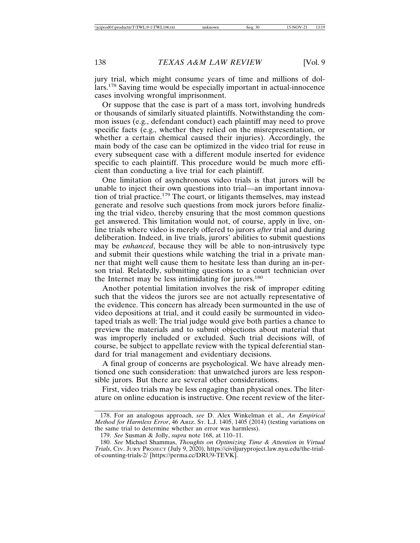jury trial, which might consume years of time and millions of dollars.178 Saving time would be especially important in actual-innocence cases involving wrongful imprisonment.

Or suppose that the case is part of a mass tort, involving hundreds or thousands of similarly situated plaintiffs. Notwithstanding the common issues (e.g., defendant conduct) each plaintiff may need to prove specific facts (e.g., whether they relied on the misrepresentation, or whether a certain chemical caused their injuries). Accordingly, the main body of the case can be optimized in the video trial for reuse in every subsequent case with a different module inserted for evidence specific to each plaintiff. This procedure would be much more efficient than conducting a live trial for each plaintiff.

One limitation of asynchronous video trials is that jurors will be unable to inject their own questions into trial—an important innovation of trial practice.<sup>179</sup> The court, or litigants themselves, may instead generate and resolve such questions from mock jurors before finalizing the trial video, thereby ensuring that the most common questions get answered. This limitation would not, of course, apply in live, online trials where video is merely offered to jurors *after* trial and during deliberation. Indeed, in live trials, jurors' abilities to submit questions may be *enhanced*, because they will be able to non-intrusively type and submit their questions while watching the trial in a private manner that might well cause them to hesitate less than during an in-person trial. Relatedly, submitting questions to a court technician over the Internet may be less intimidating for jurors.<sup>180</sup>

Another potential limitation involves the risk of improper editing such that the videos the jurors see are not actually representative of the evidence. This concern has already been surmounted in the use of video depositions at trial, and it could easily be surmounted in videotaped trials as well: The trial judge would give both parties a chance to preview the materials and to submit objections about material that was improperly included or excluded. Such trial decisions will, of course, be subject to appellate review with the typical deferential standard for trial management and evidentiary decisions.

A final group of concerns are psychological. We have already mentioned one such consideration: that unwatched jurors are less responsible jurors. But there are several other considerations.

First, video trials may be less engaging than physical ones. The literature on online education is instructive. One recent review of the liter-

<sup>178.</sup> For an analogous approach, *see* D. Alex Winkelman et al., *An Empirical Method for Harmless Error*, 46 ARIZ. ST. L.J. 1405, 1405 (2014) (testing variations on the same trial to determine whether an error was harmless).

<sup>179.</sup> *See* Susman & Jolly, *supra* note 168, at 110–11.

<sup>180.</sup> *See* Michael Shammas, *Thoughts on Optimizing Time & Attention in Virtual Trials*, CIV. JURY PROJECT (July 9, 2020), https://civiljuryproject.law.nyu.edu/the-trialof-counting-trials-2/ [https://perma.cc/DRU9-TEVK].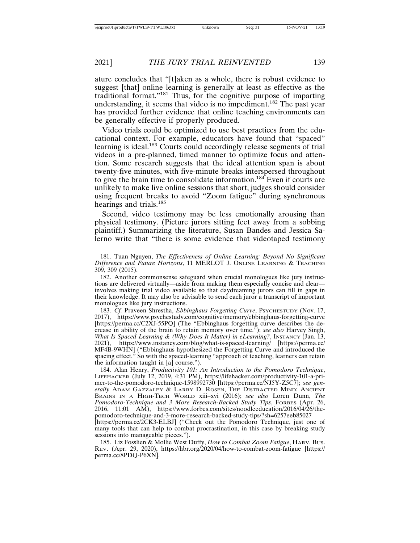ature concludes that "[t]aken as a whole, there is robust evidence to suggest [that] online learning is generally at least as effective as the traditional format."181 Thus, for the cognitive purpose of imparting understanding, it seems that video is no impediment.<sup>182</sup> The past year has provided further evidence that online teaching environments can be generally effective if properly produced.

Video trials could be optimized to use best practices from the educational context. For example, educators have found that "spaced" learning is ideal.183 Courts could accordingly release segments of trial videos in a pre-planned, timed manner to optimize focus and attention. Some research suggests that the ideal attention span is about twenty-five minutes, with five-minute breaks interspersed throughout to give the brain time to consolidate information.184 Even if courts are unlikely to make live online sessions that short, judges should consider using frequent breaks to avoid "Zoom fatigue" during synchronous hearings and trials.<sup>185</sup>

Second, video testimony may be less emotionally arousing than physical testimony. (Picture jurors sitting feet away from a sobbing plaintiff.) Summarizing the literature, Susan Bandes and Jessica Salerno write that "there is some evidence that videotaped testimony

183. *Cf.* Praveen Shrestha, *Ebbinghaus Forgetting Curve*, PSYCHESTUDY (Nov. 17, 2017), https://www.psychestudy.com/cognitive/memory/ebbinghaus-forgetting-curve [https://perma.cc/C2XJ-55PQ] (The "Ebbinghaus forgetting curve describes the decrease in ability of the brain to retain memory over time."); *see also* Harvey Singh, *What Is Spaced Learning & (Why Does It Matter) in eLearning?*, INSTANCY (Jan. 13, 2021), https://www.instancy.com/blog/what-is-spaced-learning/ [https://perma.cc/ MF4B-9WHN] ("Ebbinghaus hypothesized the Forgetting Curve and introduced the spacing effect." So with the spaced-learning "approach of teaching, learners can retain the information taught in [a] course.").

184. Alan Henry, *Productivity 101: An Introduction to the Pomodoro Technique*, LIFEHACKER (July 12, 2019, 4:31 PM), https://lifehacker.com/productivity-101-a-primer-to-the-pomodoro-technique-1598992730 [https://perma.cc/NJ5Y-Z5C7]; *see generally* ADAM GAZZALEY & LARRY D. ROSEN, THE DISTRACTED MIND: ANCIENT BRAINS IN A HIGH-TECH WORLD xiii–xvi (2016); *see also* Loren Dunn, *The Pomodoro-Technique and 3 More Research-Backed Study Tips*, FORBES (Apr. 26, 2016, 11:01 AM), https://www.forbes.com/sites/noodleeducation/2016/04/26/thepomodoro-technique-and-3-more-research-backed-study-tips/?sh=6257eeb85027

[https://perma.cc/2CK3-ELBJ] ("Check out the Pomodoro Technique, just one of many tools that can help to combat procrastination, in this case by breaking study sessions into manageable pieces.").

185. Liz Fosslien & Mollie West Duffy, *How to Combat Zoom Fatigue*, HARV. BUS. REV. (Apr. 29, 2020), https://hbr.org/2020/04/how-to-combat-zoom-fatigue [https:// perma.cc/8PDQ-P6XN].

<sup>181.</sup> Tuan Nguyen, *The Effectiveness of Online Learning: Beyond No Significant Difference and Future Horizons*, 11 MERLOT J. ONLINE LEARNING & TEACHING 309, 309 (2015).

<sup>182.</sup> Another commonsense safeguard when crucial monologues like jury instructions are delivered virtually—aside from making them especially concise and clear involves making trial video available so that daydreaming jurors can fill in gaps in their knowledge. It may also be advisable to send each juror a transcript of important monologues like jury instructions.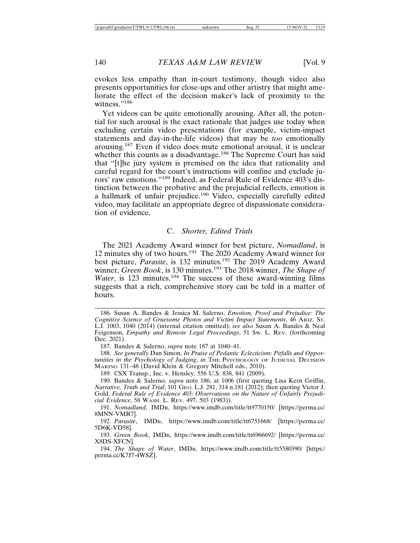evokes less empathy than in-court testimony, though video also presents opportunities for close-ups and other artistry that might ameliorate the effect of the decision maker's lack of proximity to the witness."<sup>186</sup>

Yet videos can be quite emotionally arousing. After all, the potential for such arousal is the exact rationale that judges use today when excluding certain video presentations (for example, victim-impact statements and day-in-the-life videos) that may be *too* emotionally arousing.187 Even if video does mute emotional arousal, it is unclear whether this counts as a disadvantage.<sup>188</sup> The Supreme Court has said that "[t]he jury system is premised on the idea that rationality and careful regard for the court's instructions will confine and exclude jurors' raw emotions."189 Indeed, as Federal Rule of Evidence 403's distinction between the probative and the prejudicial reflects, emotion is a hallmark of unfair prejudice.190 Video, especially carefully edited video, may facilitate an appropriate degree of dispassionate consideration of evidence.

#### C. *Shorter, Edited Trials*

The 2021 Academy Award winner for best picture, *Nomadland*, is 12 minutes shy of two hours.191 The 2020 Academy Award winner for best picture, *Parasite*, is 132 minutes.<sup>192</sup> The 2019 Academy Award winner, *Green Book*, is 130 minutes.<sup>193</sup> The 2018 winner, *The Shape of Water*, is 123 minutes.<sup>194</sup> The success of these award-winning films suggests that a rich, comprehensive story can be told in a matter of hours.

187. Bandes & Salerno, *supra* note 187 at 1040–41.

189. CSX Transp., Inc. v. Hensley, 556 U.S. 838, 841 (2009).

190. Bandes & Salerno, *supra* note 186, at 1006 (first quoting Lisa Kern Griffin, *Narrative, Truth and Trial*, 101 GEO. L.J. 281, 314 n.181 (2012); then quoting Victor J. Gold, Federal Rule of Evidence 403: Observations on the Nature of Unfairly Prejudi*cial Evidence*, 58 WASH. L. REV. 497, 503 (1983)).

<sup>186.</sup> Susan A. Bandes & Jessica M. Salerno, *Emotion, Proof and Prejudice: The Cognitive Science of Gruesome Photos and Victim Impact Statements*, 46 ARIZ. ST. L.J. 1003, 1040 (2014) (internal citation omitted); *see also* Susan A. Bandes & Neal Feigenson, *Empathy and Remote Legal Proceedings*, 51 SW. L. REV. (forthcoming Dec. 2021).

<sup>188.</sup> *See generally* Dan Simon, *In Praise of Pedantic Eclecticism: Pitfalls and Opportunities in the Psychology of Judging*, *in* THE PSYCHOLOGY OF JUDICIAL DECISION MAKING 131–48 (David Klein & Gregory Mitchell eds., 2010).

<sup>191.</sup> *Nomadland*, IMDB, https://www.imdb.com/title/tt9770150/ [https://perma.cc/ 8MNN-VMR7].

<sup>192.</sup> *Parasite*, IMDB, https://www.imdb.com/title/tt6751668/ [https://perma.cc/ 5D6K-VD58].

<sup>193.</sup> *Green Book*, IMDB, https://www.imdb.com/title/tt6966692/ [https://perma.cc/ X8DS-XFCN].

<sup>194.</sup> *The Shape of Water*, IMDB, https://www.imdb.com/title/tt5580390/ [https:/ perma.cc/K7J7-4WSZ].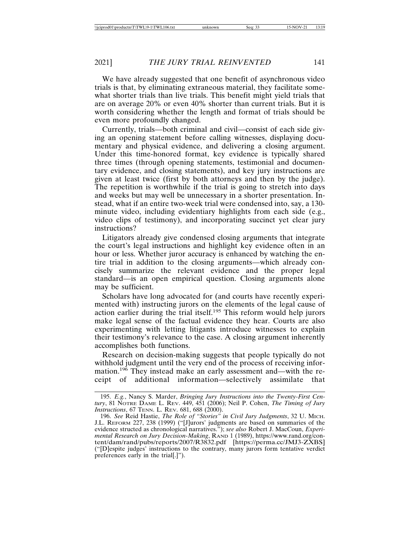We have already suggested that one benefit of asynchronous video trials is that, by eliminating extraneous material, they facilitate somewhat shorter trials than live trials. This benefit might yield trials that are on average 20% or even 40% shorter than current trials. But it is worth considering whether the length and format of trials should be even more profoundly changed.

Currently, trials—both criminal and civil—consist of each side giving an opening statement before calling witnesses, displaying documentary and physical evidence, and delivering a closing argument. Under this time-honored format, key evidence is typically shared three times (through opening statements, testimonial and documentary evidence, and closing statements), and key jury instructions are given at least twice (first by both attorneys and then by the judge). The repetition is worthwhile if the trial is going to stretch into days and weeks but may well be unnecessary in a shorter presentation. Instead, what if an entire two-week trial were condensed into, say, a 130 minute video, including evidentiary highlights from each side (e.g., video clips of testimony), and incorporating succinct yet clear jury instructions?

Litigators already give condensed closing arguments that integrate the court's legal instructions and highlight key evidence often in an hour or less. Whether juror accuracy is enhanced by watching the entire trial in addition to the closing arguments—which already concisely summarize the relevant evidence and the proper legal standard—is an open empirical question. Closing arguments alone may be sufficient.

Scholars have long advocated for (and courts have recently experimented with) instructing jurors on the elements of the legal cause of action earlier during the trial itself.195 This reform would help jurors make legal sense of the factual evidence they hear. Courts are also experimenting with letting litigants introduce witnesses to explain their testimony's relevance to the case. A closing argument inherently accomplishes both functions.

Research on decision-making suggests that people typically do not withhold judgment until the very end of the process of receiving information.<sup>196</sup> They instead make an early assessment and—with the receipt of additional information—selectively assimilate that

<sup>195.</sup> *E.g.*, Nancy S. Marder, *Bringing Jury Instructions into the Twenty-First Century*, 81 NOTRE DAME L. REV. 449, 451 (2006); Neil P. Cohen, *The Timing of Jury Instructions*, 67 TENN. L. REV. 681, 688 (2000).

<sup>196.</sup> *See* Reid Hastie, *The Role of "Stories" in Civil Jury Judgments*, 32 U. MICH. J.L. REFORM 227, 238 (1999) ("[J]urors' judgments are based on summaries of the evidence structed as chronological narratives."); *see also* Robert J. MacCoun, *Experimental Research on Jury Decision-Making*, RAND 1 (1989), https://www.rand.org/content/dam/rand/pubs/reports/2007/R3832.pdf [https://perma.cc/JMJ3-ZXBS] ("[D]espite judges' instructions to the contrary, many jurors form tentative verdict preferences early in the trial[.]").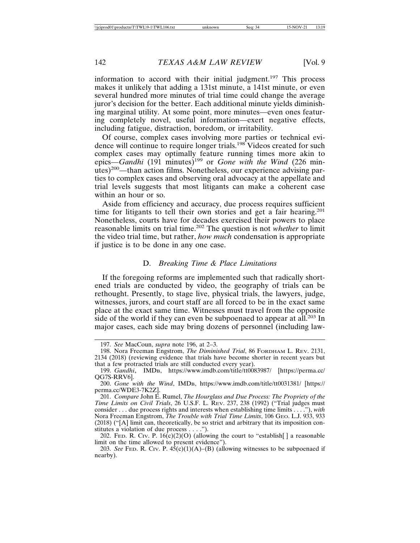information to accord with their initial judgment.<sup>197</sup> This process makes it unlikely that adding a 131st minute, a 141st minute, or even several hundred more minutes of trial time could change the average juror's decision for the better. Each additional minute yields diminishing marginal utility. At some point, more minutes—even ones featuring completely novel, useful information—exert negative effects, including fatigue, distraction, boredom, or irritability.

Of course, complex cases involving more parties or technical evidence will continue to require longer trials.<sup>198</sup> Videos created for such complex cases may optimally feature running times more akin to epics—*Gandhi* (191 minutes)<sup>199</sup> or *Gone with the Wind* (226 minutes)200—than action films. Nonetheless, our experience advising parties to complex cases and observing oral advocacy at the appellate and trial levels suggests that most litigants can make a coherent case within an hour or so.

Aside from efficiency and accuracy, due process requires sufficient time for litigants to tell their own stories and get a fair hearing.<sup>201</sup> Nonetheless, courts have for decades exercised their powers to place reasonable limits on trial time.202 The question is not *whether* to limit the video trial time, but rather, *how much* condensation is appropriate if justice is to be done in any one case.

#### D. *Breaking Time & Place Limitations*

If the foregoing reforms are implemented such that radically shortened trials are conducted by video, the geography of trials can be rethought. Presently, to stage live, physical trials, the lawyers, judge, witnesses, jurors, and court staff are all forced to be in the exact same place at the exact same time. Witnesses must travel from the opposite side of the world if they can even be subpoenaed to appear at all.<sup>203</sup> In major cases, each side may bring dozens of personnel (including law-

<sup>197.</sup> *See* MacCoun, *supra* note 196, at 2–3.

<sup>198.</sup> Nora Freeman Engstrom, *The Diminished Trial*, 86 FORDHAM L. REV. 2131, 2134 (2018) (reviewing evidence that trials have become shorter in recent years but that a few protracted trials are still conducted every year).

<sup>199.</sup> *Gandhi*, IMDB, https://www.imdb.com/title/tt0083987/ [https://perma.cc/ QG7S-RRV6].

<sup>200.</sup> *Gone with the Wind*, IMDB, https://www.imdb.com/title/tt0031381/ [https:// perma.cc/WDE3-7K2Z].

<sup>201.</sup> *Compare* John E. Rumel, *The Hourglass and Due Process: The Propriety of the Time Limits on Civil Trials*, 26 U.S.F. L. REV. 237, 238 (1992) ("Trial judges must consider . . . due process rights and interests when establishing time limits . . . ."), *with* Nora Freeman Engstrom, *The Trouble with Trial Time Limits*, 106 GEO. L.J. 933, 933 (2018) ("[A] limit can, theoretically, be so strict and arbitrary that its imposition constitutes a violation of due process . . . .").

<sup>202.</sup> Fed. R. Civ. P.  $16(c)(2)(O)$  (allowing the court to "establish[] a reasonable limit on the time allowed to present evidence").

<sup>203.</sup> *See* FED. R. CIV. P.  $45(c)(1)(A) - (B)$  (allowing witnesses to be subpoenaed if nearby).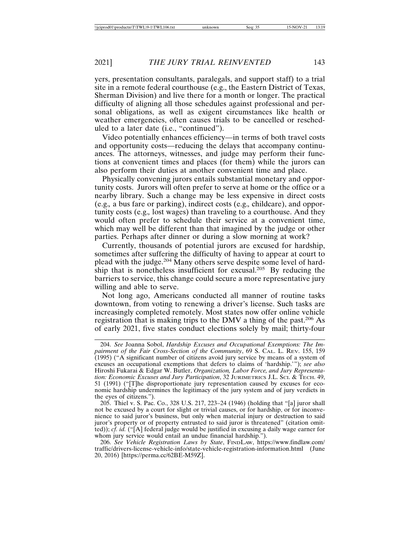yers, presentation consultants, paralegals, and support staff) to a trial site in a remote federal courthouse (e.g., the Eastern District of Texas, Sherman Division) and live there for a month or longer. The practical difficulty of aligning all those schedules against professional and personal obligations, as well as exigent circumstances like health or weather emergencies, often causes trials to be cancelled or rescheduled to a later date (i.e., "continued").

Video potentially enhances efficiency—in terms of both travel costs and opportunity costs—reducing the delays that accompany continuances. The attorneys, witnesses, and judge may perform their functions at convenient times and places (for them) while the jurors can also perform their duties at another convenient time and place.

Physically convening jurors entails substantial monetary and opportunity costs. Jurors will often prefer to serve at home or the office or a nearby library. Such a change may be less expensive in direct costs (e.g.*,* a bus fare or parking), indirect costs (e.g.*,* childcare), and opportunity costs (e.g.*,* lost wages) than traveling to a courthouse. And they would often prefer to schedule their service at a convenient time, which may well be different than that imagined by the judge or other parties. Perhaps after dinner or during a slow morning at work?

Currently, thousands of potential jurors are excused for hardship, sometimes after suffering the difficulty of having to appear at court to plead with the judge.204 Many others serve despite some level of hardship that is nonetheless insufficient for excusal.205 By reducing the barriers to service, this change could secure a more representative jury willing and able to serve.

Not long ago, Americans conducted all manner of routine tasks downtown, from voting to renewing a driver's license. Such tasks are increasingly completed remotely. Most states now offer online vehicle registration that is making trips to the DMV a thing of the past.<sup>206</sup> As of early 2021, five states conduct elections solely by mail; thirty-four

205. Thiel v. S. Pac. Co., 328 U.S. 217, 223–24 (1946) (holding that "[a] juror shall not be excused by a court for slight or trivial causes, or for hardship, or for inconvenience to said juror's business, but only when material injury or destruction to said juror's property or of property entrusted to said juror is threatened" (citation omitted)); *cf. id.* ("[A] federal judge would be justified in excusing a daily wage earner for whom jury service would entail an undue financial hardship.").

206. *See Vehicle Registration Laws by State*, FINDLAW, https://www.findlaw.com/ traffic/drivers-license-vehicle-info/state-vehicle-registration-information.html (June 20, 2016) [https://perma.cc/62BE-M59Z].

<sup>204.</sup> *See* Joanna Sobol, *Hardship Excuses and Occupational Exemptions: The Impairment of the Fair Cross-Section of the Community*, 69 S. CAL. L. REV. 155, 159 (1995) ("A significant number of citizens avoid jury service by means of a system of excuses an occupational exemptions that defers to claims of 'hardship.'"); *see also* Hiroshi Fukarai & Edgar W. Butler, *Organization, Labor Force, and Jury Representation: Economic Excuses and Jury Participation*, 32 JURIMETRICS J.L. SCI. & TECH. 49, 51 (1991) ("[T]he disproportionate jury representation caused by excuses for economic hardship undermines the legitimacy of the jury system and of jury verdicts in the eyes of citizens.").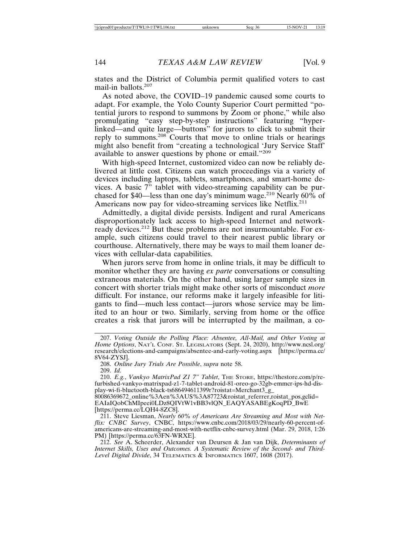states and the District of Columbia permit qualified voters to cast mail-in ballots.<sup>207</sup>

As noted above, the COVID–19 pandemic caused some courts to adapt. For example, the Yolo County Superior Court permitted "potential jurors to respond to summons by Zoom or phone," while also promulgating "easy step-by-step instructions" featuring "hyperlinked—and quite large—buttons" for jurors to click to submit their reply to summons.<sup>208</sup> Courts that move to online trials or hearings might also benefit from "creating a technological 'Jury Service Staff' available to answer questions by phone or email."<sup>209</sup>

With high-speed Internet, customized video can now be reliably delivered at little cost. Citizens can watch proceedings via a variety of devices including laptops, tablets, smartphones, and smart-home devices. A basic 7" tablet with video-streaming capability can be purchased for \$40—less than one day's minimum wage.<sup>210</sup> Nearly 60% of Americans now pay for video-streaming services like Netflix.<sup>211</sup>

Admittedly, a digital divide persists. Indigent and rural Americans disproportionately lack access to high-speed Internet and networkready devices.212 But these problems are not insurmountable. For example, such citizens could travel to their nearest public library or courthouse. Alternatively, there may be ways to mail them loaner devices with cellular-data capabilities.

When jurors serve from home in online trials, it may be difficult to monitor whether they are having *ex parte* conversations or consulting extraneous materials. On the other hand, using larger sample sizes in concert with shorter trials might make other sorts of misconduct *more* difficult. For instance, our reforms make it largely infeasible for litigants to find—much less contact—jurors whose service may be limited to an hour or two. Similarly, serving from home or the office creates a risk that jurors will be interrupted by the mailman, a co-

80086369672\_online%3Aen%3AUS%3A87723&roistat\_referrer,roistat\_pos,gclid= EAIaIQobChMIpeei0LDz8QIVtW1vBB3vlQN\_EAQYASABEgKoqPD\_BwE [https://perma.cc/LQH4-8ZC8].

211. Steve Liesman, *Nearly 60% of Americans Are Streaming and Most with Netflix: CNBC Survey*, CNBC, https://www.cnbc.com/2018/03/29/nearly-60-percent-ofamericans-are-streaming-and-most-with-netflix-cnbc-survey.html (Mar. 29, 2018, 1:26 PM) [https://perma.cc/63FN-WRXE].

212. *See* A. Scheerder, Alexander van Deursen & Jan van Dijk, *Determinants of Internet Skills, Uses and Outcomes. A Systematic Review of the Second- and Third-Level Digital Divide*, 34 TELEMATICS & INFORMATICS 1607, 1608 (2017).

<sup>207.</sup> *Voting Outside the Polling Place: Absentee, All-Mail, and Other Voting at Home Options*, NAT'L CONF. ST. LEGISLATORS (Sept. 24, 2020), http://www.ncsl.org/ research/elections-and-campaigns/absentee-and-early-voting.aspx [https://perma.cc/ 8V64-ZYSJ].

<sup>208.</sup> *Online Jury Trials Are Possible*, *supra* note 58.

<sup>209.</sup> *Id.*

<sup>210.</sup> *E.g.*, *Vankyo MatrixPad Z1 7" Tablet*, THE STORE, https://thestore.com/p/refurbished-vankyo-matrixpad-z1-7-tablet-android-81-oreo-go-32gb-emmcr-ips-hd-display-wi-fi-bluetooth-black-ts686494611399r?roistat=Merchant3\_g\_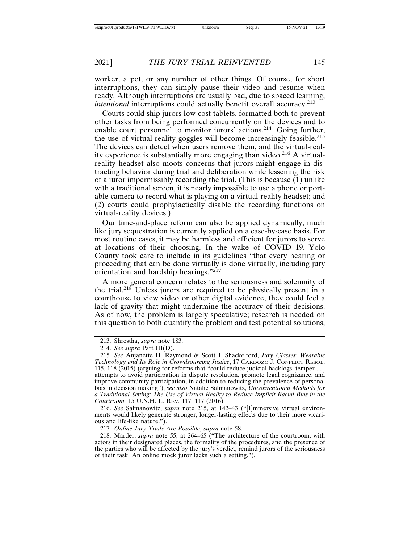worker, a pet, or any number of other things. Of course, for short interruptions, they can simply pause their video and resume when ready. Although interruptions are usually bad, due to spaced learning, *intentional* interruptions could actually benefit overall accuracy.<sup>213</sup>

Courts could ship jurors low-cost tablets, formatted both to prevent other tasks from being performed concurrently on the devices and to enable court personnel to monitor jurors' actions.<sup>214</sup> Going further, the use of virtual-reality goggles will become increasingly feasible.<sup>215</sup> The devices can detect when users remove them, and the virtual-reality experience is substantially more engaging than video.<sup>216</sup> A virtualreality headset also moots concerns that jurors might engage in distracting behavior during trial and deliberation while lessening the risk of a juror impermissibly recording the trial. (This is because (1) unlike with a traditional screen, it is nearly impossible to use a phone or portable camera to record what is playing on a virtual-reality headset; and (2) courts could prophylactically disable the recording functions on virtual-reality devices.)

Our time-and-place reform can also be applied dynamically, much like jury sequestration is currently applied on a case-by-case basis. For most routine cases, it may be harmless and efficient for jurors to serve at locations of their choosing. In the wake of COVID–19, Yolo County took care to include in its guidelines "that every hearing or proceeding that can be done virtually is done virtually, including jury orientation and hardship hearings."<sup>217</sup>

A more general concern relates to the seriousness and solemnity of the trial.<sup>218</sup> Unless jurors are required to be physically present in a courthouse to view video or other digital evidence, they could feel a lack of gravity that might undermine the accuracy of their decisions. As of now, the problem is largely speculative; research is needed on this question to both quantify the problem and test potential solutions,

216. *See* Salmanowitz, *supra* note 215, at 142–43 ("[I]mmersive virtual environments would likely generate stronger, longer-lasting effects due to their more vicarious and life-like nature.").

217. *Online Jury Trials Are Possible*, *supra* note 58.

218. Marder, *supra* note 55, at 264–65 ("The architecture of the courtroom, with actors in their designated places, the formality of the procedures, and the presence of the parties who will be affected by the jury's verdict, remind jurors of the seriousness of their task. An online mock juror lacks such a setting.").

<sup>213.</sup> Shrestha, *supra* note 183.

<sup>214.</sup> *See supra* Part III(D).

<sup>215.</sup> *See* Anjanette H. Raymond & Scott J. Shackelford, *Jury Glasses: Wearable Technology and Its Role in Crowdsourcing Justice*, 17 CARDOZO J. CONFLICT RESOL. 115, 118 (2015) (arguing for reforms that "could reduce judicial backlogs, temper . . . attempts to avoid participation in dispute resolution, promote legal cognizance, and improve community participation, in addition to reducing the prevalence of personal bias in decision making"); *see also* Natalie Salmanowitz, *Unconventional Methods for a Traditional Setting: The Use of Virtual Reality to Reduce Implicit Racial Bias in the Courtroom,* 15 U.N.H. L. REV. 117, 117 (2016).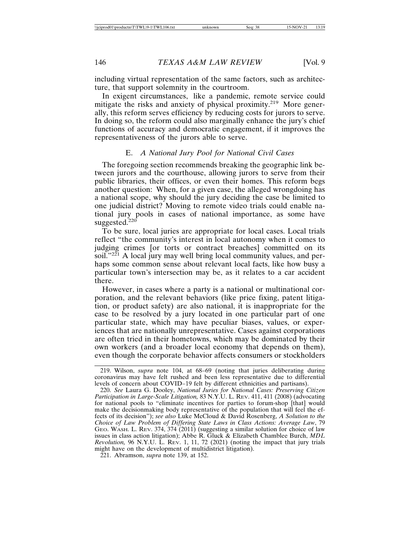including virtual representation of the same factors, such as architecture, that support solemnity in the courtroom.

In exigent circumstances, like a pandemic, remote service could mitigate the risks and anxiety of physical proximity.<sup>219</sup> More generally, this reform serves efficiency by reducing costs for jurors to serve. In doing so, the reform could also marginally enhance the jury's chief functions of accuracy and democratic engagement, if it improves the representativeness of the jurors able to serve.

#### E. *A National Jury Pool for National Civil Cases*

The foregoing section recommends breaking the geographic link between jurors and the courthouse, allowing jurors to serve from their public libraries, their offices, or even their homes. This reform begs another question: When, for a given case, the alleged wrongdoing has a national scope, why should the jury deciding the case be limited to one judicial district? Moving to remote video trials could enable national jury pools in cases of national importance, as some have suggested.<sup>220</sup>

To be sure, local juries are appropriate for local cases. Local trials reflect "the community's interest in local autonomy when it comes to judging crimes [or torts or contract breaches] committed on its soil."<sup>221</sup> A local jury may well bring local community values, and perhaps some common sense about relevant local facts, like how busy a particular town's intersection may be, as it relates to a car accident there.

However, in cases where a party is a national or multinational corporation, and the relevant behaviors (like price fixing, patent litigation, or product safety) are also national, it is inappropriate for the case to be resolved by a jury located in one particular part of one particular state, which may have peculiar biases, values, or experiences that are nationally unrepresentative. Cases against corporations are often tried in their hometowns, which may be dominated by their own workers (and a broader local economy that depends on them), even though the corporate behavior affects consumers or stockholders

221. Abramson, *supra* note 139, at 152.

<sup>219.</sup> Wilson, *supra* note 104, at 68–69 (noting that juries deliberating during coronavirus may have felt rushed and been less representative due to differential levels of concern about COVID–19 felt by different ethnicities and partisans).

<sup>220.</sup> *See* Laura G. Dooley, *National Juries for National Cases: Preserving Citizen Participation in Large-Scale Litigation,* 83 N.Y.U. L. REV. 411, 411 (2008) (advocating for national pools to "eliminate incentives for parties to forum-shop [that] would make the decisionmaking body representative of the population that will feel the effects of its decision"); *see also* Luke McCloud & David Rosenberg, *A Solution to the Choice of Law Problem of Differing State Laws in Class Actions: Average Law*, 79 GEO. WASH. L. REV. 374, 374 (2011) (suggesting a similar solution for choice of law issues in class action litigation); Abbe R. Gluck & Elizabeth Chamblee Burch, *MDL Revolution,* 96 N.Y.U. L. REV. 1, 11, 72 (2021) (noting the impact that jury trials might have on the development of multidistrict litigation).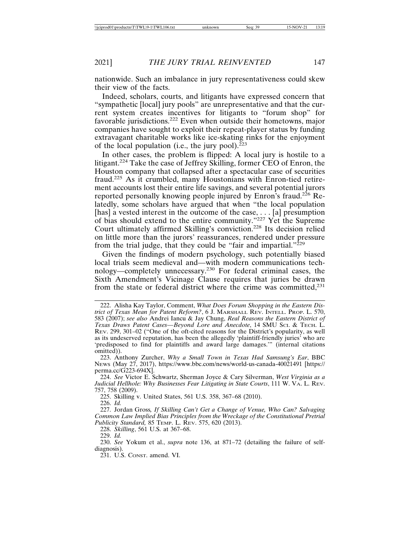nationwide. Such an imbalance in jury representativeness could skew their view of the facts.

Indeed, scholars, courts, and litigants have expressed concern that "sympathetic [local] jury pools" are unrepresentative and that the current system creates incentives for litigants to "forum shop" for favorable jurisdictions.222 Even when outside their hometowns, major companies have sought to exploit their repeat-player status by funding extravagant charitable works like ice-skating rinks for the enjoyment of the local population (i.e., the jury pool). $223$ 

In other cases, the problem is flipped: A local jury is hostile to a litigant.224 Take the case of Jeffrey Skilling, former CEO of Enron, the Houston company that collapsed after a spectacular case of securities fraud.225 As it crumbled, many Houstonians with Enron-tied retirement accounts lost their entire life savings, and several potential jurors reported personally knowing people injured by Enron's fraud.226 Relatedly, some scholars have argued that when "the local population [has] a vested interest in the outcome of the case, ... [a] presumption of bias should extend to the entire community."227 Yet the Supreme Court ultimately affirmed Skilling's conviction.228 Its decision relied on little more than the jurors' reassurances, rendered under pressure from the trial judge, that they could be "fair and impartial." $229$ 

Given the findings of modern psychology, such potentially biased local trials seem medieval and—with modern communications technology—completely unnecessary.230 For federal criminal cases, the Sixth Amendment's Vicinage Clause requires that juries be drawn from the state or federal district where the crime was committed.<sup>231</sup>

225. Skilling v. United States, 561 U.S. 358, 367–68 (2010). 226. *Id.*

227. Jordan Gross*, If Skilling Can't Get a Change of Venue, Who Can? Salvaging Common Law Implied Bias Principles from the Wreckage of the Constitutional Pretrial Publicity Standard,* 85 TEMP. L. REV. 575, 620 (2013).

228. *Skilling*, 561 U.S. at 367–68.

<sup>222.</sup> Alisha Kay Taylor, Comment, *What Does Forum Shopping in the Eastern District of Texas Mean for Patent Reform?*, 6 J. MARSHALL REV. INTELL. PROP. L. 570, 583 (2007); *see also* Andrei Iancu & Jay Chung, *Real Reasons the Eastern District of Texas Draws Patent Cases—Beyond Lore and Anecdote*, 14 SMU SCI. & TECH. L. REV. 299, 301–02 ("One of the oft-cited reasons for the District's popularity, as well as its undeserved reputation, has been the allegedly 'plaintiff-friendly juries' who are 'predisposed to find for plaintiffs and award large damages.'" (internal citations omitted)).

<sup>223.</sup> Anthony Zurcher, *Why a Small Town in Texas Had Samsung's Ear*, BBC NEWS (May 27, 2017), https://www.bbc.com/news/world-us-canada-40021491 [https:// perma.cc/G223-694X].

<sup>224.</sup> *See* Victor E. Schwartz, Sherman Joyce & Cary Silverman, *West Virginia as a Judicial Hellhole: Why Businesses Fear Litigating in State Courts*, 111 W. VA. L. REV. 757, 758 (2009).

<sup>229.</sup> *Id.*

<sup>230.</sup> *See* Yokum et al., *supra* note 136, at 871–72 (detailing the failure of selfdiagnosis).

<sup>231.</sup> U.S. CONST. amend. VI.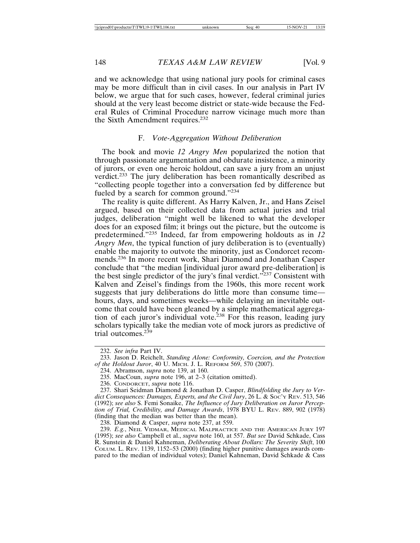and we acknowledge that using national jury pools for criminal cases may be more difficult than in civil cases. In our analysis in Part IV below, we argue that for such cases, however, federal criminal juries should at the very least become district or state-wide because the Federal Rules of Criminal Procedure narrow vicinage much more than the Sixth Amendment requires.<sup>232</sup>

#### F. *Vote-Aggregation Without Deliberation*

The book and movie *12 Angry Men* popularized the notion that through passionate argumentation and obdurate insistence, a minority of jurors, or even one heroic holdout, can save a jury from an unjust verdict.233 The jury deliberation has been romantically described as "collecting people together into a conversation fed by difference but fueled by a search for common ground."234

The reality is quite different. As Harry Kalven, Jr., and Hans Zeisel argued, based on their collected data from actual juries and trial judges, deliberation "might well be likened to what the developer does for an exposed film; it brings out the picture, but the outcome is predetermined."235 Indeed, far from empowering holdouts as in *12 Angry Men*, the typical function of jury deliberation is to (eventually) enable the majority to outvote the minority, just as Condorcet recommends.236 In more recent work, Shari Diamond and Jonathan Casper conclude that "the median [individual juror award pre-deliberation] is the best single predictor of the jury's final verdict."<sup>237</sup> Consistent with Kalven and Zeisel's findings from the 1960s, this more recent work suggests that jury deliberations do little more than consume time hours, days, and sometimes weeks—while delaying an inevitable outcome that could have been gleaned by a simple mathematical aggregation of each juror's individual vote.<sup>238</sup> For this reason, leading jury scholars typically take the median vote of mock jurors as predictive of trial outcomes.<sup>239</sup>

238. Diamond & Casper, *supra* note 237, at 559.

239. *E.g.*, NEIL VIDMAR, MEDICAL MALPRACTICE AND THE AMERICAN JURY 197 (1995); *see also* Campbell et al., *supra* note 160, at 557. *But see* David Schkade, Cass R. Sunstein & Daniel Kahneman, *Deliberating About Dollars: The Severity Shift*, 100 COLUM. L. REV. 1139, 1152–53 (2000) (finding higher punitive damages awards compared to the median of individual votes); Daniel Kahneman, David Schkade & Cass

<sup>232.</sup> *See infra* Part IV.

<sup>233.</sup> Jason D. Reichelt, *Standing Alone: Conformity, Coercion, and the Protection of the Holdout Juror*, 40 U. MICH. J. L. REFORM 569, 570 (2007).

<sup>234.</sup> Abramson, *supra* note 139, at 160.

<sup>235.</sup> MacCoun, *supra* note 196, at 2–3 (citation omitted).

<sup>236.</sup> CONDORCET, *supra* note 116.

<sup>237.</sup> Shari Seidman Diamond & Jonathan D. Casper, *Blindfolding the Jury to Verdict Consequences: Damages, Experts, and the Civil Jury*, 26 L. & SOC'Y REV. 513, 546 (1992); *see also* S. Femi Sonaike, *The Influence of Jury Deliberation on Juror Perception of Trial, Credibility, and Damage Awards*, 1978 BYU L. REV. 889, 902 (1978) (finding that the median was better than the mean).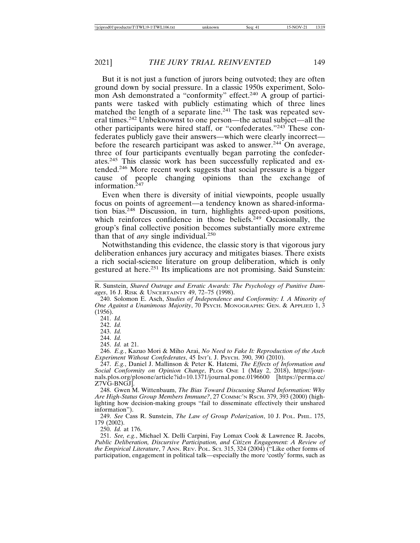But it is not just a function of jurors being outvoted; they are often ground down by social pressure. In a classic 1950s experiment, Solomon Ash demonstrated a "conformity" effect.240 A group of participants were tasked with publicly estimating which of three lines matched the length of a separate line.<sup>241</sup> The task was repeated several times.242 Unbeknownst to one person—the actual subject—all the other participants were hired staff, or "confederates."243 These confederates publicly gave their answers—which were clearly incorrect before the research participant was asked to answer.<sup>244</sup> On average, three of four participants eventually began parroting the confederates.245 This classic work has been successfully replicated and extended.246 More recent work suggests that social pressure is a bigger cause of people changing opinions than the exchange of information.<sup>247</sup>

Even when there is diversity of initial viewpoints, people usually focus on points of agreement—a tendency known as shared-information bias.248 Discussion, in turn, highlights agreed-upon positions, which reinforces confidence in those beliefs.<sup>249</sup> Occasionally, the group's final collective position becomes substantially more extreme than that of *any* single individual.<sup>250</sup>

Notwithstanding this evidence, the classic story is that vigorous jury deliberation enhances jury accuracy and mitigates biases. There exists a rich social-science literature on group deliberation, which is only gestured at here.251 Its implications are not promising. Said Sunstein:

241. *Id.* 242. *Id.*

243. *Id.*

244. *Id.*

245. *Id.* at 21.

246. *E.g.*, Kazuo Mori & Miho Arai, *No Need to Fake It: Reproduction of the Asch Experiment Without Confederates*, 45 INT'L J. PSYCH. 390, 390 (2010).

250. *Id.* at 176.

251. *See, e.g.*, Michael X. Delli Carpini, Fay Lomax Cook & Lawrence R. Jacobs, *Public Deliberation, Discursive Participation, and Citizen Engagement: A Review of the Empirical Literature*, 7 ANN. REV. POL. SCI. 315, 324 (2004) ("Like other forms of participation, engagement in political talk—especially the more 'costly' forms, such as

R. Sunstein, *Shared Outrage and Erratic Awards: The Psychology of Punitive Damages*, 16 J. RISK & UNCERTAINTY 49, 72–75 (1998).

<sup>240.</sup> Solomon E. Asch, *Studies of Independence and Conformity: I. A Minority of One Against a Unanimous Majority*, 70 PSYCH. MONOGRAPHS: GEN. & APPLIED 1, 3 (1956).

<sup>247.</sup> *E.g.*, Daniel J. Mallinson & Peter K. Hatemi, *The Effects of Information and Social Conformity on Opinion Change*, PLOS ONE 1 (May 2, 2018), https://journals.plos.org/plosone/article?id=10.1371/journal.pone.0196600 [https://perma.cc/ Z7VG-BNGJ].

<sup>248.</sup> Gwen M. Wittenbaum, *The Bias Toward Discussing Shared Information: Why Are High-Status Group Members Immune?*, 27 COMMC'N RSCH. 379, 393 (2000) (highlighting how decision-making groups "fail to disseminate effectively their unshared information").

<sup>249.</sup> *See* Cass R. Sunstein, *The Law of Group Polarization*, 10 J. POL. PHIL. 175, 179 (2002).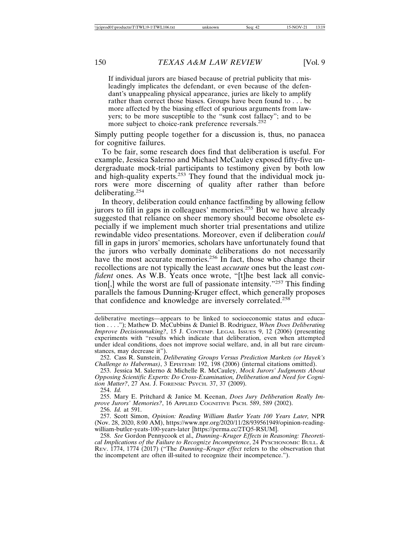If individual jurors are biased because of pretrial publicity that misleadingly implicates the defendant, or even because of the defendant's unappealing physical appearance, juries are likely to amplify rather than correct those biases. Groups have been found to . . . be more affected by the biasing effect of spurious arguments from lawyers; to be more susceptible to the "sunk cost fallacy"; and to be more subject to choice-rank preference reversals.<sup>252</sup>

Simply putting people together for a discussion is, thus, no panacea for cognitive failures.

To be fair, some research does find that deliberation is useful. For example, Jessica Salerno and Michael McCauley exposed fifty-five undergraduate mock-trial participants to testimony given by both low and high-quality experts.<sup>253</sup> They found that the individual mock jurors were more discerning of quality after rather than before deliberating.<sup>254</sup>

In theory, deliberation could enhance factfinding by allowing fellow jurors to fill in gaps in colleagues' memories.<sup>255</sup> But we have already suggested that reliance on sheer memory should become obsolete especially if we implement much shorter trial presentations and utilize rewindable video presentations. Moreover, even if deliberation *could* fill in gaps in jurors' memories, scholars have unfortunately found that the jurors who verbally dominate deliberations do not necessarily have the most accurate memories.<sup>256</sup> In fact, those who change their recollections are not typically the least *accurate* ones but the least *confident* ones. As W.B. Yeats once wrote, "[t]he best lack all conviction[,] while the worst are full of passionate intensity."<sup>257</sup> This finding parallels the famous Dunning-Kruger effect, which generally proposes that confidence and knowledge are inversely correlated.<sup>258</sup>

254. *Id.*

255. Mary E. Pritchard & Janice M. Keenan, *Does Jury Deliberation Really Improve Jurors' Memories?*, 16 APPLIED COGNITIVE PSCH. 589, 589 (2002).

256. *Id.* at 591.

deliberative meetings—appears to be linked to socioeconomic status and education . . . ."); Mathew D. McCubbins & Daniel B. Rodriguez, *When Does Deliberating Improve Decisionmaking?*, 15 J. CONTEMP. LEGAL ISSUES 9, 12 (2006) (presenting experiments with "results which indicate that deliberation, even when attempted under ideal conditions, does not improve social welfare, and, in all but rare circumstances, may decrease it").

<sup>252.</sup> Cass R. Sunstein, *Deliberating Groups Versus Prediction Markets (or Hayek's Challenge to Habermas)*, 3 EPISTEME 192, 198 (2006) (internal citations omitted).

<sup>253.</sup> Jessica M. Salerno & Michelle R. McCauley, *Mock Jurors' Judgments About Opposing Scientific Experts: Do Cross-Examination, Deliberation and Need for Cognition Matter?*, 27 AM. J. FORENSIC PSYCH. 37, 37 (2009).

<sup>257.</sup> Scott Simon, *Opinion: Reading William Butler Yeats 100 Years Later,* NPR (Nov. 28, 2020, 8:00 AM), https://www.npr.org/2020/11/28/939561949/opinion-readingwilliam-butler-yeats-100-years-later [https://perma.cc/2TQ5-RSUM].

<sup>258.</sup> *See* Gordon Pennycook et al.*, Dunning–Kruger Effects in Reasoning: Theoretical Implications of the Failure to Recognize Incompetence*, 24 PYSCHONOMIC BULL. & REV. 1774, 1774 (2017) ("The *Dunning–Kruger effect* refers to the observation that the incompetent are often ill-suited to recognize their incompetence.").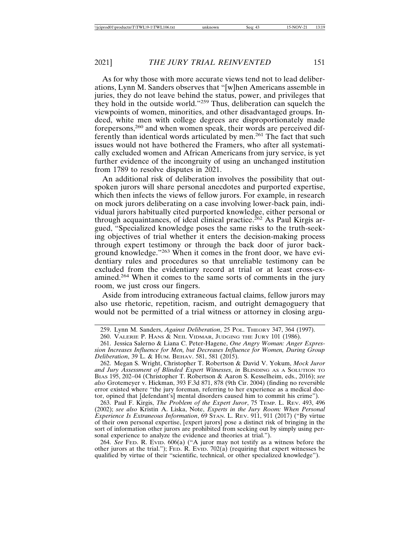As for why those with more accurate views tend not to lead deliberations, Lynn M. Sanders observes that "[w]hen Americans assemble in juries, they do not leave behind the status, power, and privileges that they hold in the outside world."259 Thus, deliberation can squelch the viewpoints of women, minorities, and other disadvantaged groups. Indeed, white men with college degrees are disproportionately made forepersons,260 and when women speak, their words are perceived differently than identical words articulated by men.261 The fact that such issues would not have bothered the Framers, who after all systematically excluded women and African Americans from jury service, is yet further evidence of the incongruity of using an unchanged institution from 1789 to resolve disputes in 2021.

An additional risk of deliberation involves the possibility that outspoken jurors will share personal anecdotes and purported expertise, which then infects the views of fellow jurors. For example, in research on mock jurors deliberating on a case involving lower-back pain, individual jurors habitually cited purported knowledge, either personal or through acquaintances, of ideal clinical practice.<sup>262</sup> As Paul Kirgis argued, "Specialized knowledge poses the same risks to the truth-seeking objectives of trial whether it enters the decision-making process through expert testimony or through the back door of juror background knowledge."263 When it comes in the front door, we have evidentiary rules and procedures so that unreliable testimony can be excluded from the evidentiary record at trial or at least cross-examined.264 When it comes to the same sorts of comments in the jury room, we just cross our fingers.

Aside from introducing extraneous factual claims, fellow jurors may also use rhetoric, repetition, racism, and outright demagoguery that would not be permitted of a trial witness or attorney in closing argu-

263. Paul F. Kirgis, *The Problem of the Expert Juror*, 75 TEMP. L. REV. 493, 496 (2002); *see also* Kristin A. Liska, Note, *Experts in the Jury Room: When Personal Experience Is Extraneous Information*, 69 STAN. L. REV. 911, 911 (2017) ("By virtue of their own personal expertise, [expert jurors] pose a distinct risk of bringing in the sort of information other jurors are prohibited from seeking out by simply using personal experience to analyze the evidence and theories at trial.").

264. *See* FED. R. EVID. 606(a) ("A juror may not testify as a witness before the other jurors at the trial."); FED. R. EVID. 702(a) (requiring that expert witnesses be qualified by virtue of their "scientific, technical, or other specialized knowledge").

<sup>259.</sup> Lynn M. Sanders, *Against Deliberation*, 25 POL. THEORY 347, 364 (1997).

<sup>260.</sup> VALERIE P. HANS & NEIL VIDMAR, JUDGING THE JURY 101 (1986).

<sup>261.</sup> Jessica Salerno & Liana C. Peter-Hagene, *One Angry Woman: Anger Expression Increases Influence for Men, but Decreases Influence for Women, During Group Deliberation*, 39 L. & HUM. ВЕНАУ. 581, 581 (2015).

<sup>262.</sup> Megan S. Wright, Christopher T. Robertson & David V. Yokum, *Mock Juror and Jury Assessment of Blinded Expert Witnesses*, *in* BLINDING AS A SOLUTION TO BIAS 195, 202–04 (Christopher T. Robertson & Aaron S. Kesselheim, eds., 2016); *see also* Grotemeyer v. Hickman, 393 F.3d 871, 878 (9th Cir. 2004) (finding no reversible error existed where "the jury foreman, referring to her experience as a medical doctor, opined that [defendant's] mental disorders caused him to commit his crime").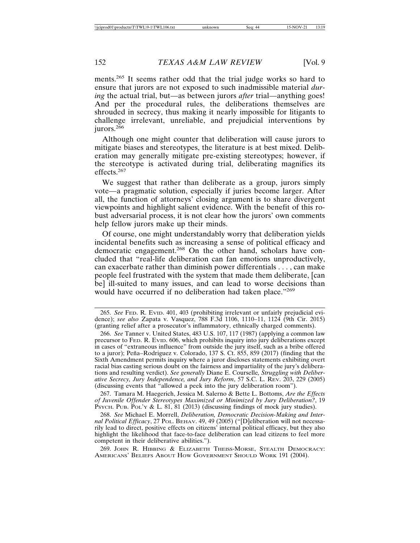ments.265 It seems rather odd that the trial judge works so hard to ensure that jurors are not exposed to such inadmissible material *during* the actual trial, but—as between jurors *after* trial—anything goes! And per the procedural rules, the deliberations themselves are shrouded in secrecy, thus making it nearly impossible for litigants to challenge irrelevant, unreliable, and prejudicial interventions by jurors. $2^{66}$ 

Although one might counter that deliberation will cause jurors to mitigate biases and stereotypes, the literature is at best mixed. Deliberation may generally mitigate pre-existing stereotypes; however, if the stereotype is activated during trial, deliberating magnifies its effects.<sup>267</sup>

We suggest that rather than deliberate as a group, jurors simply vote—a pragmatic solution, especially if juries become larger. After all, the function of attorneys' closing argument is to share divergent viewpoints and highlight salient evidence. With the benefit of this robust adversarial process, it is not clear how the jurors' own comments help fellow jurors make up their minds.

Of course, one might understandably worry that deliberation yields incidental benefits such as increasing a sense of political efficacy and democratic engagement.<sup>268</sup> On the other hand, scholars have concluded that "real-life deliberation can fan emotions unproductively, can exacerbate rather than diminish power differentials . . . , can make people feel frustrated with the system that made them deliberate, [can be] ill-suited to many issues, and can lead to worse decisions than would have occurred if no deliberation had taken place."<sup>269</sup>

267. Tamara M. Haegerich, Jessica M. Salerno & Bette L. Bottoms, *Are the Effects of Juvenile Offender Stereotypes Maximized or Minimized by Jury Deliberation?*, 19 PSYCH. PUB. POL'Y & L. 81, 81 (2013) (discussing findings of mock jury studies).

268. *See* Michael E. Morrell, *Deliberation, Democratic Decision-Making and Internal Political Efficacy*, 27 POL. BEHAV. 49, 49 (2005) ("[D]eliberation will not necessarily lead to direct, positive effects on citizens' internal political efficacy, but they also highlight the likelihood that face-to-face deliberation can lead citizens to feel more competent in their deliberative abilities.").

269. JOHN R. HIBBING & ELIZABETH THEISS-MORSE, STEALTH DEMOCRACY: AMERICANS' BELIEFS ABOUT HOW GOVERNMENT SHOULD WORK 191 (2004).

<sup>265.</sup> *See* FED. R. EVID. 401, 403 (prohibiting irrelevant or unfairly prejudicial evidence); *see also* Zapata v. Vasquez, 788 F.3d 1106, 1110–11, 1124 (9th Cir. 2015) (granting relief after a prosecutor's inflammatory, ethnically charged comments).

<sup>266.</sup> *See* Tanner v. United States, 483 U.S. 107, 117 (1987) (applying a common law precursor to FED. R. EVID. 606, which prohibits inquiry into jury deliberations except in cases of "extraneous influence" from outside the jury itself, such as a bribe offered to a juror); Peña–Rodriguez v. Colorado, 137 S. Ct. 855, 859 (2017) (finding that the Sixth Amendment permits inquiry where a juror discloses statements exhibiting overt racial bias casting serious doubt on the fairness and impartiality of the jury's deliberations and resulting verdict). *See generally* Diane E. Courselle*, Struggling with Deliberative Secrecy, Jury Independence, and Jury Reform*, 57 S.C. L. REV. 203, 229 (2005) (discussing events that "allowed a peek into the jury deliberation room").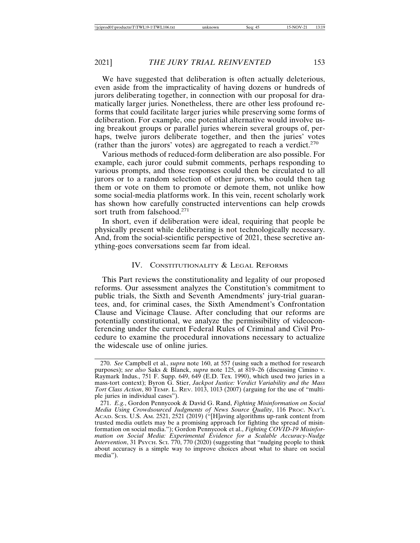We have suggested that deliberation is often actually deleterious, even aside from the impracticality of having dozens or hundreds of jurors deliberating together, in connection with our proposal for dramatically larger juries. Nonetheless, there are other less profound reforms that could facilitate larger juries while preserving some forms of deliberation. For example, one potential alternative would involve using breakout groups or parallel juries wherein several groups of, perhaps, twelve jurors deliberate together, and then the juries' votes (rather than the jurors' votes) are aggregated to reach a verdict.<sup>270</sup>

Various methods of reduced-form deliberation are also possible. For example, each juror could submit comments, perhaps responding to various prompts, and those responses could then be circulated to all jurors or to a random selection of other jurors, who could then tag them or vote on them to promote or demote them, not unlike how some social-media platforms work. In this vein, recent scholarly work has shown how carefully constructed interventions can help crowds sort truth from falsehood.<sup>271</sup>

In short, even if deliberation were ideal, requiring that people be physically present while deliberating is not technologically necessary. And, from the social-scientific perspective of 2021, these secretive anything-goes conversations seem far from ideal.

#### IV. CONSTITUTIONALITY & LEGAL REFORMS

This Part reviews the constitutionality and legality of our proposed reforms. Our assessment analyzes the Constitution's commitment to public trials, the Sixth and Seventh Amendments' jury-trial guarantees, and, for criminal cases, the Sixth Amendment's Confrontation Clause and Vicinage Clause. After concluding that our reforms are potentially constitutional, we analyze the permissibility of videoconferencing under the current Federal Rules of Criminal and Civil Procedure to examine the procedural innovations necessary to actualize the widescale use of online juries.

<sup>270.</sup> *See* Campbell et al., *supra* note 160, at 557 (using such a method for research purposes); *see also* Saks & Blanck, *supra* note 125, at 819-26 (discussing Cimino v. Raymark Indus., 751 F. Supp. 649, 649 (E.D. Tex. 1990), which used two juries in a mass-tort context); Byron G. Stier, *Jackpot Justice: Verdict Variability and the Mass Tort Class Action*, 80 TEMP. L. REV. 1013, 1013 (2007) (arguing for the use of "multiple juries in individual cases").

<sup>271.</sup> *E.g.*, Gordon Pennycook & David G. Rand, *Fighting Misinformation on Social Media Using Crowdsourced Judgments of News Source Quality*, 116 PROC. NAT'L ACAD. SCIS. U.S. AM. 2521, 2521 (2019) ("[H]aving algorithms up-rank content from trusted media outlets may be a promising approach for fighting the spread of misinformation on social media."); Gordon Pennycook et al., *Fighting COVID-19 Misinformation on Social Media: Experimental Evidence for a Scalable Accuracy-Nudge Intervention*, 31 Psych. Sci. 770, 770 (2020) (suggesting that "nudging people to think about accuracy is a simple way to improve choices about what to share on social media").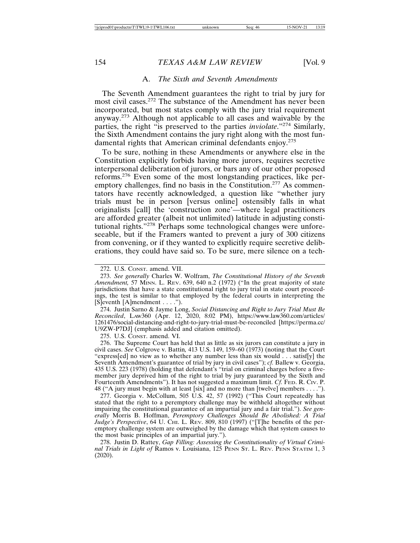#### A. *The Sixth and Seventh Amendments*

The Seventh Amendment guarantees the right to trial by jury for most civil cases.272 The substance of the Amendment has never been incorporated, but most states comply with the jury trial requirement anyway.273 Although not applicable to all cases and waivable by the parties, the right "is preserved to the parties *inviolate*."274 Similarly, the Sixth Amendment contains the jury right along with the most fundamental rights that American criminal defendants enjoy.<sup>275</sup>

To be sure, nothing in these Amendments or anywhere else in the Constitution explicitly forbids having more jurors, requires secretive interpersonal deliberation of jurors, or bars any of our other proposed reforms.276 Even some of the most longstanding practices, like peremptory challenges, find no basis in the Constitution.<sup>277</sup> As commentators have recently acknowledged, a question like "whether jury trials must be in person [versus online] ostensibly falls in what originalists [call] the 'construction zone'—where legal practitioners are afforded greater (albeit not unlimited) latitude in adjusting constitutional rights."278 Perhaps some technological changes were unforeseeable, but if the Framers wanted to prevent a jury of 300 citizens from convening, or if they wanted to explicitly require secretive deliberations, they could have said so. To be sure, mere silence on a tech-

274. Justin Sarno & Jayme Long, *Social Distancing and Right to Jury Trial Must Be Reconciled*, LAW360 (Apr. 12, 2020, 8:02 PM), https://www.law360.com/articles/ 1261476/social-distancing-and-right-to-jury-trial-must-be-reconciled [https://perma.cc/ U9ZW-P7DJ] (emphasis added and citation omitted).

275. U.S. CONST. amend. VI.

276. The Supreme Court has held that as little as six jurors can constitute a jury in civil cases. *See* Colgrove v. Battin*,* 413 U.S. 149, 159–60 (1973) (noting that the Court "express[ed] no view as to whether any number less than six would . . . satisf[y] the Seventh Amendment's guarantee of trial by jury in civil cases"); *cf.* Ballew v. Georgia, 435 U.S. 223 (1978) (holding that defendant's "trial on criminal charges before a fivemember jury deprived him of the right to trial by jury guaranteed by the Sixth and Fourteenth Amendments"). It has not suggested a maximum limit. *Cf.* FED. R. Civ. P. 48 ("A jury must begin with at least [six] and no more than [twelve] members . . . .").

277. Georgia v. McCollum, 505 U.S. 42, 57 (1992) ("This Court repeatedly has stated that the right to a peremptory challenge may be withheld altogether without impairing the constitutional guarantee of an impartial jury and a fair trial."). *See generally* Morris B. Hoffman, *Peremptory Challenges Should Be Abolished: A Trial Judge's Perspective*, 64 U. CHI. L. REV. 809, 810 (1997) ("[T]he benefits of the peremptory challenge system are outweighed by the damage which that system causes to the most basic principles of an impartial jury.").

278. Justin D. Rattey, *Gap Filling: Assessing the Constitutionality of Virtual Criminal Trials in Light of* Ramos v. Louisiana, 125 PENN ST. L. REV. PENN STATIM 1, 3 (2020).

<sup>272.</sup> U.S. CONST. amend. VII.

<sup>273.</sup> *See generally* Charles W. Wolfram, *The Constitutional History of the Seventh Amendment,* 57 MINN. L. REV. 639, 640 n.2 (1972) ("In the great majority of state jurisdictions that have a state constitutional right to jury trial in state court proceedings, the test is similar to that employed by the federal courts in interpreting the [S]eventh [A]mendment . . . .").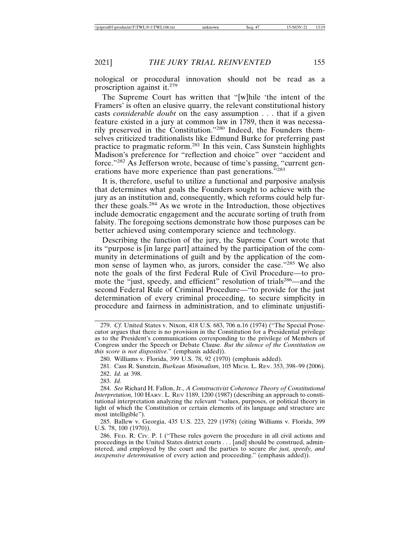nological or procedural innovation should not be read as a proscription against it.<sup>279</sup>

The Supreme Court has written that "[w]hile 'the intent of the Framers' is often an elusive quarry, the relevant constitutional history casts *considerable doubt* on the easy assumption . . . that if a given feature existed in a jury at common law in 1789, then it was necessarily preserved in the Constitution."280 Indeed, the Founders themselves criticized traditionalists like Edmund Burke for preferring past practice to pragmatic reform.281 In this vein, Cass Sunstein highlights Madison's preference for "reflection and choice" over "accident and force."282 As Jefferson wrote, because of time's passing, "current generations have more experience than past generations."<sup>283</sup>

It is, therefore, useful to utilize a functional and purposive analysis that determines what goals the Founders sought to achieve with the jury as an institution and, consequently, which reforms could help further these goals.284 As we wrote in the Introduction, those objectives include democratic engagement and the accurate sorting of truth from falsity. The foregoing sections demonstrate how those purposes can be better achieved using contemporary science and technology.

Describing the function of the jury, the Supreme Court wrote that its "purpose is [in large part] attained by the participation of the community in determinations of guilt and by the application of the common sense of laymen who, as jurors, consider the case."285 We also note the goals of the first Federal Rule of Civil Procedure—to promote the "just, speedy, and efficient" resolution of trials<sup>286</sup>—and the second Federal Rule of Criminal Procedure—"to provide for the just determination of every criminal proceeding, to secure simplicity in procedure and fairness in administration, and to eliminate unjustifi-

282. *Id.* at 398.

283. *Id.*

<sup>279.</sup> *Cf.* United States v. Nixon, 418 U.S. 683, 706 n.16 (1974) ("The Special Prosecutor argues that there is no provision in the Constitution for a Presidential privilege as to the President's communications corresponding to the privilege of Members of Congress under the Speech or Debate Clause. *But the silence of the Constitution on this score is not dispositive.*" (emphasis added)).

<sup>280.</sup> Williams v. Florida, 399 U.S. 78, 92 (1970) (emphasis added).

<sup>281.</sup> Cass R. Sunstein, *Burkean Minimalism*, 105 MICH. L. REV. 353, 398–99 (2006).

<sup>284.</sup> *See* Richard H. Fallon, Jr., *A Constructivist Coherence Theory of Constitutional Interpretation,* 100 HARV. L. REV 1189, 1200 (1987) (describing an approach to constitutional interpretation analyzing the relevant "values, purposes, or political theory in light of which the Constitution or certain elements of its language and structure are most intelligible").

<sup>285.</sup> Ballew v. Georgia, 435 U.S. 223, 229 (1978) (citing Williams v. Florida, 399 U.S. 78, 100 (1970)).

<sup>286.</sup> FED. R. CIV. P. 1 ("These rules govern the procedure in all civil actions and proceedings in the United States district courts . . . [and] should be construed, administered, and employed by the court and the parties to secure *the just, speedy, and inexpensive determination* of every action and proceeding." (emphasis added)).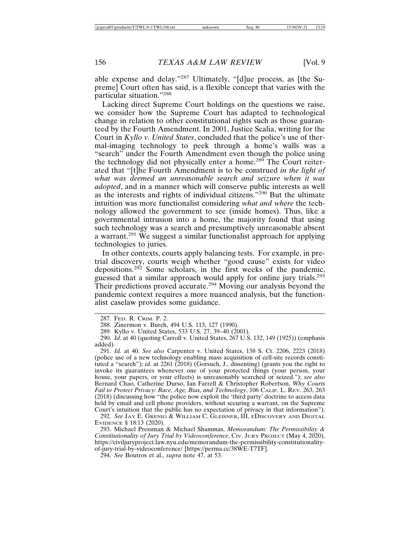able expense and delay."287 Ultimately, "[d]ue process, as [the Supreme] Court often has said, is a flexible concept that varies with the particular situation."<sup>288</sup>

Lacking direct Supreme Court holdings on the questions we raise, we consider how the Supreme Court has adapted to technological change in relation to other constitutional rights such as those guaranteed by the Fourth Amendment. In 2001, Justice Scalia, writing for the Court in *Kyllo v. United States*, concluded that the police's use of thermal-imaging technology to peek through a home's walls was a "search" under the Fourth Amendment even though the police using the technology did not physically enter a home.<sup>289</sup> The Court reiterated that "[t]he Fourth Amendment is to be construed *in the light of what was deemed an unreasonable search and seizure when it was adopted*, and in a manner which will conserve public interests as well as the interests and rights of individual citizens."290 But the ultimate intuition was more functionalist considering *what and where* the technology allowed the government to see (inside homes). Thus, like a governmental intrusion into a home, the majority found that using such technology was a search and presumptively unreasonable absent a warrant.<sup>291</sup> We suggest a similar functionalist approach for applying technologies to juries.

In other contexts, courts apply balancing tests. For example, in pretrial discovery, courts weigh whether "good cause" exists for video depositions.<sup>292</sup> Some scholars, in the first weeks of the pandemic, guessed that a similar approach would apply for online jury trials.<sup>293</sup> Their predictions proved accurate.<sup>294</sup> Moving our analysis beyond the pandemic context requires a more nuanced analysis, but the functionalist caselaw provides some guidance.

292. *See* JAY E. GRENIG & WILLIAM C. GLEISNER, III, EDISCOVERY AND DIGITAL EVIDENCE § 18:13 (2020).

293. Michael Pressman & Michael Shammas, *Memorandum: The Permissibility & Constitutionality of Jury Trial by Videoconference*, CIV. JURY PROJECT (May 4, 2020), https://civiljuryproject.law.nyu.edu/memorandum-the-permissibility-constitutionalityof-jury-trial-by-videoconference/ [https://perma.cc/38WE-T7TF].

294. *See* Boutros et al., *supra* note 47, at 53.

<sup>287.</sup> FED. R. CRIM. P. 2.

<sup>288.</sup> Zinermon v. Burch, 494 U.S. 113, 127 (1990).

<sup>289.</sup> Kyllo v. United States, 533 U.S. 27, 39–40 (2001).

<sup>290.</sup> *Id*. at 40 (quoting Carroll v. United States, 267 U.S. 132, 149 (1925)) (emphasis added).

<sup>291.</sup> *Id.* at 40. *See also* Carpenter v. United States, 138 S. Ct. 2206, 2223 (2018) (police use of a new technology enabling mass acquisition of cell-site records constituted a "search"); *id.* at 2261 (2018) (Gorsuch, J., dissenting) (grants you the right to invoke its guarantees whenever one of your protected things (your person, your house, your papers, or your effects) is unreasonably searched or seized."); *see also* Bernard Chao, Catherine Durso, Ian Farrell & Christopher Robertson, *Why Courts Fail to Protect Privacy: Race, Age, Bias, and Technology*, 106 CALIF. L. REV. 263, 263 (2018) (discussing how "the police now exploit the 'third party' doctrine to access data held by email and cell phone providers, without securing a warrant, on the Supreme Court's intuition that the public has no expectation of privacy in that information").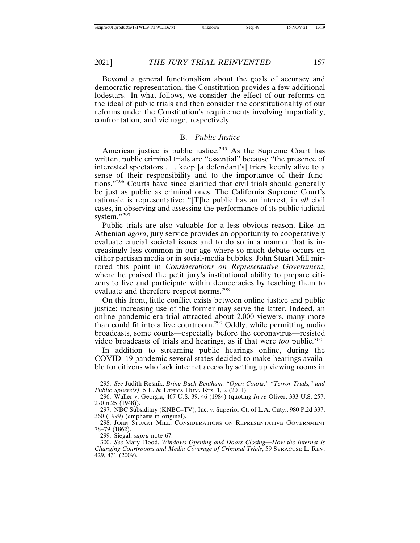Beyond a general functionalism about the goals of accuracy and democratic representation, the Constitution provides a few additional lodestars. In what follows, we consider the effect of our reforms on the ideal of public trials and then consider the constitutionality of our reforms under the Constitution's requirements involving impartiality, confrontation, and vicinage, respectively.

#### B. *Public Justice*

American justice is public justice.<sup>295</sup> As the Supreme Court has written, public criminal trials are "essential" because "the presence of interested spectators . . . keep [a defendant's] triers keenly alive to a sense of their responsibility and to the importance of their functions."296 Courts have since clarified that civil trials should generally be just as public as criminal ones. The California Supreme Court's rationale is representative: "[T]he public has an interest, in *all* civil cases, in observing and assessing the performance of its public judicial system."297

Public trials are also valuable for a less obvious reason. Like an Athenian *agora*, jury service provides an opportunity to cooperatively evaluate crucial societal issues and to do so in a manner that is increasingly less common in our age where so much debate occurs on either partisan media or in social-media bubbles. John Stuart Mill mirrored this point in *Considerations on Representative Government*, where he praised the petit jury's institutional ability to prepare citizens to live and participate within democracies by teaching them to evaluate and therefore respect norms.<sup>298</sup>

On this front, little conflict exists between online justice and public justice; increasing use of the former may serve the latter. Indeed, an online pandemic-era trial attracted about 2,000 viewers, many more than could fit into a live courtroom.299 Oddly, while permitting audio broadcasts, some courts—especially before the coronavirus—resisted video broadcasts of trials and hearings, as if that were *too* public.<sup>300</sup>

In addition to streaming public hearings online, during the COVID–19 pandemic several states decided to make hearings available for citizens who lack internet access by setting up viewing rooms in

<sup>295.</sup> *See* Judith Resnik, *Bring Back Bentham: "Open Courts," "Terror Trials," and Public Sphere(s)*, 5 L. & ETHICS HUM. RTS. 1, 2 (2011).

<sup>296.</sup> Waller v. Georgia, 467 U.S. 39, 46 (1984) (quoting *In re* Oliver, 333 U.S. 257, 270 n.25 (1948)).

<sup>297.</sup> NBC Subsidiary (KNBC–TV), Inc. v. Superior Ct. of L.A. Cnty., 980 P.2d 337, 360 (1999) (emphasis in original).

<sup>298.</sup> JOHN STUART MILL, CONSIDERATIONS ON REPRESENTATIVE GOVERNMENT 78–79 (1862).

<sup>299.</sup> Siegal, *supra* note 67.

<sup>300.</sup> *See* Mary Flood, *Windows Opening and Doors Closing—How the Internet Is Changing Courtrooms and Media Coverage of Criminal Trials*, 59 SYRACUSE L. REV. 429, 431 (2009).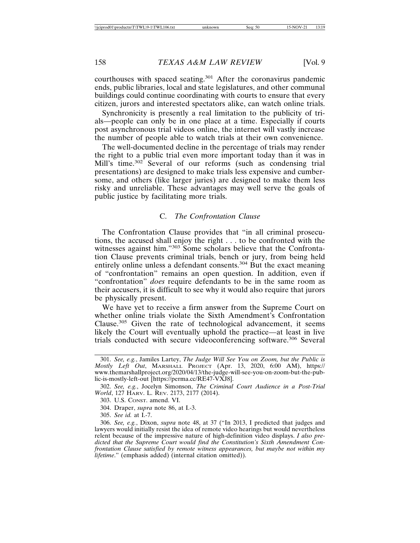courthouses with spaced seating.301 After the coronavirus pandemic ends, public libraries, local and state legislatures, and other communal buildings could continue coordinating with courts to ensure that every citizen, jurors and interested spectators alike, can watch online trials.

Synchronicity is presently a real limitation to the publicity of trials—people can only be in one place at a time. Especially if courts post asynchronous trial videos online, the internet will vastly increase the number of people able to watch trials at their own convenience.

The well-documented decline in the percentage of trials may render the right to a public trial even more important today than it was in Mill's time.<sup>302</sup> Several of our reforms (such as condensing trial presentations) are designed to make trials less expensive and cumbersome, and others (like larger juries) are designed to make them less risky and unreliable. These advantages may well serve the goals of public justice by facilitating more trials.

#### C. *The Confrontation Clause*

The Confrontation Clause provides that "in all criminal prosecutions, the accused shall enjoy the right . . . to be confronted with the witnesses against him."<sup>303</sup> Some scholars believe that the Confrontation Clause prevents criminal trials, bench or jury, from being held entirely online unless a defendant consents.<sup>304</sup> But the exact meaning of "confrontation" remains an open question. In addition, even if "confrontation" *does* require defendants to be in the same room as their accusers, it is difficult to see why it would also require that jurors be physically present.

We have yet to receive a firm answer from the Supreme Court on whether online trials violate the Sixth Amendment's Confrontation Clause.305 Given the rate of technological advancement, it seems likely the Court will eventually uphold the practice—at least in live trials conducted with secure videoconferencing software.306 Several

<sup>301.</sup> *See, e.g.*, Jamiles Lartey, *The Judge Will See You on Zoom, but the Public is Mostly Left Out*, MARSHALL PROJECT (Apr. 13, 2020, 6:00 AM), https:// www.themarshallproject.org/2020/04/13/the-judge-will-see-you-on-zoom-but-the-public-is-mostly-left-out [https://perma.cc/RE47-VXJ8].

<sup>302.</sup> *See, e.g.*, Jocelyn Simonson, *The Criminal Court Audience in a Post-Trial World*, 127 HARV. L. REV. 2173, 2177 (2014).

<sup>303.</sup> U.S. CONST. amend. VI.

<sup>304.</sup> Draper, *supra* note 86, at I.-3.

<sup>305.</sup> *See id.* at I.-7.

<sup>306.</sup> *See, e.g.*, Dixon, *supra* note 48, at 37 ("In 2013, I predicted that judges and lawyers would initially resist the idea of remote video hearings but would nevertheless relent because of the impressive nature of high-definition video displays. *I also predicted that the Supreme Court would find the Constitution's Sixth Amendment Confrontation Clause satisfied by remote witness appearances, but maybe not within my lifetime*." (emphasis added) (internal citation omitted)).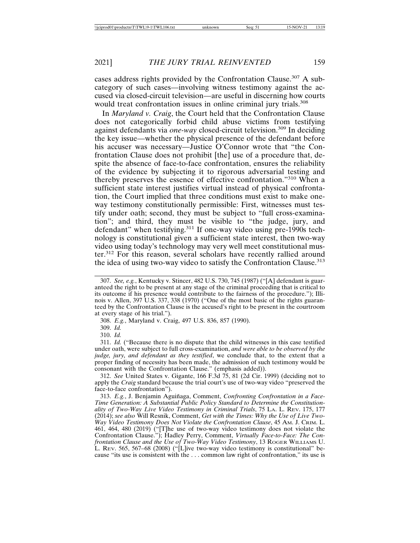cases address rights provided by the Confrontation Clause.<sup>307</sup> A subcategory of such cases—involving witness testimony against the accused via closed-circuit television—are useful in discerning how courts would treat confrontation issues in online criminal jury trials.<sup>308</sup>

In *Maryland v. Craig*, the Court held that the Confrontation Clause does not categorically forbid child abuse victims from testifying against defendants via *one-way* closed-circuit television.<sup>309</sup> In deciding the key issue—whether the physical presence of the defendant before his accuser was necessary—Justice O'Connor wrote that "the Confrontation Clause does not prohibit [the] use of a procedure that, despite the absence of face-to-face confrontation, ensures the reliability of the evidence by subjecting it to rigorous adversarial testing and thereby preserves the essence of effective confrontation."310 When a sufficient state interest justifies virtual instead of physical confrontation, the Court implied that three conditions must exist to make oneway testimony constitutionally permissible: First, witnesses must testify under oath; second, they must be subject to "full cross-examination"; and third, they must be visible to "the judge, jury, and defendant" when testifying.<sup>311</sup> If one-way video using pre-1990s technology is constitutional given a sufficient state interest, then two-way video using today's technology may very well meet constitutional muster.312 For this reason, several scholars have recently rallied around the idea of using two-way video to satisfy the Confrontation Clause.<sup>313</sup>

308. *E.g.*, Maryland v. Craig, 497 U.S. 836, 857 (1990).

309. *Id.*

310. *Id.*

311. *Id.* ("Because there is no dispute that the child witnesses in this case testified under oath, were subject to full cross-examination, *and were able to be observed by the judge, jury, and defendant as they testified*, we conclude that, to the extent that a proper finding of necessity has been made, the admission of such testimony would be consonant with the Confrontation Clause." (emphasis added)).

312. *See* United States v. Gigante, 166 F.3d 75, 81 (2d Cir. 1999) (deciding not to apply the *Craig* standard because the trial court's use of two-way video "preserved the face-to-face confrontation").

313. E.g., J. Benjamin Aguiñaga, Comment, *Confronting Confrontation in a Face-Time Generation: A Substantial Public Policy Standard to Determine the Constitutionality of Two-Way Live Video Testimony in Criminal Trials*, 75 LA. L. REV. 175, 177 (2014); *see also* Will Resnik, Comment, *Get with the Times: Why the Use of Live Two-Way Video Testimony Does Not Violate the Confrontation Clause*, 45 AM. J. CRIM. L. 461, 464, 480 (2019) ("[T]he use of two-way video testimony does not violate the Confrontation Clause."); Hadley Perry, Comment, *Virtually Face-to-Face: The Confrontation Clause and the Use of Two-Way Video Testimony*, 13 ROGER WILLIAMS U. L. REV. 565, 567–68 (2008) ("[L]ive two-way video testimony is constitutional" because "its use is consistent with the . . . common law right of confrontation," its use is

<sup>307.</sup> *See, e.g.*, Kentucky v. Stincer, 482 U.S. 730, 745 (1987) ("[A] defendant is guaranteed the right to be present at any stage of the criminal proceeding that is critical to its outcome if his presence would contribute to the fairness of the procedure."); Illinois v. Allen, 397 U.S. 337, 338 (1970) ("One of the most basic of the rights guaranteed by the Confrontation Clause is the accused's right to be present in the courtroom at every stage of his trial.").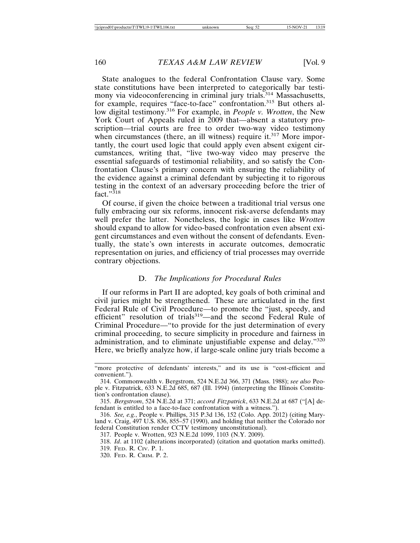State analogues to the federal Confrontation Clause vary. Some state constitutions have been interpreted to categorically bar testimony via videoconferencing in criminal jury trials.<sup>314</sup> Massachusetts, for example, requires "face-to-face" confrontation.315 But others allow digital testimony.316 For example, in *People v. Wrotten*, the New York Court of Appeals ruled in 2009 that—absent a statutory proscription—trial courts are free to order two-way video testimony when circumstances (there, an ill witness) require it.<sup>317</sup> More importantly, the court used logic that could apply even absent exigent circumstances, writing that, "live two-way video may preserve the essential safeguards of testimonial reliability, and so satisfy the Confrontation Clause's primary concern with ensuring the reliability of the evidence against a criminal defendant by subjecting it to rigorous testing in the context of an adversary proceeding before the trier of fact." $318$ 

Of course, if given the choice between a traditional trial versus one fully embracing our six reforms, innocent risk-averse defendants may well prefer the latter. Nonetheless, the logic in cases like *Wrotten* should expand to allow for video-based confrontation even absent exigent circumstances and even without the consent of defendants. Eventually, the state's own interests in accurate outcomes, democratic representation on juries, and efficiency of trial processes may override contrary objections.

#### D. *The Implications for Procedural Rules*

If our reforms in Part II are adopted, key goals of both criminal and civil juries might be strengthened. These are articulated in the first Federal Rule of Civil Procedure—to promote the "just, speedy, and efficient" resolution of trials<sup>319</sup>—and the second Federal Rule of Criminal Procedure—"to provide for the just determination of every criminal proceeding, to secure simplicity in procedure and fairness in administration, and to eliminate unjustifiable expense and delay."<sup>320</sup> Here, we briefly analyze how, if large-scale online jury trials become a

<sup>&</sup>quot;more protective of defendants' interests," and its use is "cost-efficient and convenient.").

<sup>314.</sup> Commonwealth v. Bergstrom, 524 N.E.2d 366, 371 (Mass. 1988); *see also* People v. Fitzpatrick, 633 N.E.2d 685, 687 (Ill. 1994) (interpreting the Illinois Constitution's confrontation clause).

<sup>315.</sup> *Bergstrom*, 524 N.E.2d at 371; *accord Fitzpatrick*, 633 N.E.2d at 687 ("[A] defendant is entitled to a face-to-face confrontation with a witness.").

<sup>316.</sup> *See, e.g.*, People v. Phillips, 315 P.3d 136, 152 (Colo. App. 2012) (citing Maryland v. Craig, 497 U.S. 836, 855–57 (1990), and holding that neither the Colorado nor federal Constitution render CCTV testimony unconstitutional).

<sup>317.</sup> People v. Wrotten, 923 N.E.2d 1099, 1103 (N.Y. 2009).

<sup>318.</sup> *Id*. at 1102 (alterations incorporated) (citation and quotation marks omitted).

<sup>319.</sup> FED. R. CIV. P. 1.

<sup>320.</sup> FED. R. CRIM. P. 2.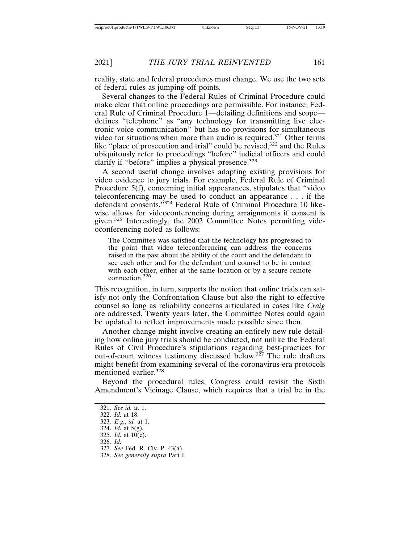reality, state and federal procedures must change. We use the two sets of federal rules as jumping-off points.

Several changes to the Federal Rules of Criminal Procedure could make clear that online proceedings are permissible. For instance, Federal Rule of Criminal Procedure 1—detailing definitions and scope defines "telephone" as "any technology for transmitting live electronic voice communication" but has no provisions for simultaneous video for situations when more than audio is required.<sup>321</sup> Other terms like "place of prosecution and trial" could be revised,<sup>322</sup> and the Rules ubiquitously refer to proceedings "before" judicial officers and could clarify if "before" implies a physical presence.<sup>323</sup>

A second useful change involves adapting existing provisions for video evidence to jury trials. For example, Federal Rule of Criminal Procedure 5(f), concerning initial appearances, stipulates that "video teleconferencing may be used to conduct an appearance . . . if the defendant consents."324 Federal Rule of Criminal Procedure 10 likewise allows for videoconferencing during arraignments if consent is given.325 Interestingly, the 2002 Committee Notes permitting videoconferencing noted as follows:

The Committee was satisfied that the technology has progressed to the point that video teleconferencing can address the concerns raised in the past about the ability of the court and the defendant to see each other and for the defendant and counsel to be in contact with each other, either at the same location or by a secure remote connection.<sup>326</sup>

This recognition, in turn, supports the notion that online trials can satisfy not only the Confrontation Clause but also the right to effective counsel so long as reliability concerns articulated in cases like *Craig* are addressed. Twenty years later, the Committee Notes could again be updated to reflect improvements made possible since then.

Another change might involve creating an entirely new rule detailing how online jury trials should be conducted, not unlike the Federal Rules of Civil Procedure's stipulations regarding best-practices for out-of-court witness testimony discussed below.327 The rule drafters might benefit from examining several of the coronavirus-era protocols mentioned earlier.328

Beyond the procedural rules, Congress could revisit the Sixth Amendment's Vicinage Clause, which requires that a trial be in the

- 327. *See* Fed. R. Civ. P. 43(a).
- 328. *See generally supra* Part I.

<sup>321.</sup> *See id.* at 1.

<sup>322.</sup> *Id.* at 18.

<sup>323.</sup> *E.g.*, *id.* at 1.

<sup>324.</sup> *Id.* at 5(g).

<sup>325.</sup> *Id.* at 10(c).

<sup>326.</sup> *Id.*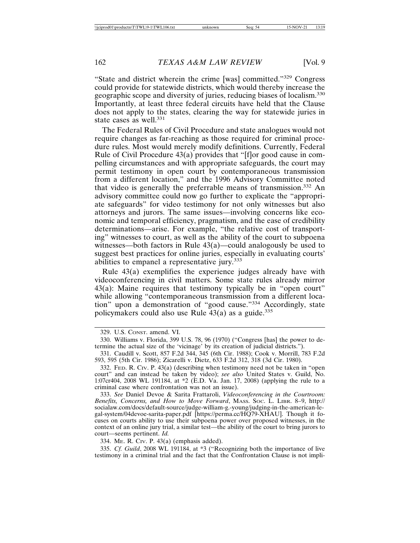"State and district wherein the crime [was] committed."329 Congress could provide for statewide districts, which would thereby increase the geographic scope and diversity of juries, reducing biases of localism.<sup>330</sup> Importantly, at least three federal circuits have held that the Clause does not apply to the states, clearing the way for statewide juries in state cases as well.<sup>331</sup>

The Federal Rules of Civil Procedure and state analogues would not require changes as far-reaching as those required for criminal procedure rules. Most would merely modify definitions. Currently, Federal Rule of Civil Procedure 43(a) provides that "[f]or good cause in compelling circumstances and with appropriate safeguards, the court may permit testimony in open court by contemporaneous transmission from a different location," and the 1996 Advisory Committee noted that video is generally the preferrable means of transmission.332 An advisory committee could now go further to explicate the "appropriate safeguards" for video testimony for not only witnesses but also attorneys and jurors. The same issues—involving concerns like economic and temporal efficiency, pragmatism, and the ease of credibility determinations—arise. For example, "the relative cost of transporting" witnesses to court, as well as the ability of the court to subpoena witnesses—both factors in Rule  $43(a)$ —could analogously be used to suggest best practices for online juries, especially in evaluating courts' abilities to empanel a representative jury.<sup>333</sup>

Rule 43(a) exemplifies the experience judges already have with videoconferencing in civil matters. Some state rules already mirror 43(a): Maine requires that testimony typically be in "open court" while allowing "contemporaneous transmission from a different location" upon a demonstration of "good cause."334 Accordingly, state policymakers could also use Rule  $43(a)$  as a guide.<sup>335</sup>

332. FED. R. CIV. P. 43(a) (describing when testimony need not be taken in "open court" and can instead be taken by video); *see also* United States v. Guild, No. 1:07cr404, 2008 WL 191184, at \*2 (E.D. Va. Jan. 17, 2008) (applying the rule to a criminal case where confrontation was not an issue).

333. *See* Daniel Devoe & Sarita Frattaroli, *Videoconferencing in the Courtroom: Benefits, Concerns, and How to Move Forward*, MASS. SOC. L. LIBR. 8–9, http:// socialaw.com/docs/default-source/judge-william-g.-young/judging-in-the-american-legal-system/04devoe-sarita-paper.pdf [https://perma.cc/HQ79-XHAU]. Though it focuses on courts ability to use their subpoena power over proposed witnesses, in the context of an online jury trial, a similar test—the ability of the court to bring jurors to court—seems pertinent. *Id.*

334. ME. R. CIV. P. 43(a) (emphasis added).

335. *Cf. Guild*, 2008 WL 191184, at \*3 ("Recognizing both the importance of live testimony in a criminal trial and the fact that the Confrontation Clause is not impli-

<sup>329.</sup> U.S. CONST. amend. VI.

<sup>330.</sup> Williams v. Florida, 399 U.S. 78, 96 (1970) ("Congress [has] the power to determine the actual size of the 'vicinage' by its creation of judicial districts.").

<sup>331.</sup> Caudill v. Scott, 857 F.2d 344, 345 (6th Cir. 1988); Cook v. Morrill, 783 F.2d 593, 595 (5th Cir. 1986); Zicarelli v. Dietz, 633 F.2d 312, 318 (3d Cir. 1980).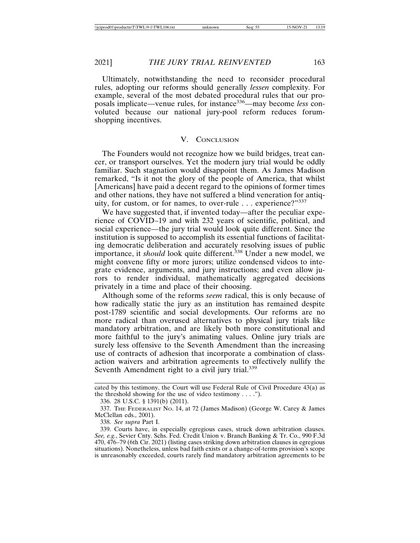Ultimately, notwithstanding the need to reconsider procedural rules, adopting our reforms should generally *lessen* complexity. For example, several of the most debated procedural rules that our proposals implicate—venue rules, for instance336—may become *less* convoluted because our national jury-pool reform reduces forumshopping incentives.

#### V. CONCLUSION

The Founders would not recognize how we build bridges, treat cancer, or transport ourselves. Yet the modern jury trial would be oddly familiar. Such stagnation would disappoint them. As James Madison remarked, "Is it not the glory of the people of America, that whilst [Americans] have paid a decent regard to the opinions of former times and other nations, they have not suffered a blind veneration for antiquity, for custom, or for names, to over-rule . . . experience?"<sup>337</sup>

We have suggested that, if invented today—after the peculiar experience of COVID–19 and with 232 years of scientific, political, and social experience—the jury trial would look quite different. Since the institution is supposed to accomplish its essential functions of facilitating democratic deliberation and accurately resolving issues of public importance, it *should* look quite different.<sup>338</sup> Under a new model, we might convene fifty or more jurors; utilize condensed videos to integrate evidence, arguments, and jury instructions; and even allow jurors to render individual, mathematically aggregated decisions privately in a time and place of their choosing.

Although some of the reforms *seem* radical, this is only because of how radically static the jury as an institution has remained despite post-1789 scientific and social developments. Our reforms are no more radical than overused alternatives to physical jury trials like mandatory arbitration, and are likely both more constitutional and more faithful to the jury's animating values. Online jury trials are surely less offensive to the Seventh Amendment than the increasing use of contracts of adhesion that incorporate a combination of classaction waivers and arbitration agreements to effectively nullify the Seventh Amendment right to a civil jury trial.<sup>339</sup>

cated by this testimony, the Court will use Federal Rule of Civil Procedure 43(a) as the threshold showing for the use of video testimony  $\dots$ .").

<sup>336. 28</sup> U.S.C. § 1391(b) (2011).

<sup>337.</sup> THE FEDERALIST NO. 14, at 72 (James Madison) (George W. Carey & James McClellan eds., 2001).

<sup>338.</sup> *See supra* Part I.

<sup>339.</sup> Courts have, in especially egregious cases, struck down arbitration clauses. *See, e.g.*, Sevier Cnty. Schs. Fed. Credit Union v. Branch Banking & Tr. Co., 990 F.3d 470, 476–79 (6th Cir. 2021) (listing cases striking down arbitration clauses in egregious situations). Nonetheless, unless bad faith exists or a change-of-terms provision's scope is unreasonably exceeded, courts rarely find mandatory arbitration agreements to be